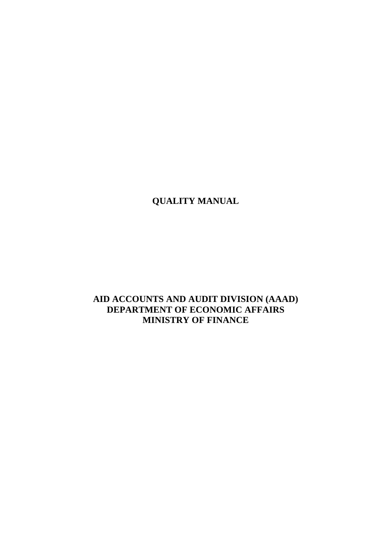**QUALITY MANUAL**

**AID ACCOUNTS AND AUDIT DIVISION (AAAD) DEPARTMENT OF ECONOMIC AFFAIRS MINISTRY OF FINANCE**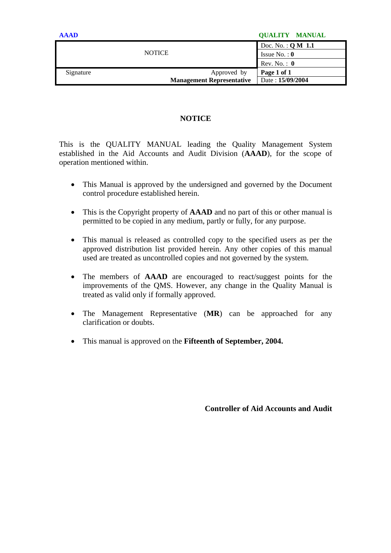| <b>AAAD</b>   |                                  | <b>OUALITY MANUAL</b>  |
|---------------|----------------------------------|------------------------|
|               |                                  | Doc. No.: $Q M 1.1$    |
| <b>NOTICE</b> | Issue No.: $\mathbf{0}$          |                        |
|               |                                  | Rev. No.: $\mathbf{0}$ |
| Signature     | Approved by                      | Page 1 of 1            |
|               | <b>Management Representative</b> | Date: 15/09/2004       |

## **NOTICE**

This is the QUALITY MANUAL leading the Quality Management System established in the Aid Accounts and Audit Division (**AAAD**), for the scope of operation mentioned within.

- This Manual is approved by the undersigned and governed by the Document control procedure established herein.
- This is the Copyright property of **AAAD** and no part of this or other manual is permitted to be copied in any medium, partly or fully, for any purpose.
- This manual is released as controlled copy to the specified users as per the approved distribution list provided herein. Any other copies of this manual used are treated as uncontrolled copies and not governed by the system.
- The members of **AAAD** are encouraged to react/suggest points for the improvements of the QMS. However, any change in the Quality Manual is treated as valid only if formally approved.
- The Management Representative (**MR**) can be approached for any clarification or doubts.
- This manual is approved on the **Fifteenth of September, 2004.**

**Controller of Aid Accounts and Audit**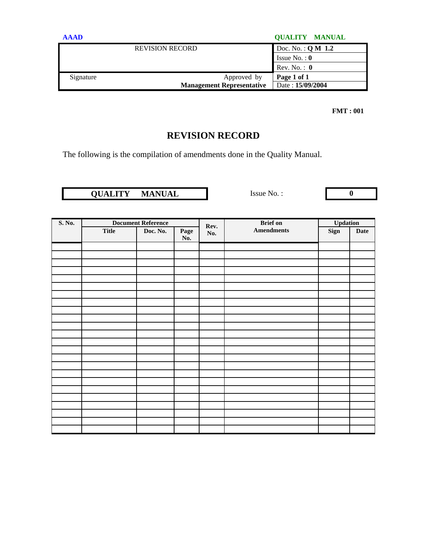| <b>AAAD</b> |                                  | <b>OUALITY MANUAL</b>          |
|-------------|----------------------------------|--------------------------------|
|             | <b>REVISION RECORD</b>           | Doc. No.: $Q M$ 1.2            |
|             |                                  | <b>Issue No.:</b> $\mathbf{0}$ |
|             |                                  | Rev. No. : 0                   |
| Signature   | Approved by                      | Page 1 of 1                    |
|             | <b>Management Representative</b> | Date: 15/09/2004               |

**FMT : 001** 

# **REVISION RECORD**

The following is the compilation of amendments done in the Quality Manual.

**QUALITY MANUAL** Issue No. : **0** 

| S. No. |              | <b>Document Reference</b> |             | Rev. | <b>Brief</b> on   | <b>Updation</b> |             |
|--------|--------------|---------------------------|-------------|------|-------------------|-----------------|-------------|
|        | <b>Title</b> | Doc. No.                  | Page<br>No. | No.  | <b>Amendments</b> | Sign            | <b>Date</b> |
|        |              |                           |             |      |                   |                 |             |
|        |              |                           |             |      |                   |                 |             |
|        |              |                           |             |      |                   |                 |             |
|        |              |                           |             |      |                   |                 |             |
|        |              |                           |             |      |                   |                 |             |
|        |              |                           |             |      |                   |                 |             |
|        |              |                           |             |      |                   |                 |             |
|        |              |                           |             |      |                   |                 |             |
|        |              |                           |             |      |                   |                 |             |
|        |              |                           |             |      |                   |                 |             |
|        |              |                           |             |      |                   |                 |             |
|        |              |                           |             |      |                   |                 |             |
|        |              |                           |             |      |                   |                 |             |
|        |              |                           |             |      |                   |                 |             |
|        |              |                           |             |      |                   |                 |             |
|        |              |                           |             |      |                   |                 |             |
|        |              |                           |             |      |                   |                 |             |
|        |              |                           |             |      |                   |                 |             |
|        |              |                           |             |      |                   |                 |             |
|        |              |                           |             |      |                   |                 |             |
|        |              |                           |             |      |                   |                 |             |
|        |              |                           |             |      |                   |                 |             |
|        |              |                           |             |      |                   |                 |             |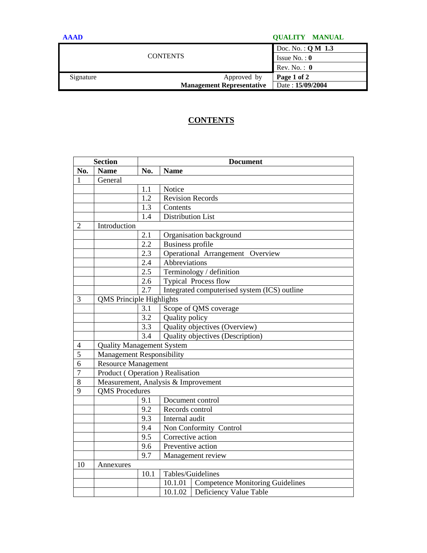#### **QUALITY MANUAL**

|           | Doc. No.: $Q M 1.3$              |                  |  |  |
|-----------|----------------------------------|------------------|--|--|
|           | <b>Issue No.:</b> 0              |                  |  |  |
|           | Rev. No.: $\mathbf{0}$           |                  |  |  |
| Signature | Approved by                      | Page 1 of 2      |  |  |
|           | <b>Management Representative</b> | Date: 15/09/2004 |  |  |

# **CONTENTS**

|                | <b>Section</b>                      |                  |                          | <b>Document</b>                              |  |
|----------------|-------------------------------------|------------------|--------------------------|----------------------------------------------|--|
| No.            | <b>Name</b>                         | No.              | <b>Name</b>              |                                              |  |
| 1              | General                             |                  |                          |                                              |  |
|                |                                     | 1.1              | Notice                   |                                              |  |
|                |                                     | 1.2              | <b>Revision Records</b>  |                                              |  |
|                |                                     | 1.3              | Contents                 |                                              |  |
|                |                                     | 1.4              | <b>Distribution List</b> |                                              |  |
| 2              | Introduction                        |                  |                          |                                              |  |
|                |                                     | 2.1              |                          | Organisation background                      |  |
|                |                                     | 2.2              | <b>Business profile</b>  |                                              |  |
|                |                                     | 2.3              |                          | Operational Arrangement Overview             |  |
|                |                                     | 2.4              | Abbreviations            |                                              |  |
|                |                                     | 2.5              |                          | Terminology / definition                     |  |
|                |                                     | 2.6              |                          | <b>Typical Process flow</b>                  |  |
|                |                                     | 2.7              |                          | Integrated computerised system (ICS) outline |  |
| 3              | <b>QMS</b> Principle Highlights     |                  |                          |                                              |  |
|                |                                     | 3.1              |                          | Scope of QMS coverage                        |  |
|                |                                     | $\overline{3.2}$ | Quality policy           |                                              |  |
|                |                                     | 3.3              |                          | Quality objectives (Overview)                |  |
|                |                                     | $\overline{3.4}$ |                          | Quality objectives (Description)             |  |
| $\overline{4}$ | <b>Quality Management System</b>    |                  |                          |                                              |  |
| $\overline{5}$ | <b>Management Responsibility</b>    |                  |                          |                                              |  |
| 6              | <b>Resource Management</b>          |                  |                          |                                              |  |
| $\overline{7}$ | Product (Operation) Realisation     |                  |                          |                                              |  |
| 8              | Measurement, Analysis & Improvement |                  |                          |                                              |  |
| 9              | <b>QMS</b> Procedures               |                  |                          |                                              |  |
|                |                                     | 9.1              | Document control         |                                              |  |
|                |                                     | 9.2              | Records control          |                                              |  |
|                |                                     | 9.3              | Internal audit           |                                              |  |
|                |                                     | 9.4              | Non Conformity Control   |                                              |  |
|                |                                     | 9.5              | Corrective action        |                                              |  |
|                |                                     | 9.6              | Preventive action        |                                              |  |
|                |                                     | 9.7              | Management review        |                                              |  |
| 10             | Annexures                           |                  |                          |                                              |  |
|                |                                     | 10.1             | Tables/Guidelines        |                                              |  |
|                |                                     |                  | 10.1.01                  | <b>Competence Monitoring Guidelines</b>      |  |
|                |                                     |                  | 10.1.02                  | Deficiency Value Table                       |  |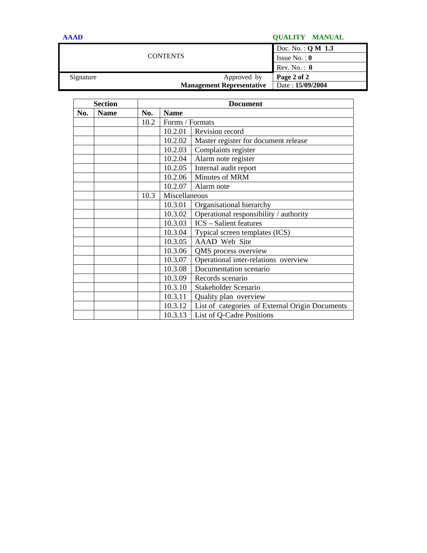## **AAAD QUALITY MANUAL** Doc. No. : **Q M 1.3**  CONTENTS Issue No. : **0**

|           | <b>Issue No.:</b> 0              |                        |
|-----------|----------------------------------|------------------------|
|           |                                  | Rev. No.: $\mathbf{0}$ |
| Signature | Approved by                      | Page 2 of 2            |
|           | <b>Management Representative</b> | Date: $15/09/2004$     |

|     | <b>Section</b> |      |                 | <b>Document</b>                                 |
|-----|----------------|------|-----------------|-------------------------------------------------|
| No. | <b>Name</b>    | No.  | <b>Name</b>     |                                                 |
|     |                | 10.2 | Forms / Formats |                                                 |
|     |                |      | 10.2.01         | Revision record                                 |
|     |                |      | 10.2.02         | Master register for document release            |
|     |                |      | 10.2.03         | Complaints register                             |
|     |                |      | 10.2.04         | Alarm note register                             |
|     |                |      | 10.2.05         | Internal audit report                           |
|     |                |      | 10.2.06         | Minutes of MRM                                  |
|     |                |      | 10.2.07         | Alarm note                                      |
|     |                | 10.3 | Miscellaneous   |                                                 |
|     |                |      | 10.3.01         | Organisational hierarchy                        |
|     |                |      | 10.3.02         | Operational responsibility / authority          |
|     |                |      | 10.3.03         | <b>ICS</b> – Salient features                   |
|     |                |      | 10.3.04         | Typical screen templates (ICS)                  |
|     |                |      | 10.3.05         | AAAD Web Site                                   |
|     |                |      | 10.3.06         | QMS process overview                            |
|     |                |      | 10.3.07         | Operational inter-relations overview            |
|     |                |      | 10.3.08         | Documentation scenario                          |
|     |                |      | 10.3.09         | Records scenario                                |
|     |                |      | 10.3.10         | Stakeholder Scenario                            |
|     |                |      | 10.3.11         | Quality plan overview                           |
|     |                |      | 10.3.12         | List of categories of External Origin Documents |
|     |                |      | 10.3.13         | List of Q-Cadre Positions                       |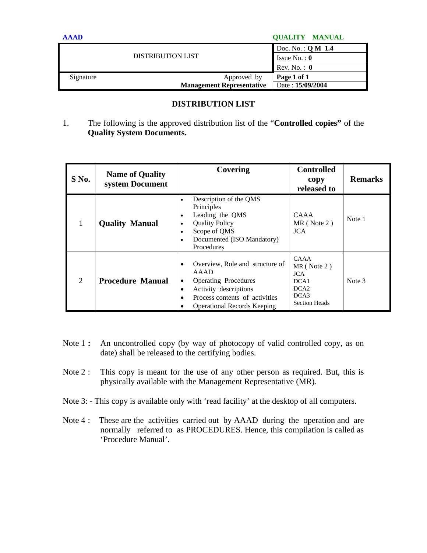| <b>AAAD</b> |                                  | <b>OUALITY MANUAL</b> |
|-------------|----------------------------------|-----------------------|
|             |                                  | Doc. No.: Q M 1.4     |
|             | <b>DISTRIBUTION LIST</b>         | Issue No.: $0$        |
|             |                                  | Rev. No. : 0          |
| Signature   | Approved by                      | Page 1 of 1           |
|             | <b>Management Representative</b> | Date: 15/09/2004      |

## **DISTRIBUTION LIST**

1. The following is the approved distribution list of the "**Controlled copies"** of the **Quality System Documents.**

| S No.                       | <b>Name of Quality</b><br>system Document | Covering                                                                                                                                                                                       | <b>Controlled</b><br>copy<br>released to                                                                        | <b>Remarks</b> |
|-----------------------------|-------------------------------------------|------------------------------------------------------------------------------------------------------------------------------------------------------------------------------------------------|-----------------------------------------------------------------------------------------------------------------|----------------|
| 1                           | <b>Quality Manual</b>                     | Description of the QMS<br>$\bullet$<br>Principles<br>Leading the QMS<br>٠<br><b>Quality Policy</b><br>Scope of QMS<br>$\bullet$<br>Documented (ISO Mandatory)<br>$\bullet$<br>Procedures       | CAAA<br>MR(Note 2)<br><b>JCA</b>                                                                                | Note 1         |
| $\mathcal{D}_{\mathcal{L}}$ | <b>Procedure Manual</b>                   | Overview, Role and structure of<br>AAAD<br><b>Operating Procedures</b><br>$\bullet$<br>Activity descriptions<br>٠<br>Process contents of activities<br>٠<br><b>Operational Records Keeping</b> | <b>CAAA</b><br>MR(Note 2)<br><b>JCA</b><br>DCA <sub>1</sub><br>DCA <sub>2</sub><br>DCA3<br><b>Section Heads</b> | Note 3         |

- Note 1 : An uncontrolled copy (by way of photocopy of valid controlled copy, as on date) shall be released to the certifying bodies.
- Note 2 : This copy is meant for the use of any other person as required. But, this is physically available with the Management Representative (MR).
- Note 3: This copy is available only with 'read facility' at the desktop of all computers.
- Note 4 : These are the activities carried out by AAAD during the operation and are normally referred to as PROCEDURES. Hence, this compilation is called as 'Procedure Manual'.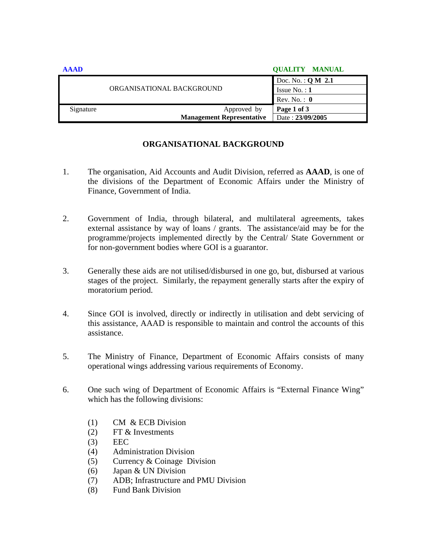| <b>AAAD</b> |                                  | <b>OUALITY MANUAL</b> |
|-------------|----------------------------------|-----------------------|
|             |                                  | Doc. No.: $Q M 2.1$   |
|             | ORGANISATIONAL BACKGROUND        | Issue $No. : 1$       |
|             |                                  | Rev. No. : 0          |
| Signature   | Approved by                      | Page 1 of 3           |
|             | <b>Management Representative</b> | Date: 23/09/2005      |

## **ORGANISATIONAL BACKGROUND**

- 1. The organisation, Aid Accounts and Audit Division, referred as **AAAD**, is one of the divisions of the Department of Economic Affairs under the Ministry of Finance, Government of India.
- 2. Government of India, through bilateral, and multilateral agreements, takes external assistance by way of loans / grants. The assistance/aid may be for the programme/projects implemented directly by the Central/ State Government or for non-government bodies where GOI is a guarantor.
- 3. Generally these aids are not utilised/disbursed in one go, but, disbursed at various stages of the project. Similarly, the repayment generally starts after the expiry of moratorium period.
- 4. Since GOI is involved, directly or indirectly in utilisation and debt servicing of this assistance, AAAD is responsible to maintain and control the accounts of this assistance.
- 5. The Ministry of Finance, Department of Economic Affairs consists of many operational wings addressing various requirements of Economy.
- 6. One such wing of Department of Economic Affairs is "External Finance Wing" which has the following divisions:
	- (1) CM & ECB Division
	- (2) FT & Investments
	- $(3)$  EEC
	- (4) Administration Division
	- (5) Currency & Coinage Division
	- (6) Japan & UN Division
	- (7) ADB; Infrastructure and PMU Division
	- (8) Fund Bank Division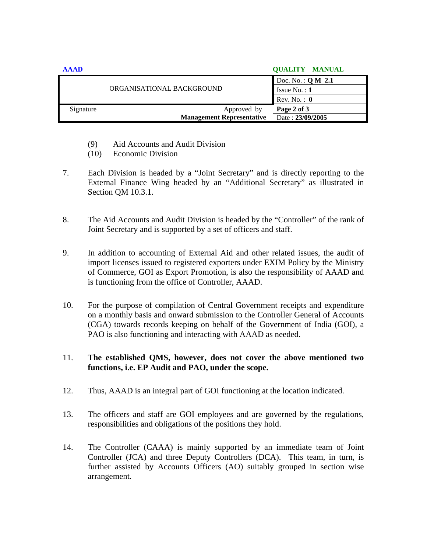| <b>AAAD</b> |                                  | <b>OUALITY MANUAL</b>  |
|-------------|----------------------------------|------------------------|
|             |                                  | Doc. No.: $Q M 2.1$    |
|             | ORGANISATIONAL BACKGROUND        | Issue $No. : 1$        |
|             |                                  | Rev. No.: $\mathbf{0}$ |
| Signature   | Approved by                      | Page 2 of 3            |
|             | <b>Management Representative</b> | Date: 23/09/2005       |

- (9) Aid Accounts and Audit Division
- (10) Economic Division
- 7. Each Division is headed by a "Joint Secretary" and is directly reporting to the External Finance Wing headed by an "Additional Secretary" as illustrated in Section QM 10.3.1.
- 8. The Aid Accounts and Audit Division is headed by the "Controller" of the rank of Joint Secretary and is supported by a set of officers and staff.
- 9. In addition to accounting of External Aid and other related issues, the audit of import licenses issued to registered exporters under EXIM Policy by the Ministry of Commerce, GOI as Export Promotion, is also the responsibility of AAAD and is functioning from the office of Controller, AAAD.
- 10. For the purpose of compilation of Central Government receipts and expenditure on a monthly basis and onward submission to the Controller General of Accounts (CGA) towards records keeping on behalf of the Government of India (GOI), a PAO is also functioning and interacting with AAAD as needed.

## 11. **The established QMS, however, does not cover the above mentioned two functions, i.e. EP Audit and PAO, under the scope.**

- 12. Thus, AAAD is an integral part of GOI functioning at the location indicated.
- 13. The officers and staff are GOI employees and are governed by the regulations, responsibilities and obligations of the positions they hold.
- 14. The Controller (CAAA) is mainly supported by an immediate team of Joint Controller (JCA) and three Deputy Controllers (DCA). This team, in turn, is further assisted by Accounts Officers (AO) suitably grouped in section wise arrangement.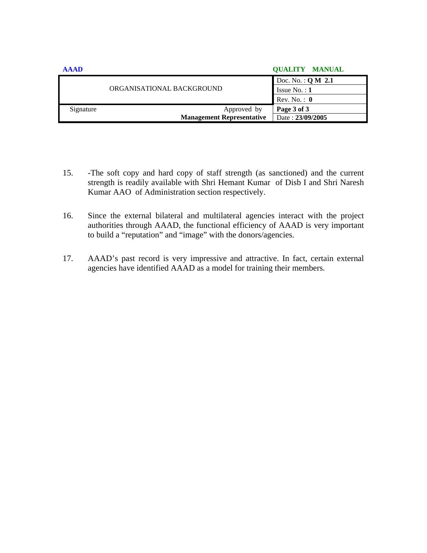| <b>AAAD</b> |                                  | <b>OUALITY MANUAL</b>  |
|-------------|----------------------------------|------------------------|
|             |                                  | Doc. No.: $Q M 2.1$    |
|             | ORGANISATIONAL BACKGROUND        | Issue $No. : 1$        |
|             |                                  | Rev. No.: $\mathbf{0}$ |
| Signature   | Approved by                      | Page 3 of 3            |
|             | <b>Management Representative</b> | Date: 23/09/2005       |

- 15. -The soft copy and hard copy of staff strength (as sanctioned) and the current strength is readily available with Shri Hemant Kumar of Disb I and Shri Naresh Kumar AAO of Administration section respectively.
- 16. Since the external bilateral and multilateral agencies interact with the project authorities through AAAD, the functional efficiency of AAAD is very important to build a "reputation" and "image" with the donors/agencies.
- 17. AAAD's past record is very impressive and attractive. In fact, certain external agencies have identified AAAD as a model for training their members.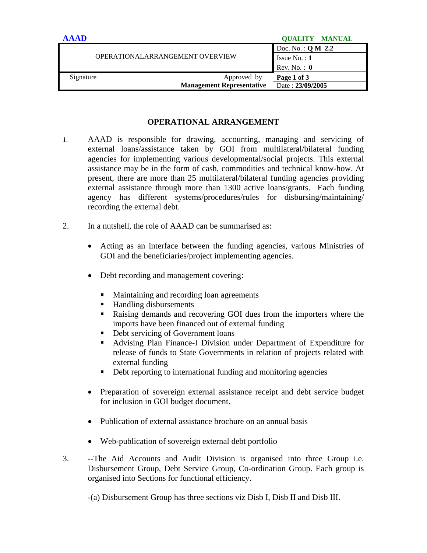| <b>AAAD</b> |                                  | <b>OUALITY MANUAL</b>  |
|-------------|----------------------------------|------------------------|
|             |                                  | Doc. No.: $Q M 2.2$    |
|             | OPERATIONALARRANGEMENT OVERVIEW  | Issue $No. : 1$        |
|             |                                  | Rev. No.: $\mathbf{0}$ |
| Signature   | Approved by                      | Page 1 of 3            |
|             | <b>Management Representative</b> | Date: 23/09/2005       |

## **OPERATIONAL ARRANGEMENT**

- 1. AAAD is responsible for drawing, accounting, managing and servicing of external loans/assistance taken by GOI from multilateral/bilateral funding agencies for implementing various developmental/social projects. This external assistance may be in the form of cash, commodities and technical know-how. At present, there are more than 25 multilateral/bilateral funding agencies providing external assistance through more than 1300 active loans/grants. Each funding agency has different systems/procedures/rules for disbursing/maintaining/ recording the external debt.
- 2. In a nutshell, the role of AAAD can be summarised as:
	- Acting as an interface between the funding agencies, various Ministries of GOI and the beneficiaries/project implementing agencies.
	- Debt recording and management covering:
		- Maintaining and recording loan agreements
		- Handling disbursements
		- Raising demands and recovering GOI dues from the importers where the imports have been financed out of external funding
		- Debt servicing of Government loans
		- Advising Plan Finance-I Division under Department of Expenditure for release of funds to State Governments in relation of projects related with external funding
		- Debt reporting to international funding and monitoring agencies
	- Preparation of sovereign external assistance receipt and debt service budget for inclusion in GOI budget document.
	- Publication of external assistance brochure on an annual basis
	- Web-publication of sovereign external debt portfolio
- 3. --The Aid Accounts and Audit Division is organised into three Group i.e. Disbursement Group, Debt Service Group, Co-ordination Group. Each group is organised into Sections for functional efficiency.

-(a) Disbursement Group has three sections viz Disb I, Disb II and Disb III.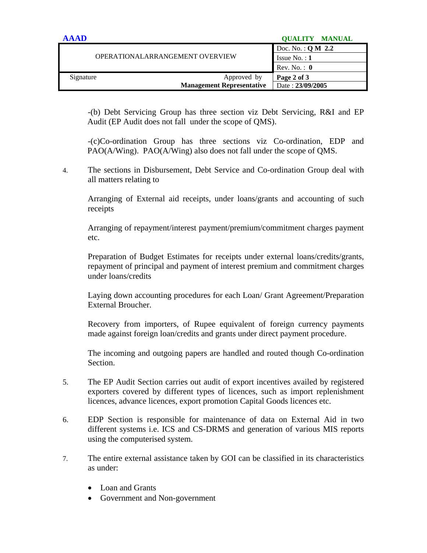| <b>AAAD</b> |                                  | <b>OUALITY MANUAL</b>  |
|-------------|----------------------------------|------------------------|
|             |                                  | Doc. No.: $Q M 2.2$    |
|             | OPERATIONALARRANGEMENT OVERVIEW  | Issue No.: $1$         |
|             |                                  | Rev. No.: $\mathbf{0}$ |
| Signature   | Approved by                      | Page 2 of 3            |
|             | <b>Management Representative</b> | Date: 23/09/2005       |

-(b) Debt Servicing Group has three section viz Debt Servicing, R&I and EP Audit (EP Audit does not fall under the scope of QMS).

-(c)Co-ordination Group has three sections viz Co-ordination, EDP and PAO(A/Wing). PAO(A/Wing) also does not fall under the scope of QMS.

4. The sections in Disbursement, Debt Service and Co-ordination Group deal with all matters relating to

Arranging of External aid receipts, under loans/grants and accounting of such receipts

Arranging of repayment/interest payment/premium/commitment charges payment etc.

Preparation of Budget Estimates for receipts under external loans/credits/grants, repayment of principal and payment of interest premium and commitment charges under loans/credits

Laying down accounting procedures for each Loan/ Grant Agreement/Preparation External Broucher.

Recovery from importers, of Rupee equivalent of foreign currency payments made against foreign loan/credits and grants under direct payment procedure.

The incoming and outgoing papers are handled and routed though Co-ordination Section.

- 5. The EP Audit Section carries out audit of export incentives availed by registered exporters covered by different types of licences, such as import replenishment licences, advance licences, export promotion Capital Goods licences etc.
- 6. EDP Section is responsible for maintenance of data on External Aid in two different systems i.e. ICS and CS-DRMS and generation of various MIS reports using the computerised system.
- 7. The entire external assistance taken by GOI can be classified in its characteristics as under:
	- Loan and Grants
	- Government and Non-government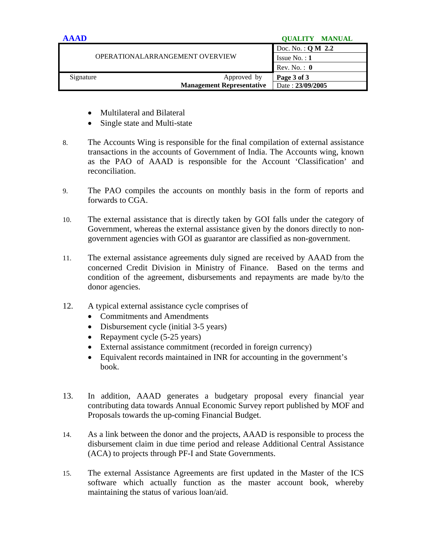| <b>AAAD</b> |                                  | <b>OUALITY MANUAL</b>  |
|-------------|----------------------------------|------------------------|
|             |                                  | Doc. No.: $Q M 2.2$    |
|             | OPERATIONALARRANGEMENT OVERVIEW  | Issue $No. : 1$        |
|             |                                  | Rev. No.: $\mathbf{0}$ |
| Signature   | Approved by                      | Page 3 of 3            |
|             | <b>Management Representative</b> | Date: 23/09/2005       |

- Multilateral and Bilateral
- Single state and Multi-state
- 8. The Accounts Wing is responsible for the final compilation of external assistance transactions in the accounts of Government of India. The Accounts wing, known as the PAO of AAAD is responsible for the Account 'Classification' and reconciliation.
- 9. The PAO compiles the accounts on monthly basis in the form of reports and forwards to CGA.
- 10. The external assistance that is directly taken by GOI falls under the category of Government, whereas the external assistance given by the donors directly to nongovernment agencies with GOI as guarantor are classified as non-government.
- 11. The external assistance agreements duly signed are received by AAAD from the concerned Credit Division in Ministry of Finance. Based on the terms and condition of the agreement, disbursements and repayments are made by/to the donor agencies.
- 12. A typical external assistance cycle comprises of
	- Commitments and Amendments
	- Disbursement cycle (initial 3-5 years)
	- Repayment cycle (5-25 years)
	- External assistance commitment (recorded in foreign currency)
	- Equivalent records maintained in INR for accounting in the government's book.
- 13. In addition, AAAD generates a budgetary proposal every financial year contributing data towards Annual Economic Survey report published by MOF and Proposals towards the up-coming Financial Budget.
- 14. As a link between the donor and the projects, AAAD is responsible to process the disbursement claim in due time period and release Additional Central Assistance (ACA) to projects through PF-I and State Governments.
- 15. The external Assistance Agreements are first updated in the Master of the ICS software which actually function as the master account book, whereby maintaining the status of various loan/aid.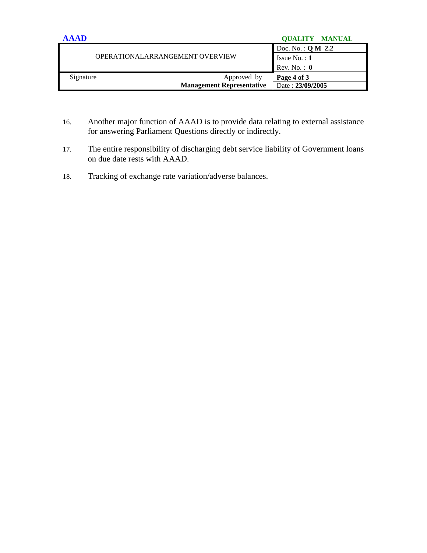| <b>AAAD</b> |                                  | <b>OUALITY MANUAL</b>  |
|-------------|----------------------------------|------------------------|
|             |                                  | Doc. No.: $Q M 2.2$    |
|             | OPERATIONALARRANGEMENT OVERVIEW  | Issue $No. : 1$        |
|             |                                  | Rev. No.: $\mathbf{0}$ |
| Signature   | Approved by                      | Page 4 of 3            |
|             | <b>Management Representative</b> | Date: 23/09/2005       |

- 16. Another major function of AAAD is to provide data relating to external assistance for answering Parliament Questions directly or indirectly.
- 17. The entire responsibility of discharging debt service liability of Government loans on due date rests with AAAD.
- 18. Tracking of exchange rate variation/adverse balances.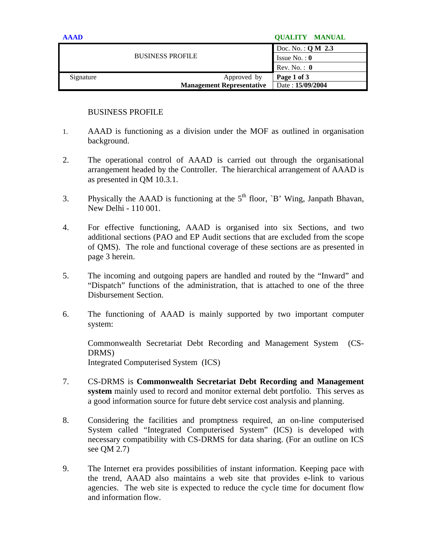| <b>AAAD</b> |                                  | <b>OUALITY MANUAL</b>   |
|-------------|----------------------------------|-------------------------|
|             |                                  | Doc. No.: $Q M 2.3$     |
|             | <b>BUSINESS PROFILE</b>          | Issue No.: $\mathbf{0}$ |
|             |                                  | Rev. No.: $\mathbf{0}$  |
| Signature   | Approved by                      | Page 1 of 3             |
|             | <b>Management Representative</b> | Date: 15/09/2004        |

BUSINESS PROFILE

- 1. AAAD is functioning as a division under the MOF as outlined in organisation background.
- 2. The operational control of AAAD is carried out through the organisational arrangement headed by the Controller. The hierarchical arrangement of AAAD is as presented in QM 10.3.1.
- 3. Physically the AAAD is functioning at the  $5<sup>th</sup>$  floor, `B' Wing, Janpath Bhavan, New Delhi - 110 001.
- 4. For effective functioning, AAAD is organised into six Sections, and two additional sections (PAO and EP Audit sections that are excluded from the scope of QMS). The role and functional coverage of these sections are as presented in page 3 herein.
- 5. The incoming and outgoing papers are handled and routed by the "Inward" and "Dispatch" functions of the administration, that is attached to one of the three Disbursement Section.
- 6. The functioning of AAAD is mainly supported by two important computer system:

Commonwealth Secretariat Debt Recording and Management System (CS-DRMS) Integrated Computerised System (ICS)

- 7. CS-DRMS is **Commonwealth Secretariat Debt Recording and Management system** mainly used to record and monitor external debt portfolio. This serves as a good information source for future debt service cost analysis and planning.
- 8. Considering the facilities and promptness required, an on-line computerised System called "Integrated Computerised System" (ICS) is developed with necessary compatibility with CS-DRMS for data sharing. (For an outline on ICS see QM 2.7)
- 9. The Internet era provides possibilities of instant information. Keeping pace with the trend, AAAD also maintains a web site that provides e-link to various agencies. The web site is expected to reduce the cycle time for document flow and information flow.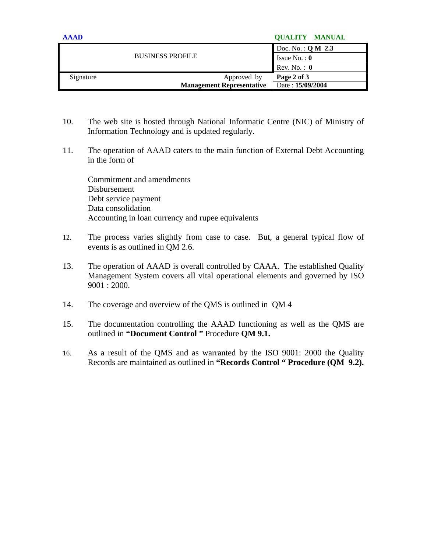| <b>AAAD</b> |                                  | <b>OUALITY MANUAL</b>  |
|-------------|----------------------------------|------------------------|
|             |                                  | Doc. No.: $Q M 2.3$    |
|             | Issue No.: $\mathbf{0}$          |                        |
|             |                                  | Rev. No.: $\mathbf{0}$ |
| Signature   | Approved by                      | Page 2 of 3            |
|             | <b>Management Representative</b> | Date: 15/09/2004       |

- 10. The web site is hosted through National Informatic Centre (NIC) of Ministry of Information Technology and is updated regularly.
- 11. The operation of AAAD caters to the main function of External Debt Accounting in the form of

Commitment and amendments Disbursement Debt service payment Data consolidation Accounting in loan currency and rupee equivalents

- 12. The process varies slightly from case to case. But, a general typical flow of events is as outlined in QM 2.6.
- 13. The operation of AAAD is overall controlled by CAAA. The established Quality Management System covers all vital operational elements and governed by ISO 9001 : 2000.
- 14. The coverage and overview of the QMS is outlined in QM 4
- 15. The documentation controlling the AAAD functioning as well as the QMS are outlined in **"Document Control "** Procedure **QM 9.1.**
- 16. As a result of the QMS and as warranted by the ISO 9001: 2000 the Quality Records are maintained as outlined in **"Records Control " Procedure (QM 9.2).**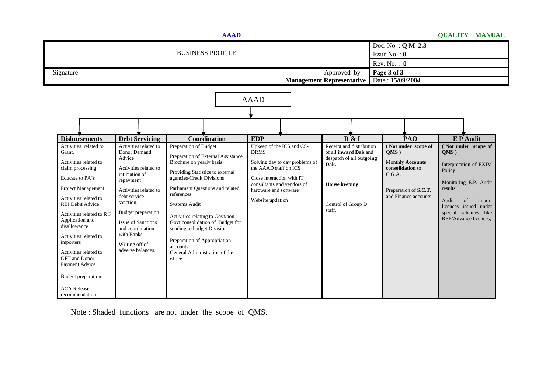|                                                                                                                                                                                                                                                                                                                                                                                                       |                                                                                                                                                                                                                                                                                          | <b>AAAD</b>                                                                                                                                                                                                                                                                                                                                                                                                                     |                                                                                                                                                                                                             |                                                                                                                                               |                                                                                                                                       | <b>QUALITY MANUAL</b>                                                                                                                                                                                     |
|-------------------------------------------------------------------------------------------------------------------------------------------------------------------------------------------------------------------------------------------------------------------------------------------------------------------------------------------------------------------------------------------------------|------------------------------------------------------------------------------------------------------------------------------------------------------------------------------------------------------------------------------------------------------------------------------------------|---------------------------------------------------------------------------------------------------------------------------------------------------------------------------------------------------------------------------------------------------------------------------------------------------------------------------------------------------------------------------------------------------------------------------------|-------------------------------------------------------------------------------------------------------------------------------------------------------------------------------------------------------------|-----------------------------------------------------------------------------------------------------------------------------------------------|---------------------------------------------------------------------------------------------------------------------------------------|-----------------------------------------------------------------------------------------------------------------------------------------------------------------------------------------------------------|
|                                                                                                                                                                                                                                                                                                                                                                                                       |                                                                                                                                                                                                                                                                                          | <b>BUSINESS PROFILE</b>                                                                                                                                                                                                                                                                                                                                                                                                         |                                                                                                                                                                                                             |                                                                                                                                               | Doc. No.: Q M 2.3<br>Issue No.: $0$<br>Rev. No.: $\mathbf{0}$                                                                         |                                                                                                                                                                                                           |
| Signature                                                                                                                                                                                                                                                                                                                                                                                             |                                                                                                                                                                                                                                                                                          |                                                                                                                                                                                                                                                                                                                                                                                                                                 |                                                                                                                                                                                                             | Approved by<br><b>Management Representative</b>                                                                                               | Page 3 of 3<br>Date: 15/09/2004                                                                                                       |                                                                                                                                                                                                           |
|                                                                                                                                                                                                                                                                                                                                                                                                       |                                                                                                                                                                                                                                                                                          |                                                                                                                                                                                                                                                                                                                                                                                                                                 | <b>AAAD</b>                                                                                                                                                                                                 |                                                                                                                                               |                                                                                                                                       |                                                                                                                                                                                                           |
| <b>Disbursements</b>                                                                                                                                                                                                                                                                                                                                                                                  | <b>Debt Servicing</b>                                                                                                                                                                                                                                                                    | Coordination                                                                                                                                                                                                                                                                                                                                                                                                                    | <b>EDP</b>                                                                                                                                                                                                  | $R^{\prime}$ & I                                                                                                                              | <b>PAO</b>                                                                                                                            | E P <sup>'</sup> Audit                                                                                                                                                                                    |
| Activities related to<br>Grant.<br>Activities related to<br>claim processing<br>Educate to PA's<br>Project Management<br>Activities related to<br><b>RBI</b> Debit Advice<br>Activities related to R F<br>Application and<br>disallowance<br>Activities related to<br>importers<br>Activities related to<br><b>GFT</b> and Donor<br>Payment Advice<br><b>Budget preparation</b><br><b>ACA Release</b> | Activities related to<br>Donor Demand<br>Advice<br>Activities related to<br>intimation of<br>repayment<br>Activities related to<br>debt service<br>sanction.<br>Budget preparation<br><b>Issue of Sanctions</b><br>and coordination<br>with Banks<br>Writing off of<br>adverse balances. | Preparation of Budget<br>Preparation of External Assistance<br>Brochure on yearly basis<br>Providing Statistics to external<br>agencies/Credit Divisions<br>Parliament Questions and related<br>references<br><b>Systems Audit</b><br>Activities relating to Govt/non-<br>Govt consolidation of Budget for<br>sending to budget Division<br>Preparation of Appropriation<br>accounts<br>General Administration of the<br>office | Upkeep of the ICS and CS-<br><b>DRMS</b><br>Solving day to day problems of<br>the AAAD staff on ICS<br>Close interaction with IT<br>consultants and vendors of<br>hardware and software<br>Website updation | Receipt and distribution<br>of all inward Dak and<br>despatch of all outgoing<br>Dak.<br><b>House keeping</b><br>Control of Group D<br>staff. | (Not under scope of<br>QMS)<br><b>Monthly Accounts</b><br>consolidation to<br>C.G.A.<br>Preparation of S.C.T.<br>and Finance accounts | (Not under scope of<br>$QMS$ )<br>Interpretation of EXIM<br>Policy<br>Monitoring E.P. Audit<br>results<br>of<br>import<br>Audit<br>licences issued under<br>special schemes like<br>REP/Advance licences: |

Note : Shaded functions are not under the scope of QMS.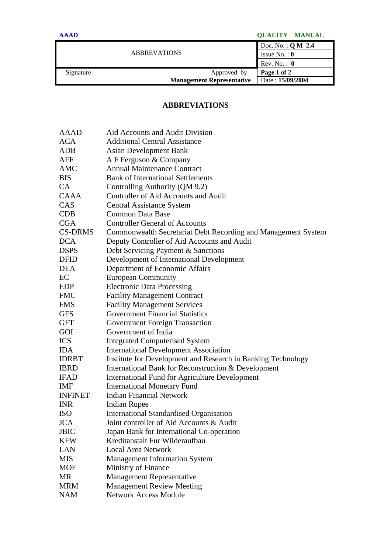|  | ٠ |
|--|---|

**QUALITY MANUAL** 

|                          | Doc. No.: $Q M 2.4$              |                  |
|--------------------------|----------------------------------|------------------|
|                          | Issue No.: $\mathbf{0}$          |                  |
|                          | Rev. No.: $\mathbf{0}$           |                  |
| Signature<br>Approved by |                                  | Page 1 of 2      |
|                          | <b>Management Representative</b> | Date: 15/09/2004 |

## **ABBREVIATIONS**

| <b>AAAD</b>    | Aid Accounts and Audit Division                               |
|----------------|---------------------------------------------------------------|
| <b>ACA</b>     | <b>Additional Central Assistance</b>                          |
| <b>ADB</b>     | Asian Development Bank                                        |
| AFF            | A F Ferguson & Company                                        |
| AMC            | <b>Annual Maintenance Contract</b>                            |
| <b>BIS</b>     | <b>Bank of International Settlements</b>                      |
| CA             | Controlling Authority (QM 9.2)                                |
| <b>CAAA</b>    | Controller of Aid Accounts and Audit                          |
| CAS            | <b>Central Assistance System</b>                              |
| <b>CDB</b>     | <b>Common Data Base</b>                                       |
| <b>CGA</b>     | <b>Controller General of Accounts</b>                         |
| <b>CS-DRMS</b> | Commonwealth Secretariat Debt Recording and Management System |
| <b>DCA</b>     | Deputy Controller of Aid Accounts and Audit                   |
| <b>DSPS</b>    | Debt Servicing Payment & Sanctions                            |
| <b>DFID</b>    | Development of International Development                      |
| <b>DEA</b>     | Department of Economic Affairs                                |
| EC             | <b>European Community</b>                                     |
| <b>EDP</b>     | <b>Electronic Data Processing</b>                             |
| <b>FMC</b>     | <b>Facility Management Contract</b>                           |
| <b>FMS</b>     | <b>Facility Management Services</b>                           |
| <b>GFS</b>     | <b>Government Financial Statistics</b>                        |
| <b>GFT</b>     | <b>Government Foreign Transaction</b>                         |
| GOI            | Government of India                                           |
| <b>ICS</b>     | <b>Integrated Computerised System</b>                         |
| <b>IDA</b>     | <b>International Development Association</b>                  |
| <b>IDRBT</b>   | Institute for Development and Research in Banking Technology  |
| <b>IBRD</b>    | International Bank for Reconstruction & Development           |
| <b>IFAD</b>    | <b>International Fund for Agriculture Development</b>         |
| <b>IMF</b>     | <b>International Monetary Fund</b>                            |
| <b>INFINET</b> | <b>Indian Financial Network</b>                               |
| <b>INR</b>     | <b>Indian Rupee</b>                                           |
| <b>ISO</b>     | <b>International Standardised Organisation</b>                |
| JCA            | Joint controller of Aid Accounts & Audit                      |
| <b>JBIC</b>    | Japan Bank for International Co-operation                     |
| <b>KFW</b>     | Kreditanstalt Fur Wilderaufbau                                |
| <b>LAN</b>     | <b>Local Area Network</b>                                     |
| <b>MIS</b>     | <b>Management Information System</b>                          |
| <b>MOF</b>     | Ministry of Finance                                           |
| <b>MR</b>      | <b>Management Representative</b>                              |
| <b>MRM</b>     | <b>Management Review Meeting</b>                              |
| <b>NAM</b>     | <b>Network Access Module</b>                                  |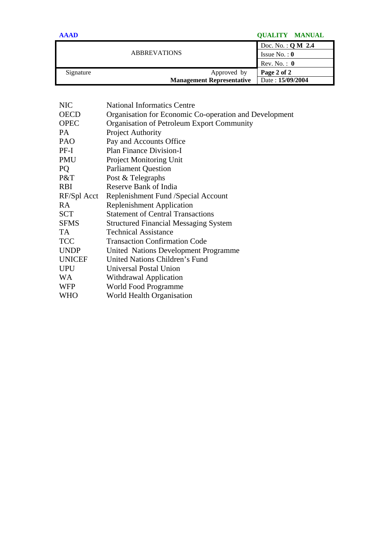| <b>AAAD</b> |                                  | <b>OUALITY MANUAL</b>  |
|-------------|----------------------------------|------------------------|
|             |                                  | Doc. No.: $Q M 2.4$    |
|             | Issue No.: $0$                   |                        |
|             |                                  | Rev. No.: $\mathbf{0}$ |
| Signature   | Approved by                      | Page 2 of 2            |
|             | <b>Management Representative</b> | Date: 15/09/2004       |

| <b>NIC</b><br><b>OECD</b><br><b>OPEC</b> | <b>National Informatics Centre</b><br>Organisation for Economic Co-operation and Development<br>Organisation of Petroleum Export Community |
|------------------------------------------|--------------------------------------------------------------------------------------------------------------------------------------------|
| PA.                                      | <b>Project Authority</b>                                                                                                                   |
| <b>PAO</b>                               | Pay and Accounts Office                                                                                                                    |
| PF-I                                     | <b>Plan Finance Division-I</b>                                                                                                             |
| <b>PMU</b>                               | <b>Project Monitoring Unit</b>                                                                                                             |
| <b>PQ</b>                                | <b>Parliament Question</b>                                                                                                                 |
| P&T                                      | Post & Telegraphs                                                                                                                          |
| RBI                                      | Reserve Bank of India                                                                                                                      |
|                                          | RF/Spl Acct Replenishment Fund / Special Account                                                                                           |
| RA                                       | <b>Replenishment Application</b>                                                                                                           |
| <b>SCT</b>                               | <b>Statement of Central Transactions</b>                                                                                                   |
| <b>SFMS</b>                              | <b>Structured Financial Messaging System</b>                                                                                               |
| TA.                                      | <b>Technical Assistance</b>                                                                                                                |
| <b>TCC</b>                               | <b>Transaction Confirmation Code</b>                                                                                                       |
| <b>UNDP</b>                              | United Nations Development Programme                                                                                                       |
| <b>UNICEF</b>                            | United Nations Children's Fund                                                                                                             |
| <b>UPU</b>                               | Universal Postal Union                                                                                                                     |
| <b>WA</b>                                | Withdrawal Application                                                                                                                     |
| <b>WFP</b>                               | World Food Programme                                                                                                                       |
| <b>WHO</b>                               | World Health Organisation                                                                                                                  |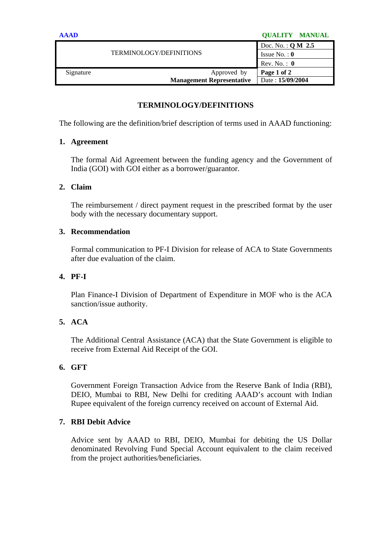| <b>AAAD</b> |                                  | <b>OUALITY MANUAL</b>  |
|-------------|----------------------------------|------------------------|
|             |                                  | Doc. No.: $Q M 2.5$    |
|             | <b>TERMINOLOGY/DEFINITIONS</b>   |                        |
|             |                                  | Rev. No.: $\mathbf{0}$ |
| Signature   | Approved by                      | Page 1 of 2            |
|             | <b>Management Representative</b> | Date: 15/09/2004       |

## **TERMINOLOGY/DEFINITIONS**

The following are the definition/brief description of terms used in AAAD functioning:

#### **1. Agreement**

The formal Aid Agreement between the funding agency and the Government of India (GOI) with GOI either as a borrower/guarantor.

#### **2. Claim**

 The reimbursement / direct payment request in the prescribed format by the user body with the necessary documentary support.

#### **3. Recommendation**

 Formal communication to PF-I Division for release of ACA to State Governments after due evaluation of the claim.

#### **4. PF-I**

 Plan Finance-I Division of Department of Expenditure in MOF who is the ACA sanction/issue authority.

## **5. ACA**

 The Additional Central Assistance (ACA) that the State Government is eligible to receive from External Aid Receipt of the GOI.

## **6. GFT**

 Government Foreign Transaction Advice from the Reserve Bank of India (RBI), DEIO, Mumbai to RBI, New Delhi for crediting AAAD's account with Indian Rupee equivalent of the foreign currency received on account of External Aid.

#### **7. RBI Debit Advice**

 Advice sent by AAAD to RBI, DEIO, Mumbai for debiting the US Dollar denominated Revolving Fund Special Account equivalent to the claim received from the project authorities/beneficiaries.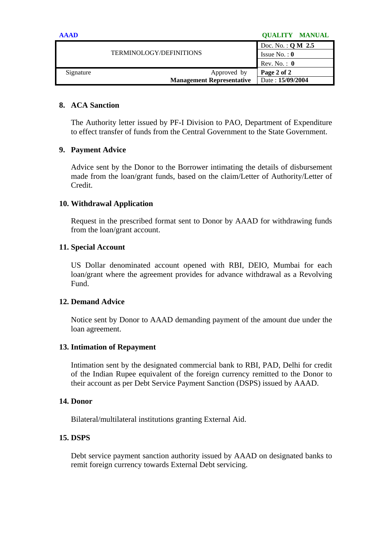| <b>AAAD</b>             |                                  | <b>OUALITY MANUAL</b>   |
|-------------------------|----------------------------------|-------------------------|
|                         |                                  | Doc. No.: $Q M$ 2.5     |
| TERMINOLOGY/DEFINITIONS |                                  | Issue No.: $\mathbf{0}$ |
|                         |                                  | Rev. No.: $\mathbf{0}$  |
| Signature               | Approved by                      | Page 2 of 2             |
|                         | <b>Management Representative</b> | Date: 15/09/2004        |

## **8. ACA Sanction**

 The Authority letter issued by PF-I Division to PAO, Department of Expenditure to effect transfer of funds from the Central Government to the State Government.

## **9. Payment Advice**

 Advice sent by the Donor to the Borrower intimating the details of disbursement made from the loan/grant funds, based on the claim/Letter of Authority/Letter of Credit.

## **10. Withdrawal Application**

 Request in the prescribed format sent to Donor by AAAD for withdrawing funds from the loan/grant account.

#### **11. Special Account**

 US Dollar denominated account opened with RBI, DEIO, Mumbai for each loan/grant where the agreement provides for advance withdrawal as a Revolving Fund.

## **12. Demand Advice**

 Notice sent by Donor to AAAD demanding payment of the amount due under the loan agreement.

#### **13. Intimation of Repayment**

 Intimation sent by the designated commercial bank to RBI, PAD, Delhi for credit of the Indian Rupee equivalent of the foreign currency remitted to the Donor to their account as per Debt Service Payment Sanction (DSPS) issued by AAAD.

#### **14. Donor**

Bilateral/multilateral institutions granting External Aid.

#### **15. DSPS**

 Debt service payment sanction authority issued by AAAD on designated banks to remit foreign currency towards External Debt servicing.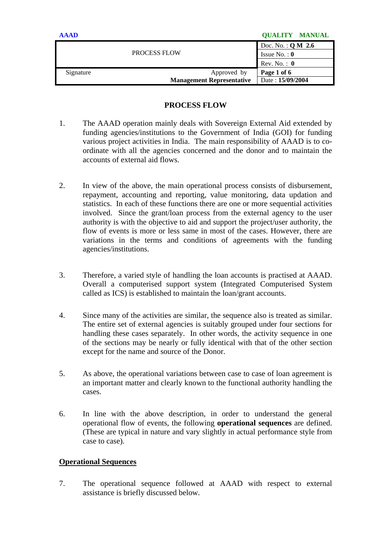| <b>AAAD</b>         |                                  | <b>QUALITY MANUAL</b>  |
|---------------------|----------------------------------|------------------------|
|                     |                                  | Doc. No.: $Q M 2.6$    |
| <b>PROCESS FLOW</b> |                                  | Issue No.: $0$         |
|                     |                                  | Rev. No.: $\mathbf{0}$ |
| Signature           | Approved by                      | Page 1 of 6            |
|                     | <b>Management Representative</b> | Date: 15/09/2004       |

## **PROCESS FLOW**

- 1. The AAAD operation mainly deals with Sovereign External Aid extended by funding agencies/institutions to the Government of India (GOI) for funding various project activities in India. The main responsibility of AAAD is to coordinate with all the agencies concerned and the donor and to maintain the accounts of external aid flows.
- 2. In view of the above, the main operational process consists of disbursement, repayment, accounting and reporting, value monitoring, data updation and statistics. In each of these functions there are one or more sequential activities involved. Since the grant/loan process from the external agency to the user authority is with the objective to aid and support the project/user authority, the flow of events is more or less same in most of the cases. However, there are variations in the terms and conditions of agreements with the funding agencies/institutions.
- 3. Therefore, a varied style of handling the loan accounts is practised at AAAD. Overall a computerised support system (Integrated Computerised System called as ICS) is established to maintain the loan/grant accounts.
- 4. Since many of the activities are similar, the sequence also is treated as similar. The entire set of external agencies is suitably grouped under four sections for handling these cases separately. In other words, the activity sequence in one of the sections may be nearly or fully identical with that of the other section except for the name and source of the Donor.
- 5. As above, the operational variations between case to case of loan agreement is an important matter and clearly known to the functional authority handling the cases.
- 6. In line with the above description, in order to understand the general operational flow of events, the following **operational sequences** are defined. (These are typical in nature and vary slightly in actual performance style from case to case).

## **Operational Sequences**

7. The operational sequence followed at AAAD with respect to external assistance is briefly discussed below.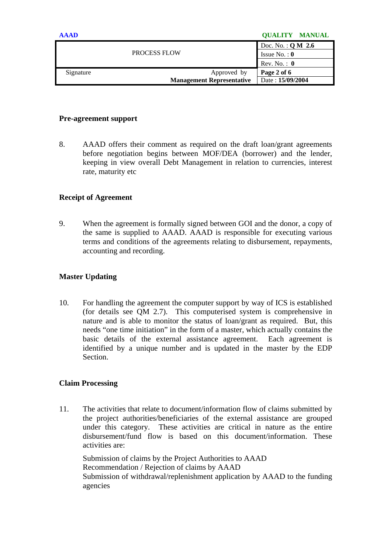| <b>AAAD</b>         |                                  | <b>OUALITY MANUAL</b>          |
|---------------------|----------------------------------|--------------------------------|
|                     |                                  | Doc. No.: $Q M 2.6$            |
| <b>PROCESS FLOW</b> |                                  | <b>Issue No.:</b> $\mathbf{0}$ |
|                     |                                  | Rev. No.: $0$                  |
| Signature           | Approved by                      | Page 2 of 6                    |
|                     | <b>Management Representative</b> | Date: 15/09/2004               |

#### **Pre-agreement support**

8. AAAD offers their comment as required on the draft loan/grant agreements before negotiation begins between MOF/DEA (borrower) and the lender, keeping in view overall Debt Management in relation to currencies, interest rate, maturity etc

#### **Receipt of Agreement**

9. When the agreement is formally signed between GOI and the donor, a copy of the same is supplied to AAAD. AAAD is responsible for executing various terms and conditions of the agreements relating to disbursement, repayments, accounting and recording.

## **Master Updating**

10. For handling the agreement the computer support by way of ICS is established (for details see QM 2.7). This computerised system is comprehensive in nature and is able to monitor the status of loan/grant as required. But, this needs "one time initiation" in the form of a master, which actually contains the basic details of the external assistance agreement. Each agreement is identified by a unique number and is updated in the master by the EDP Section.

#### **Claim Processing**

11. The activities that relate to document/information flow of claims submitted by the project authorities/beneficiaries of the external assistance are grouped under this category. These activities are critical in nature as the entire disbursement/fund flow is based on this document/information. These activities are:

Submission of claims by the Project Authorities to AAAD Recommendation / Rejection of claims by AAAD Submission of withdrawal/replenishment application by AAAD to the funding agencies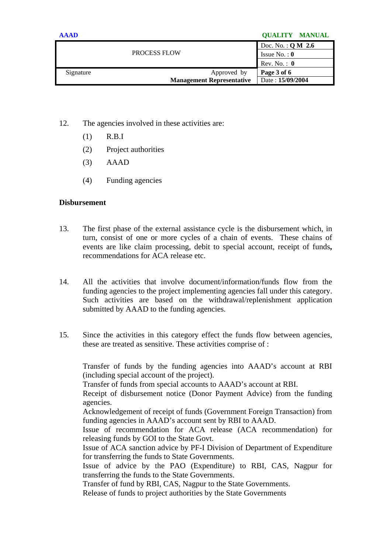| <b>AAAD</b>         |                                  | <b>OUALITY MANUAL</b>  |
|---------------------|----------------------------------|------------------------|
|                     |                                  | Doc. No.: $Q M 2.6$    |
| <b>PROCESS FLOW</b> |                                  | Issue No.: $0$         |
|                     |                                  | Rev. No.: $\mathbf{0}$ |
| Signature           | Approved by                      | Page 3 of 6            |
|                     | <b>Management Representative</b> | Date: 15/09/2004       |

- 12. The agencies involved in these activities are:
	- (1) R.B.I
	- (2) Project authorities
	- (3) AAAD
	- (4) Funding agencies

## **Disbursement**

- 13. The first phase of the external assistance cycle is the disbursement which, in turn, consist of one or more cycles of a chain of events. These chains of events are like claim processing, debit to special account, receipt of funds**,** recommendations for ACA release etc.
- 14. All the activities that involve document/information/funds flow from the funding agencies to the project implementing agencies fall under this category. Such activities are based on the withdrawal/replenishment application submitted by AAAD to the funding agencies.
- 15. Since the activities in this category effect the funds flow between agencies, these are treated as sensitive. These activities comprise of :

Transfer of funds by the funding agencies into AAAD's account at RBI (including special account of the project).

Transfer of funds from special accounts to AAAD's account at RBI.

Receipt of disbursement notice (Donor Payment Advice) from the funding agencies.

Acknowledgement of receipt of funds (Government Foreign Transaction) from funding agencies in AAAD's account sent by RBI to AAAD.

Issue of recommendation for ACA release (ACA recommendation) for releasing funds by GOI to the State Govt.

Issue of ACA sanction advice by PF-I Division of Department of Expenditure for transferring the funds to State Governments.

Issue of advice by the PAO (Expenditure) to RBI, CAS, Nagpur for transferring the funds to the State Governments.

Transfer of fund by RBI, CAS, Nagpur to the State Governments.

Release of funds to project authorities by the State Governments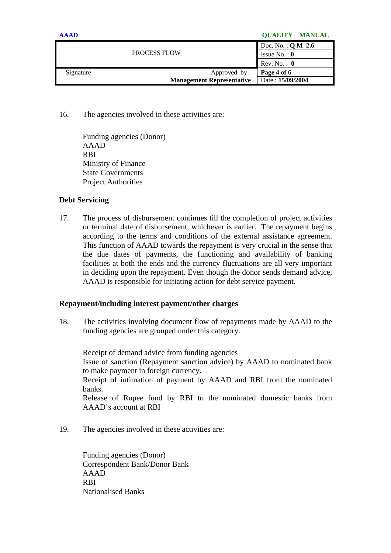| <b>AAAD</b>         |                                  | <b>OUALITY MANUAL</b> |
|---------------------|----------------------------------|-----------------------|
|                     |                                  | Doc. No.: $Q M 2.6$   |
| <b>PROCESS FLOW</b> |                                  | Issue No.: $0$        |
|                     |                                  | Rev. No.: $0$         |
| Signature           | Approved by                      | Page 4 of 6           |
|                     | <b>Management Representative</b> | Date: 15/09/2004      |

## 16. The agencies involved in these activities are:

Funding agencies (Donor) AAAD RBI Ministry of Finance State Governments Project Authorities

#### **Debt Servicing**

17. The process of disbursement continues till the completion of project activities or terminal date of disbursement, whichever is earlier. The repayment begins according to the terms and conditions of the external assistance agreement. This function of AAAD towards the repayment is very crucial in the sense that the due dates of payments, the functioning and availability of banking facilities at both the ends and the currency fluctuations are all very important in deciding upon the repayment. Even though the donor sends demand advice, AAAD is responsible for initiating action for debt service payment.

#### **Repayment/including interest payment/other charges**

18. The activities involving document flow of repayments made by AAAD to the funding agencies are grouped under this category.

Receipt of demand advice from funding agencies Issue of sanction (Repayment sanction advice) by AAAD to nominated bank to make payment in foreign currency. Receipt of intimation of payment by AAAD and RBI from the nominated banks. Release of Rupee fund by RBI to the nominated domestic banks from AAAD's account at RBI

19. The agencies involved in these activities are:

Funding agencies (Donor) Correspondent Bank/Donor Bank AAAD RBI Nationalised Banks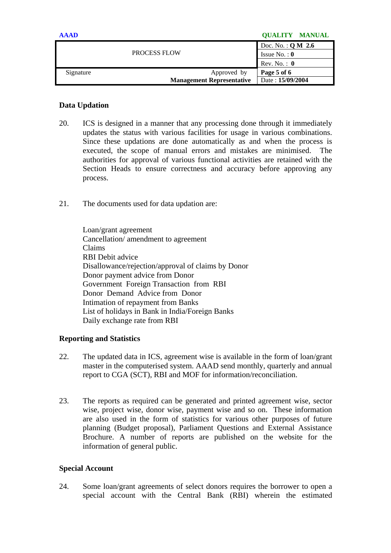| <b>AAAD</b>         |                                  | <b>OUALITY MANUAL</b>   |
|---------------------|----------------------------------|-------------------------|
|                     |                                  | Doc. No.: $Q M 2.6$     |
| <b>PROCESS FLOW</b> |                                  | Issue No.: $\mathbf{0}$ |
|                     |                                  | Rev. No.: $\mathbf{0}$  |
| Signature           | Approved by                      | Page 5 of 6             |
|                     | <b>Management Representative</b> | Date: 15/09/2004        |

## **Data Updation**

- 20. ICS is designed in a manner that any processing done through it immediately updates the status with various facilities for usage in various combinations. Since these updations are done automatically as and when the process is executed, the scope of manual errors and mistakes are minimised. The authorities for approval of various functional activities are retained with the Section Heads to ensure correctness and accuracy before approving any process.
- 21. The documents used for data updation are:

Loan/grant agreement Cancellation/ amendment to agreement Claims RBI Debit advice Disallowance/rejection/approval of claims by Donor Donor payment advice from Donor Government Foreign Transaction from RBI Donor Demand Advice from Donor Intimation of repayment from Banks List of holidays in Bank in India/Foreign Banks Daily exchange rate from RBI

## **Reporting and Statistics**

- 22. The updated data in ICS, agreement wise is available in the form of loan/grant master in the computerised system. AAAD send monthly, quarterly and annual report to CGA (SCT), RBI and MOF for information/reconciliation.
- 23. The reports as required can be generated and printed agreement wise, sector wise, project wise, donor wise, payment wise and so on. These information are also used in the form of statistics for various other purposes of future planning (Budget proposal), Parliament Questions and External Assistance Brochure. A number of reports are published on the website for the information of general public.

#### **Special Account**

24. Some loan/grant agreements of select donors requires the borrower to open a special account with the Central Bank (RBI) wherein the estimated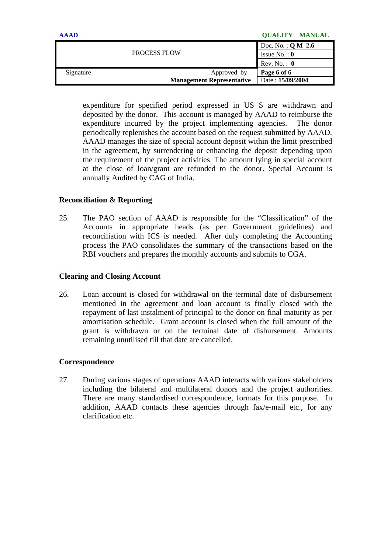| <b>AAAD</b>         |                                  | <b>OUALITY MANUAL</b>          |
|---------------------|----------------------------------|--------------------------------|
|                     |                                  | Doc. No.: $Q M 2.6$            |
| <b>PROCESS FLOW</b> |                                  | <b>Issue No.:</b> $\mathbf{0}$ |
|                     |                                  | Rev. No.: $\mathbf{0}$         |
| Signature           | Approved by                      | Page 6 of 6                    |
|                     | <b>Management Representative</b> | Date: 15/09/2004               |

expenditure for specified period expressed in US \$ are withdrawn and deposited by the donor. This account is managed by AAAD to reimburse the expenditure incurred by the project implementing agencies. The donor periodically replenishes the account based on the request submitted by AAAD. AAAD manages the size of special account deposit within the limit prescribed in the agreement, by surrendering or enhancing the deposit depending upon the requirement of the project activities. The amount lying in special account at the close of loan/grant are refunded to the donor. Special Account is annually Audited by CAG of India.

## **Reconciliation & Reporting**

25. The PAO section of AAAD is responsible for the "Classification" of the Accounts in appropriate heads (as per Government guidelines) and reconciliation with ICS is needed. After duly completing the Accounting process the PAO consolidates the summary of the transactions based on the RBI vouchers and prepares the monthly accounts and submits to CGA.

## **Clearing and Closing Account**

26. Loan account is closed for withdrawal on the terminal date of disbursement mentioned in the agreement and loan account is finally closed with the repayment of last instalment of principal to the donor on final maturity as per amortisation schedule. Grant account is closed when the full amount of the grant is withdrawn or on the terminal date of disbursement. Amounts remaining unutilised till that date are cancelled.

#### **Correspondence**

27. During various stages of operations AAAD interacts with various stakeholders including the bilateral and multilateral donors and the project authorities. There are many standardised correspondence, formats for this purpose. In addition, AAAD contacts these agencies through fax/e-mail etc., for any clarification etc.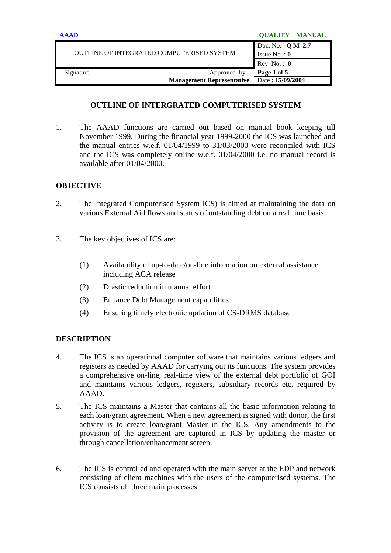| <b>AAAD</b>                                      |                                  | <b>OUALITY MANUAL</b> |  |
|--------------------------------------------------|----------------------------------|-----------------------|--|
|                                                  |                                  | Doc. No.: $Q M 2.7$   |  |
| <b>OUTLINE OF INTEGRATED COMPUTERISED SYSTEM</b> |                                  | Issue No.: $0$        |  |
|                                                  |                                  | Rev. No. : 0          |  |
| Signature                                        | Approved by                      | Page 1 of 5           |  |
|                                                  | <b>Management Representative</b> | Date: 15/09/2004      |  |

## **OUTLINE OF INTERGRATED COMPUTERISED SYSTEM**

1. The AAAD functions are carried out based on manual book keeping till November 1999. During the financial year 1999-2000 the ICS was launched and the manual entries w.e.f. 01/04/1999 to 31/03/2000 were reconciled with ICS and the ICS was completely online w.e.f. 01/04/2000 i.e. no manual record is available after 01/04/2000.

## **OBJECTIVE**

- 2. The Integrated Computerised System ICS) is aimed at maintaining the data on various External Aid flows and status of outstanding debt on a real time basis.
- 3. The key objectives of ICS are:
	- (1) Availability of up-to-date/on-line information on external assistance including ACA release
	- (2) Drastic reduction in manual effort
	- (3) Enhance Debt Management capabilities
	- (4) Ensuring timely electronic updation of CS-DRMS database

## **DESCRIPTION**

- 4. The ICS is an operational computer software that maintains various ledgers and registers as needed by AAAD for carrying out its functions. The system provides a comprehensive on-line, real-time view of the external debt portfolio of GOI and maintains various ledgers, registers, subsidiary records etc. required by AAAD.
- 5. The ICS maintains a Master that contains all the basic information relating to each loan/grant agreement. When a new agreement is signed with donor, the first activity is to create loan/grant Master in the ICS. Any amendments to the provision of the agreement are captured in ICS by updating the master or through cancellation/enhancement screen.
- 6. The ICS is controlled and operated with the main server at the EDP and network consisting of client machines with the users of the computerised systems. The ICS consists of three main processes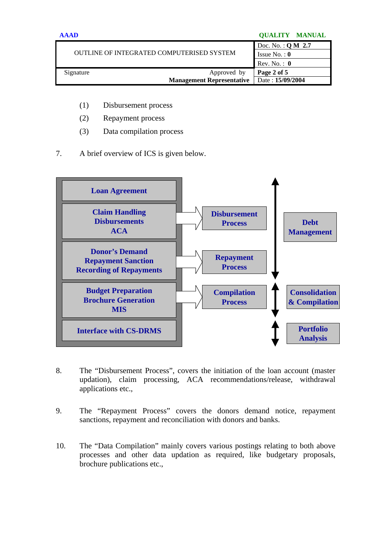| <b>AAAD</b>                                      | <b>OUALITY MANUAL</b>  |
|--------------------------------------------------|------------------------|
|                                                  | Doc. No.: $Q M$ 2.7    |
| <b>OUTLINE OF INTEGRATED COMPUTERISED SYSTEM</b> | Issue No.: $0$         |
|                                                  | Rev. No.: $\mathbf{0}$ |
| Signature<br>Approved by                         | Page 2 of 5            |
| <b>Management Representative</b>                 | Date: 15/09/2004       |

- (1) Disbursement process
- (2) Repayment process
- (3) Data compilation process
- 7. A brief overview of ICS is given below.



- 8. The "Disbursement Process", covers the initiation of the loan account (master updation), claim processing, ACA recommendations/release, withdrawal applications etc.,
- 9. The "Repayment Process" covers the donors demand notice, repayment sanctions, repayment and reconciliation with donors and banks.
- 10. The "Data Compilation" mainly covers various postings relating to both above processes and other data updation as required, like budgetary proposals, brochure publications etc.,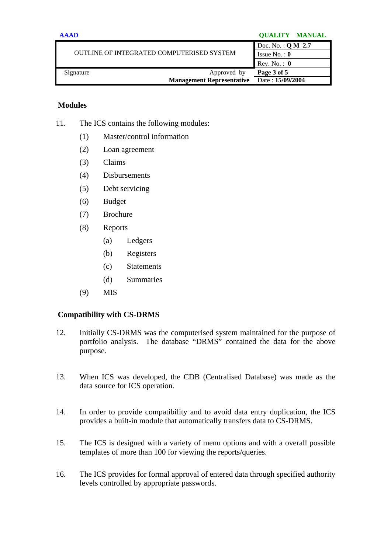| <b>AAAD</b>                                      |                                  | <b>QUALITY MANUAL</b>   |
|--------------------------------------------------|----------------------------------|-------------------------|
|                                                  |                                  | Doc. No.: $Q M 2.7$     |
| <b>OUTLINE OF INTEGRATED COMPUTERISED SYSTEM</b> |                                  | Issue No.: $\mathbf{0}$ |
|                                                  |                                  | Rev. No.: $\mathbf{0}$  |
| Signature                                        | Approved by                      | Page 3 of 5             |
|                                                  | <b>Management Representative</b> | Date: 15/09/2004        |

#### **Modules**

- 11. The ICS contains the following modules:
	- (1) Master/control information
	- (2) Loan agreement
	- (3) Claims
	- (4) Disbursements
	- (5) Debt servicing
	- (6) Budget
	- (7) Brochure
	- (8) Reports
		- (a) Ledgers
		- (b) Registers
		- (c) Statements
		- (d) Summaries
	- (9) MIS

#### **Compatibility with CS-DRMS**

- 12. Initially CS-DRMS was the computerised system maintained for the purpose of portfolio analysis. The database "DRMS" contained the data for the above purpose.
- 13. When ICS was developed, the CDB (Centralised Database) was made as the data source for ICS operation.
- 14. In order to provide compatibility and to avoid data entry duplication, the ICS provides a built-in module that automatically transfers data to CS-DRMS.
- 15. The ICS is designed with a variety of menu options and with a overall possible templates of more than 100 for viewing the reports/queries.
- 16. The ICS provides for formal approval of entered data through specified authority levels controlled by appropriate passwords.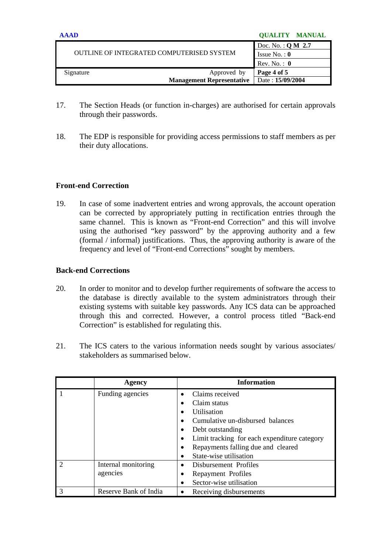| <b>AAAD</b>                                      |                                  | <b>QUALITY MANUAL</b>  |  |
|--------------------------------------------------|----------------------------------|------------------------|--|
|                                                  |                                  | Doc. No.: $Q M 2.7$    |  |
| <b>OUTLINE OF INTEGRATED COMPUTERISED SYSTEM</b> |                                  | Issue No.: $0$         |  |
|                                                  |                                  | Rev. No.: $\mathbf{0}$ |  |
| Signature                                        | Approved by                      | Page 4 of 5            |  |
|                                                  | <b>Management Representative</b> | Date: 15/09/2004       |  |

- 17. The Section Heads (or function in-charges) are authorised for certain approvals through their passwords.
- 18. The EDP is responsible for providing access permissions to staff members as per their duty allocations.

## **Front-end Correction**

19. In case of some inadvertent entries and wrong approvals, the account operation can be corrected by appropriately putting in rectification entries through the same channel. This is known as "Front-end Correction" and this will involve using the authorised "key password" by the approving authority and a few (formal / informal) justifications. Thus, the approving authority is aware of the frequency and level of "Front-end Corrections" sought by members.

## **Back-end Corrections**

- 20. In order to monitor and to develop further requirements of software the access to the database is directly available to the system administrators through their existing systems with suitable key passwords. Any ICS data can be approached through this and corrected. However, a control process titled "Back-end Correction" is established for regulating this.
- 21. The ICS caters to the various information needs sought by various associates/ stakeholders as summarised below.

|               | Agency                | <b>Information</b>                           |
|---------------|-----------------------|----------------------------------------------|
|               | Funding agencies      | Claims received                              |
|               |                       | Claim status                                 |
|               |                       | <b>Utilisation</b>                           |
|               |                       | Cumulative un-disbursed balances             |
|               |                       | Debt outstanding                             |
|               |                       | Limit tracking for each expenditure category |
|               |                       | Repayments falling due and cleared           |
|               |                       | State-wise utilisation                       |
|               | Internal monitoring   | Disbursement Profiles                        |
|               | agencies              | Repayment Profiles                           |
|               |                       | Sector-wise utilisation                      |
| $\mathcal{R}$ | Reserve Bank of India | Receiving disbursements                      |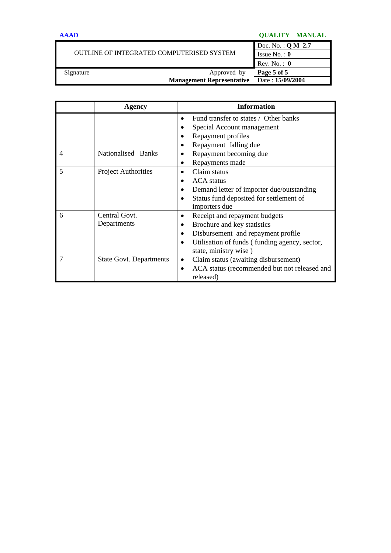## **AAAD QUALITY MANUAL**

|                                           |                                  | Doc. No.: $Q M$ 2.7     |
|-------------------------------------------|----------------------------------|-------------------------|
| OUTLINE OF INTEGRATED COMPUTERISED SYSTEM |                                  | Issue No.: $\mathbf{0}$ |
|                                           |                                  | Rev. No.: $\mathbf{0}$  |
| Signature                                 | Approved by                      | Page 5 of 5             |
|                                           | <b>Management Representative</b> | Date: 15/09/2004        |

|   | <b>Agency</b>                  | <b>Information</b>                                                                                                                                                                                     |  |
|---|--------------------------------|--------------------------------------------------------------------------------------------------------------------------------------------------------------------------------------------------------|--|
|   |                                | Fund transfer to states / Other banks<br>Special Account management<br>Repayment profiles<br>Repayment falling due                                                                                     |  |
| 4 | Nationalised Banks             | Repayment becoming due<br>Repayments made                                                                                                                                                              |  |
| 5 | <b>Project Authorities</b>     | Claim status<br><b>ACA</b> status<br>Demand letter of importer due/outstanding<br>Status fund deposited for settlement of<br>$\bullet$<br>importers due                                                |  |
| 6 | Central Govt.<br>Departments   | Receipt and repayment budgets<br>Brochure and key statistics<br>$\bullet$<br>Disbursement and repayment profile<br>Utilisation of funds (funding agency, sector,<br>$\bullet$<br>state, ministry wise) |  |
| 7 | <b>State Govt. Departments</b> | Claim status (awaiting disbursement)<br>$\bullet$<br>ACA status (recommended but not released and<br>$\bullet$<br>released)                                                                            |  |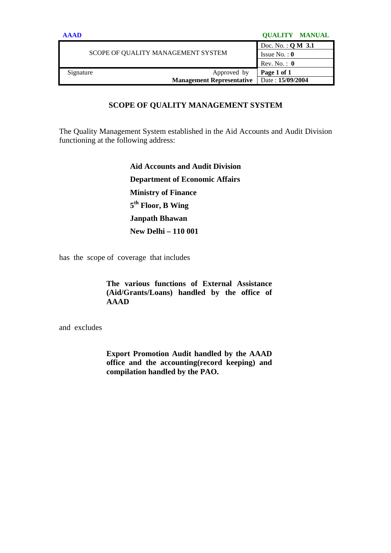| <b>AAAD</b>                        |                                  | <b>OUALITY MANUAL</b>  |
|------------------------------------|----------------------------------|------------------------|
|                                    |                                  | Doc. No.: $Q M$ 3.1    |
| SCOPE OF OUALITY MANAGEMENT SYSTEM |                                  | Issue No.: $0$         |
|                                    |                                  | Rev. No.: $\mathbf{0}$ |
| Signature                          | Approved by                      | Page 1 of 1            |
|                                    | <b>Management Representative</b> | Date: 15/09/2004       |

## **SCOPE OF QUALITY MANAGEMENT SYSTEM**

The Quality Management System established in the Aid Accounts and Audit Division functioning at the following address:

> **Aid Accounts and Audit Division Department of Economic Affairs Ministry of Finance 5th Floor, B Wing Janpath Bhawan New Delhi – 110 001**

has the scope of coverage that includes

**The various functions of External Assistance (Aid/Grants/Loans) handled by the office of AAAD** 

and excludes

**Export Promotion Audit handled by the AAAD office and the accounting(record keeping) and compilation handled by the PAO.**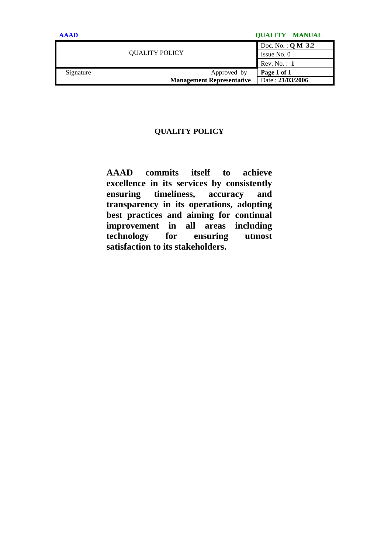| <b>AAAD</b>           |                                  | <b>OUALITY MANUAL</b> |
|-----------------------|----------------------------------|-----------------------|
|                       |                                  | Doc. No.: $Q M$ 3.2   |
| <b>OUALITY POLICY</b> |                                  | Issue No. 0           |
|                       |                                  | Rev. No.: $1$         |
| Signature             | Approved by                      | Page 1 of 1           |
|                       | <b>Management Representative</b> | Date: 21/03/2006      |

# **QUALITY POLICY**

**AAAD commits itself to achieve excellence in its services by consistently ensuring timeliness, accuracy and transparency in its operations, adopting best practices and aiming for continual improvement in all areas including technology for ensuring utmost satisfaction to its stakeholders.**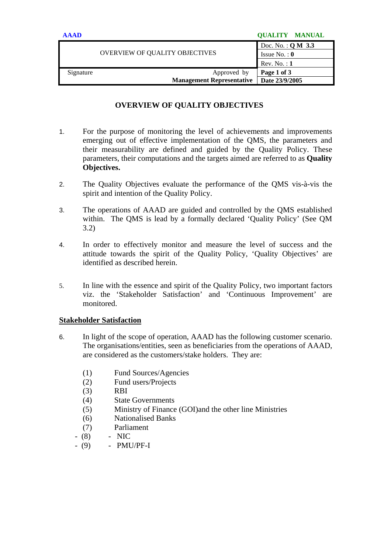| <b>AAAD</b> |                                       | <b>OUALITY MANUAL</b> |
|-------------|---------------------------------------|-----------------------|
|             |                                       | Doc. No.: $Q M$ 3.3   |
|             | <b>OVERVIEW OF OUALITY OBJECTIVES</b> | Issue No.: $0$        |
|             |                                       | Rev. No. : 1          |
| Signature   | Approved by                           | Page 1 of 3           |
|             | <b>Management Representative</b>      | Date 23/9/2005        |

## **OVERVIEW OF QUALITY OBJECTIVES**

- 1. For the purpose of monitoring the level of achievements and improvements emerging out of effective implementation of the QMS, the parameters and their measurability are defined and guided by the Quality Policy. These parameters, their computations and the targets aimed are referred to as **Quality Objectives.**
- 2. The Quality Objectives evaluate the performance of the QMS vis-à-vis the spirit and intention of the Quality Policy.
- 3. The operations of AAAD are guided and controlled by the QMS established within. The QMS is lead by a formally declared 'Quality Policy' (See QM 3.2)
- 4. In order to effectively monitor and measure the level of success and the attitude towards the spirit of the Quality Policy, 'Quality Objectives' are identified as described herein.
- 5. In line with the essence and spirit of the Quality Policy, two important factors viz. the 'Stakeholder Satisfaction' and 'Continuous Improvement' are monitored.

#### **Stakeholder Satisfaction**

- 6. In light of the scope of operation, AAAD has the following customer scenario. The organisations/entities, seen as beneficiaries from the operations of AAAD, are considered as the customers/stake holders. They are:
	- (1) Fund Sources/Agencies
	- (2) Fund users/Projects
	- (3) RBI
	- (4) State Governments
	- (5) Ministry of Finance (GOI)and the other line Ministries
	- (6) Nationalised Banks
	- (7) Parliament
	- (8) NIC
	- (9) PMU/PF-I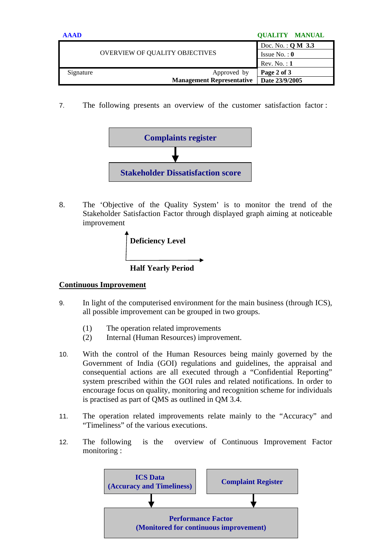| <b>AAAD</b>                           |                                  | <b>OUALITY MANUAL</b>          |
|---------------------------------------|----------------------------------|--------------------------------|
| <b>OVERVIEW OF QUALITY OBJECTIVES</b> |                                  | Doc. No.: Q M 3.3              |
|                                       |                                  | <b>Issue No.:</b> $\mathbf{0}$ |
|                                       |                                  | Rev. No. : 1                   |
| Signature                             | Approved by                      | Page 2 of 3                    |
|                                       | <b>Management Representative</b> | Date 23/9/2005                 |

7. The following presents an overview of the customer satisfaction factor :



8. The 'Objective of the Quality System' is to monitor the trend of the Stakeholder Satisfaction Factor through displayed graph aiming at noticeable improvement



## **Continuous Improvement**

- 9. In light of the computerised environment for the main business (through ICS), all possible improvement can be grouped in two groups.
	- (1) The operation related improvements
	- (2) Internal (Human Resources) improvement.
- 10. With the control of the Human Resources being mainly governed by the Government of India (GOI) regulations and guidelines, the appraisal and consequential actions are all executed through a "Confidential Reporting" system prescribed within the GOI rules and related notifications. In order to encourage focus on quality, monitoring and recognition scheme for individuals is practised as part of QMS as outlined in QM 3.4.
- 11. The operation related improvements relate mainly to the "Accuracy" and "Timeliness" of the various executions.
- 12. The following is the overview of Continuous Improvement Factor monitoring :

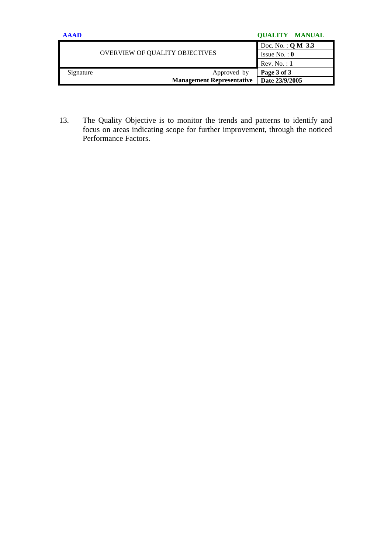| <b>AAAD</b> |                                       | <b>OUALITY MANUAL</b>   |
|-------------|---------------------------------------|-------------------------|
|             |                                       | Doc. No.: Q M 3.3       |
|             | <b>OVERVIEW OF QUALITY OBJECTIVES</b> | Issue No.: $\mathbf{0}$ |
|             |                                       | Rev. No. : 1            |
| Signature   | Approved by                           | Page 3 of 3             |
|             | <b>Management Representative</b>      | Date 23/9/2005          |

13. The Quality Objective is to monitor the trends and patterns to identify and focus on areas indicating scope for further improvement, through the noticed Performance Factors.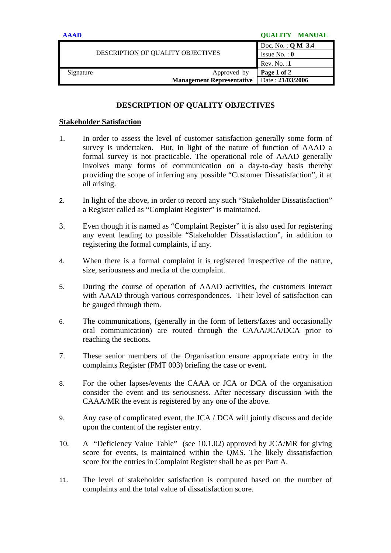| <b>AAAD</b>                       |                                  | <b>OUALITY MANUAL</b>   |
|-----------------------------------|----------------------------------|-------------------------|
|                                   |                                  | Doc. No.: $Q M$ 3.4     |
| DESCRIPTION OF QUALITY OBJECTIVES |                                  | Issue No.: $\mathbf{0}$ |
|                                   |                                  | Rev. No.: $1$           |
| Signature                         | Approved by                      | Page 1 of 2             |
|                                   | <b>Management Representative</b> | Date: 21/03/2006        |

# **DESCRIPTION OF QUALITY OBJECTIVES**

#### **Stakeholder Satisfaction**

- 1. In order to assess the level of customer satisfaction generally some form of survey is undertaken. But, in light of the nature of function of AAAD a formal survey is not practicable. The operational role of AAAD generally involves many forms of communication on a day-to-day basis thereby providing the scope of inferring any possible "Customer Dissatisfaction", if at all arising.
- 2. In light of the above, in order to record any such "Stakeholder Dissatisfaction" a Register called as "Complaint Register" is maintained.
- 3. Even though it is named as "Complaint Register" it is also used for registering any event leading to possible "Stakeholder Dissatisfaction", in addition to registering the formal complaints, if any.
- 4. When there is a formal complaint it is registered irrespective of the nature, size, seriousness and media of the complaint.
- 5. During the course of operation of AAAD activities, the customers interact with AAAD through various correspondences. Their level of satisfaction can be gauged through them.
- 6. The communications, (generally in the form of letters/faxes and occasionally oral communication) are routed through the CAAA/JCA/DCA prior to reaching the sections.
- 7. These senior members of the Organisation ensure appropriate entry in the complaints Register (FMT 003) briefing the case or event.
- 8. For the other lapses/events the CAAA or JCA or DCA of the organisation consider the event and its seriousness. After necessary discussion with the CAAA/MR the event is registered by any one of the above.
- 9. Any case of complicated event, the JCA / DCA will jointly discuss and decide upon the content of the register entry.
- 10. A "Deficiency Value Table" (see 10.1.02) approved by JCA/MR for giving score for events, is maintained within the QMS. The likely dissatisfaction score for the entries in Complaint Register shall be as per Part A.
- 11. The level of stakeholder satisfaction is computed based on the number of complaints and the total value of dissatisfaction score.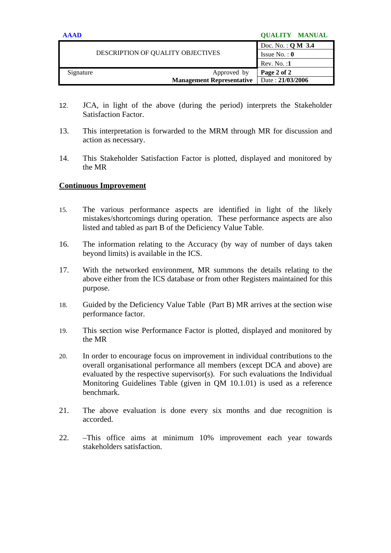| <b>AAAD</b> |                                   | <b>QUALITY MANUAL</b>   |
|-------------|-----------------------------------|-------------------------|
|             |                                   | Doc. No.: $Q M$ 3.4     |
|             | DESCRIPTION OF QUALITY OBJECTIVES | Issue No.: $\mathbf{0}$ |
|             |                                   | Rev. No.: $1$           |
| Signature   | Approved by                       | Page 2 of 2             |
|             | <b>Management Representative</b>  | Date: 21/03/2006        |

- 12. JCA, in light of the above (during the period) interprets the Stakeholder Satisfaction Factor.
- 13. This interpretation is forwarded to the MRM through MR for discussion and action as necessary.
- 14. This Stakeholder Satisfaction Factor is plotted, displayed and monitored by the MR

#### **Continuous Improvement**

- 15. The various performance aspects are identified in light of the likely mistakes/shortcomings during operation. These performance aspects are also listed and tabled as part B of the Deficiency Value Table.
- 16. The information relating to the Accuracy (by way of number of days taken beyond limits) is available in the ICS.
- 17. With the networked environment, MR summons the details relating to the above either from the ICS database or from other Registers maintained for this purpose.
- 18. Guided by the Deficiency Value Table (Part B) MR arrives at the section wise performance factor.
- 19. This section wise Performance Factor is plotted, displayed and monitored by the MR
- 20. In order to encourage focus on improvement in individual contributions to the overall organisational performance all members (except DCA and above) are evaluated by the respective supervisor(s). For such evaluations the Individual Monitoring Guidelines Table (given in QM 10.1.01) is used as a reference benchmark.
- 21. The above evaluation is done every six months and due recognition is accorded.
- 22. –This office aims at minimum 10% improvement each year towards stakeholders satisfaction.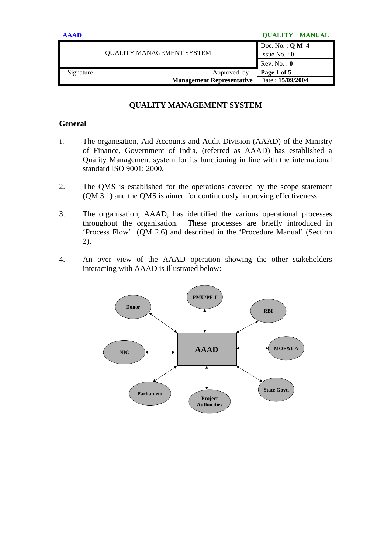| <b>AAAD</b> |                                  | <b>OUALITY MANUAL</b> |  |
|-------------|----------------------------------|-----------------------|--|
|             |                                  | Doc. No.: $Q M 4$     |  |
|             | <b>OUALITY MANAGEMENT SYSTEM</b> | Issue No.: $0$        |  |
|             |                                  | Rev. No.: $0$         |  |
| Signature   | Approved by                      | Page 1 of 5           |  |
|             | <b>Management Representative</b> | Date: 15/09/2004      |  |

# **QUALITY MANAGEMENT SYSTEM**

### **General**

- 1. The organisation, Aid Accounts and Audit Division (AAAD) of the Ministry of Finance, Government of India, (referred as AAAD) has established a Quality Management system for its functioning in line with the international standard ISO 9001: 2000.
- 2. The QMS is established for the operations covered by the scope statement (QM 3.1) and the QMS is aimed for continuously improving effectiveness.
- 3. The organisation, AAAD, has identified the various operational processes throughout the organisation. These processes are briefly introduced in 'Process Flow' (QM 2.6) and described in the 'Procedure Manual' (Section 2).
- 4. An over view of the AAAD operation showing the other stakeholders interacting with AAAD is illustrated below:

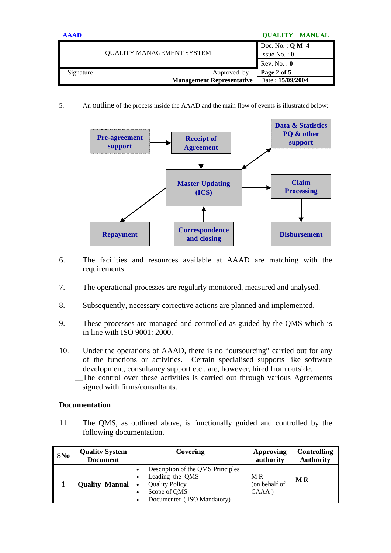| <b>AAAD</b> |                                  | <b>OUALITY MANUAL</b>          |
|-------------|----------------------------------|--------------------------------|
|             |                                  | Doc. No.: $Q M 4$              |
|             | <b>OUALITY MANAGEMENT SYSTEM</b> | <b>Issue No.:</b> $\mathbf{0}$ |
|             |                                  | Rev. No.: $0$                  |
| Signature   | Approved by                      | Page 2 of 5                    |
|             | <b>Management Representative</b> | Date: 15/09/2004               |

5. An outline of the process inside the AAAD and the main flow of events is illustrated below:



- 6. The facilities and resources available at AAAD are matching with the requirements.
- 7. The operational processes are regularly monitored, measured and analysed.
- 8. Subsequently, necessary corrective actions are planned and implemented.
- 9. These processes are managed and controlled as guided by the QMS which is in line with ISO 9001: 2000.
- 10. Under the operations of AAAD, there is no "outsourcing" carried out for any of the functions or activities. Certain specialised supports like software development, consultancy support etc., are, however, hired from outside. The control over these activities is carried out through various Agreements signed with firms/consultants.

# **Documentation**

11. The QMS, as outlined above, is functionally guided and controlled by the following documentation.

| <b>SNo</b> | <b>Quality System</b><br><b>Document</b> | Covering                                                                                                                         | <b>Approving</b><br>authority | Controlling<br><b>Authority</b> |
|------------|------------------------------------------|----------------------------------------------------------------------------------------------------------------------------------|-------------------------------|---------------------------------|
|            | <b>Quality Manual</b>                    | Description of the QMS Principles<br>Leading the QMS<br><b>Quality Policy</b><br>٠<br>Scope of QMS<br>Documented (ISO Mandatory) | M R<br>(on behalf of<br>CAAA) | <b>MR</b>                       |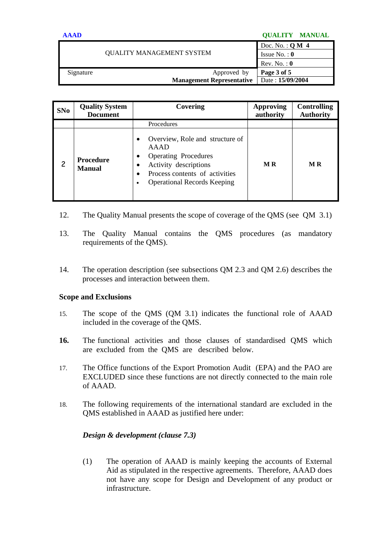| <b>AAAD</b> |                                  | <b>OUALITY MANUAL</b>   |
|-------------|----------------------------------|-------------------------|
|             |                                  | Doc. No.: $Q M 4$       |
|             | <b>OUALITY MANAGEMENT SYSTEM</b> | Issue No.: $\mathbf{0}$ |
|             |                                  | Rev. No.: $0$           |
| Signature   | Approved by                      | Page 3 of 5             |
|             | <b>Management Representative</b> | Date: 15/09/2004        |

| SNo | <b>Quality System</b><br><b>Document</b> | Covering                                                                                                                                                                                               | <b>Approving</b><br>authority | <b>Controlling</b><br><b>Authority</b> |
|-----|------------------------------------------|--------------------------------------------------------------------------------------------------------------------------------------------------------------------------------------------------------|-------------------------------|----------------------------------------|
|     |                                          | Procedures                                                                                                                                                                                             |                               |                                        |
|     | <b>Procedure</b><br><b>Manual</b>        | Overview, Role and structure of<br>$\bullet$<br>AAAD<br><b>Operating Procedures</b><br>$\bullet$<br>Activity descriptions<br>Process contents of activities<br><b>Operational Records Keeping</b><br>٠ | MR.                           | MR                                     |

- 12. The Quality Manual presents the scope of coverage of the QMS (see QM 3.1)
- 13. The Quality Manual contains the QMS procedures (as mandatory requirements of the QMS).
- 14. The operation description (see subsections QM 2.3 and QM 2.6) describes the processes and interaction between them.

### **Scope and Exclusions**

- 15. The scope of the QMS (QM 3.1) indicates the functional role of AAAD included in the coverage of the QMS.
- **16.** The functional activities and those clauses of standardised QMS which are excluded from the QMS are described below.
- 17. The Office functions of the Export Promotion Audit (EPA) and the PAO are EXCLUDED since these functions are not directly connected to the main role of AAAD.
- 18. The following requirements of the international standard are excluded in the QMS established in AAAD as justified here under:

# *Design & development (clause 7.3)*

(1) The operation of AAAD is mainly keeping the accounts of External Aid as stipulated in the respective agreements. Therefore, AAAD does not have any scope for Design and Development of any product or infrastructure.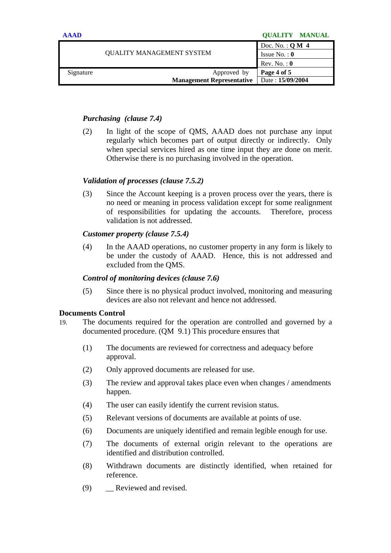| <b>AAAD</b> |                                  | <b>OUALITY MANUAL</b> |
|-------------|----------------------------------|-----------------------|
|             |                                  | Doc. No.: $Q M 4$     |
|             | <b>OUALITY MANAGEMENT SYSTEM</b> | Issue No.: $0$        |
|             |                                  | Rev. No. : 0          |
| Signature   | Approved by                      | Page 4 of 5           |
|             | <b>Management Representative</b> | Date: 15/09/2004      |

## *Purchasing (clause 7.4)*

(2) In light of the scope of QMS, AAAD does not purchase any input regularly which becomes part of output directly or indirectly. Only when special services hired as one time input they are done on merit. Otherwise there is no purchasing involved in the operation.

# *Validation of processes (clause 7.5.2)*

(3) Since the Account keeping is a proven process over the years, there is no need or meaning in process validation except for some realignment of responsibilities for updating the accounts. Therefore, process validation is not addressed.

### *Customer property (clause 7.5.4)*

(4) In the AAAD operations, no customer property in any form is likely to be under the custody of AAAD. Hence, this is not addressed and excluded from the QMS.

### *Control of monitoring devices (clause 7.6)*

(5) Since there is no physical product involved, monitoring and measuring devices are also not relevant and hence not addressed.

### **Documents Control**

- 19. The documents required for the operation are controlled and governed by a documented procedure. (QM 9.1) This procedure ensures that
	- (1) The documents are reviewed for correctness and adequacy before approval.
	- (2) Only approved documents are released for use.
	- (3) The review and approval takes place even when changes / amendments happen.
	- (4) The user can easily identify the current revision status.
	- (5) Relevant versions of documents are available at points of use.
	- (6) Documents are uniquely identified and remain legible enough for use.
	- (7) The documents of external origin relevant to the operations are identified and distribution controlled.
	- (8) Withdrawn documents are distinctly identified, when retained for reference.
	- (9) \_\_ Reviewed and revised.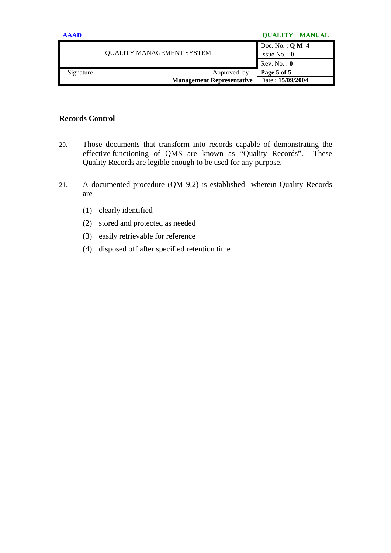| <b>AAAD</b> |                                  | <b>OUALITY MANUAL</b> |
|-------------|----------------------------------|-----------------------|
|             |                                  | Doc. No.: $Q M 4$     |
|             | <b>OUALITY MANAGEMENT SYSTEM</b> | Issue No.: $0$        |
|             |                                  | Rev. No.: $0$         |
| Signature   | Approved by                      | Page 5 of 5           |
|             | <b>Management Representative</b> | Date: 15/09/2004      |

### **Records Control**

- 20. Those documents that transform into records capable of demonstrating the effective functioning of QMS are known as "Quality Records". These Quality Records are legible enough to be used for any purpose.
- 21. A documented procedure (QM 9.2) is established wherein Quality Records are
	- (1) clearly identified
	- (2) stored and protected as needed
	- (3) easily retrievable for reference
	- (4) disposed off after specified retention time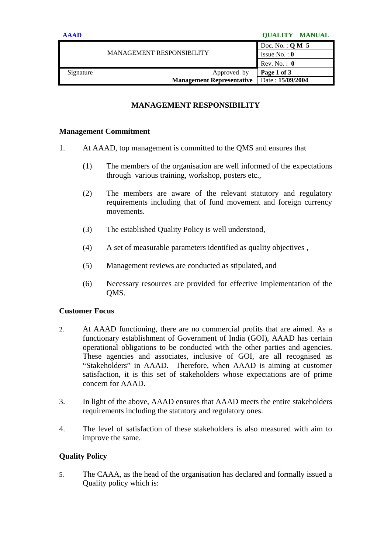| <b>AAAD</b> |                                  | <b>OUALITY MANUAL</b>  |
|-------------|----------------------------------|------------------------|
|             |                                  | Doc. No.: $Q M$ 5      |
|             | <b>MANAGEMENT RESPONSIBILITY</b> | Issue No.: $0$         |
|             |                                  | Rev. No.: $\mathbf{0}$ |
| Signature   | Approved by                      | Page 1 of 3            |
|             | <b>Management Representative</b> | Date: 15/09/2004       |

# **MANAGEMENT RESPONSIBILITY**

#### **Management Commitment**

- 1. At AAAD, top management is committed to the QMS and ensures that
	- (1) The members of the organisation are well informed of the expectations through various training, workshop, posters etc.,
	- (2) The members are aware of the relevant statutory and regulatory requirements including that of fund movement and foreign currency movements.
	- (3) The established Quality Policy is well understood,
	- (4) A set of measurable parameters identified as quality objectives ,
	- (5) Management reviews are conducted as stipulated, and
	- (6) Necessary resources are provided for effective implementation of the QMS.

#### **Customer Focus**

- 2. At AAAD functioning, there are no commercial profits that are aimed. As a functionary establishment of Government of India (GOI), AAAD has certain operational obligations to be conducted with the other parties and agencies. These agencies and associates, inclusive of GOI, are all recognised as "Stakeholders" in AAAD. Therefore, when AAAD is aiming at customer satisfaction, it is this set of stakeholders whose expectations are of prime concern for AAAD.
- 3. In light of the above, AAAD ensures that AAAD meets the entire stakeholders requirements including the statutory and regulatory ones.
- 4. The level of satisfaction of these stakeholders is also measured with aim to improve the same.

## **Quality Policy**

5. The CAAA, as the head of the organisation has declared and formally issued a Quality policy which is: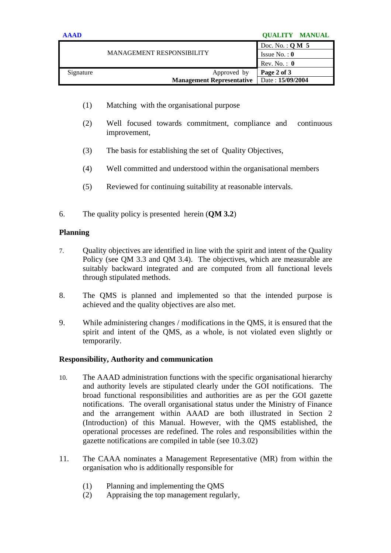| <b>AAAD</b> |                                  | <b>OUALITY MANUAL</b>   |
|-------------|----------------------------------|-------------------------|
|             |                                  | Doc. No.: $Q M$ 5       |
|             | <b>MANAGEMENT RESPONSIBILITY</b> | Issue No.: $\mathbf{0}$ |
|             |                                  | Rev. No.: $\mathbf{0}$  |
| Signature   | Approved by                      | Page 2 of 3             |
|             | <b>Management Representative</b> | Date: 15/09/2004        |

- (1) Matching with the organisational purpose
- (2) Well focused towards commitment, compliance and continuous improvement,
- (3) The basis for establishing the set of Quality Objectives,
- (4) Well committed and understood within the organisational members
- (5) Reviewed for continuing suitability at reasonable intervals.
- 6. The quality policy is presented herein (**QM 3.2**)

## **Planning**

- 7. Quality objectives are identified in line with the spirit and intent of the Quality Policy (see QM 3.3 and QM 3.4). The objectives, which are measurable are suitably backward integrated and are computed from all functional levels through stipulated methods.
- 8. The QMS is planned and implemented so that the intended purpose is achieved and the quality objectives are also met.
- 9. While administering changes / modifications in the QMS, it is ensured that the spirit and intent of the QMS, as a whole, is not violated even slightly or temporarily.

# **Responsibility, Authority and communication**

- 10. The AAAD administration functions with the specific organisational hierarchy and authority levels are stipulated clearly under the GOI notifications. The broad functional responsibilities and authorities are as per the GOI gazette notifications. The overall organisational status under the Ministry of Finance and the arrangement within AAAD are both illustrated in Section 2 (Introduction) of this Manual. However, with the QMS established, the operational processes are redefined. The roles and responsibilities within the gazette notifications are compiled in table (see 10.3.02)
- 11. The CAAA nominates a Management Representative (MR) from within the organisation who is additionally responsible for
	- (1) Planning and implementing the QMS
	- (2) Appraising the top management regularly,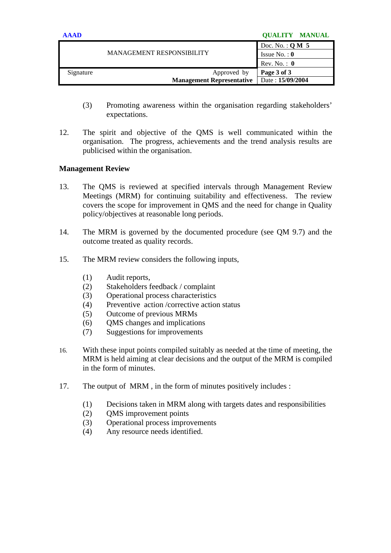| <b>AAAD</b> |                                  | <b>OUALITY MANUAL</b>  |
|-------------|----------------------------------|------------------------|
|             |                                  | Doc. No.: $Q M$ 5      |
|             | MANAGEMENT RESPONSIBILITY        | Issue No.: $0$         |
|             |                                  | Rev. No.: $\mathbf{0}$ |
| Signature   | Approved by                      | Page 3 of 3            |
|             | <b>Management Representative</b> | Date: 15/09/2004       |

- (3) Promoting awareness within the organisation regarding stakeholders' expectations.
- 12. The spirit and objective of the QMS is well communicated within the organisation. The progress, achievements and the trend analysis results are publicised within the organisation.

## **Management Review**

- 13. The QMS is reviewed at specified intervals through Management Review Meetings (MRM) for continuing suitability and effectiveness. The review covers the scope for improvement in QMS and the need for change in Quality policy/objectives at reasonable long periods.
- 14. The MRM is governed by the documented procedure (see QM 9.7) and the outcome treated as quality records.
- 15. The MRM review considers the following inputs,
	- (1) Audit reports,
	- (2) Stakeholders feedback / complaint
	- (3) Operational process characteristics
	- (4) Preventive action /corrective action status
	- (5) Outcome of previous MRMs
	- (6) QMS changes and implications
	- (7) Suggestions for improvements
- 16. With these input points compiled suitably as needed at the time of meeting, the MRM is held aiming at clear decisions and the output of the MRM is compiled in the form of minutes.
- 17. The output of MRM , in the form of minutes positively includes :
	- (1) Decisions taken in MRM along with targets dates and responsibilities
	- (2) QMS improvement points
	- (3) Operational process improvements
	- (4) Any resource needs identified.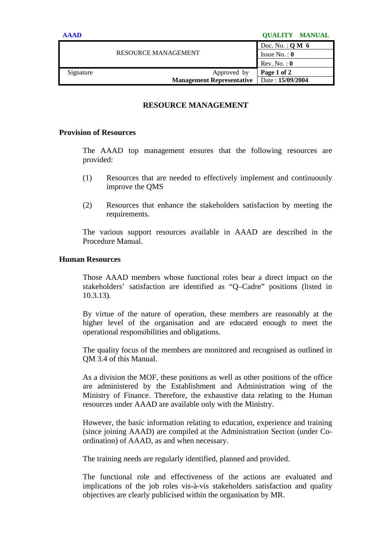| <b>AAAD</b>                |                                  | <b>OUALITY MANUAL</b> |
|----------------------------|----------------------------------|-----------------------|
|                            |                                  | Doc. No.: $Q M 6$     |
| <b>RESOURCE MANAGEMENT</b> |                                  | Issue No.: $0$        |
|                            |                                  | Rev. No.: $0$         |
| Signature                  | Approved by                      | Page 1 of 2           |
|                            | <b>Management Representative</b> | Date: 15/09/2004      |

## **RESOURCE MANAGEMENT**

#### **Provision of Resources**

The AAAD top management ensures that the following resources are provided:

- (1) Resources that are needed to effectively implement and continuously improve the QMS
- (2) Resources that enhance the stakeholders satisfaction by meeting the requirements.

The various support resources available in AAAD are described in the Procedure Manual.

#### **Human Resources**

Those AAAD members whose functional roles bear a direct impact on the stakeholders' satisfaction are identified as "Q–Cadre" positions (listed in 10.3.13).

By virtue of the nature of operation, these members are reasonably at the higher level of the organisation and are educated enough to meet the operational responsibilities and obligations.

The quality focus of the members are monitored and recognised as outlined in QM 3.4 of this Manual.

As a division the MOF, these positions as well as other positions of the office are administered by the Establishment and Administration wing of the Ministry of Finance. Therefore, the exhaustive data relating to the Human resources under AAAD are available only with the Ministry.

However, the basic information relating to education, experience and training (since joining AAAD) are compiled at the Administration Section (under Coordination) of AAAD, as and when necessary.

The training needs are regularly identified, planned and provided.

The functional role and effectiveness of the actions are evaluated and implications of the job roles vis-à-vis stakeholders satisfaction and quality objectives are clearly publicised within the organisation by MR.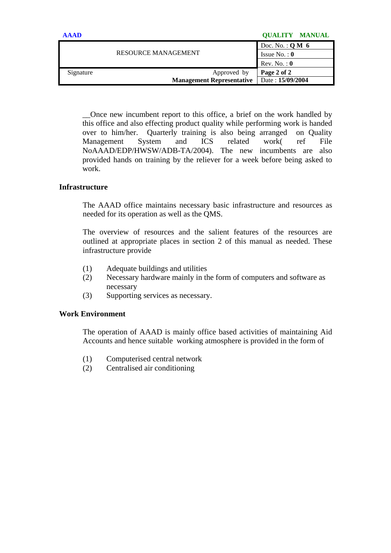| <b>AAAD</b> |                                  | <b>QUALITY MANUAL</b>          |
|-------------|----------------------------------|--------------------------------|
|             |                                  | Doc. No.: $QM$ 6               |
|             | RESOURCE MANAGEMENT              | <b>Issue No.:</b> $\mathbf{0}$ |
|             |                                  | Rev. No.: $0$                  |
| Signature   | Approved by                      | Page 2 of 2                    |
|             | <b>Management Representative</b> | Date: 15/09/2004               |

\_\_Once new incumbent report to this office, a brief on the work handled by this office and also effecting product quality while performing work is handed over to him/her. Quarterly training is also being arranged on Quality Management System and ICS related work( ref File NoAAAD/EDP/HWSW/ADB-TA/2004). The new incumbents are also provided hands on training by the reliever for a week before being asked to work.

### **Infrastructure**

The AAAD office maintains necessary basic infrastructure and resources as needed for its operation as well as the QMS.

The overview of resources and the salient features of the resources are outlined at appropriate places in section 2 of this manual as needed. These infrastructure provide

- (1) Adequate buildings and utilities
- (2) Necessary hardware mainly in the form of computers and software as necessary
- (3) Supporting services as necessary.

### **Work Environment**

The operation of AAAD is mainly office based activities of maintaining Aid Accounts and hence suitable working atmosphere is provided in the form of

- (1) Computerised central network
- (2) Centralised air conditioning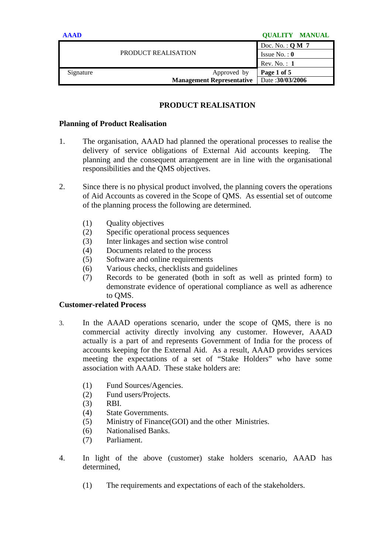| <b>AAAD</b>         |                                  | <b>OUALITY MANUAL</b> |
|---------------------|----------------------------------|-----------------------|
| PRODUCT REALISATION |                                  | Doc. No.: $Q M$ 7     |
|                     |                                  | Issue No.: $0$        |
|                     |                                  | Rev. No. : 1          |
| Signature           | Approved by                      | Page 1 of 5           |
|                     | <b>Management Representative</b> | Date: 30/03/2006      |

# **PRODUCT REALISATION**

## **Planning of Product Realisation**

- 1. The organisation, AAAD had planned the operational processes to realise the delivery of service obligations of External Aid accounts keeping. The planning and the consequent arrangement are in line with the organisational responsibilities and the QMS objectives.
- 2. Since there is no physical product involved, the planning covers the operations of Aid Accounts as covered in the Scope of QMS. As essential set of outcome of the planning process the following are determined.
	- (1) Quality objectives
	- (2) Specific operational process sequences
	- (3) Inter linkages and section wise control
	- (4) Documents related to the process
	- (5) Software and online requirements
	- (6) Various checks, checklists and guidelines
	- (7) Records to be generated (both in soft as well as printed form) to demonstrate evidence of operational compliance as well as adherence to QMS.

# **Customer-related Process**

- 3. In the AAAD operations scenario, under the scope of QMS, there is no commercial activity directly involving any customer. However, AAAD actually is a part of and represents Government of India for the process of accounts keeping for the External Aid. As a result, AAAD provides services meeting the expectations of a set of "Stake Holders" who have some association with AAAD. These stake holders are:
	- (1) Fund Sources/Agencies.
	- (2) Fund users/Projects.
	- (3) RBI.
	- (4) State Governments.
	- (5) Ministry of Finance(GOI) and the other Ministries.
	- (6) Nationalised Banks.
	- (7) Parliament.
- 4. In light of the above (customer) stake holders scenario, AAAD has determined,
	- (1) The requirements and expectations of each of the stakeholders.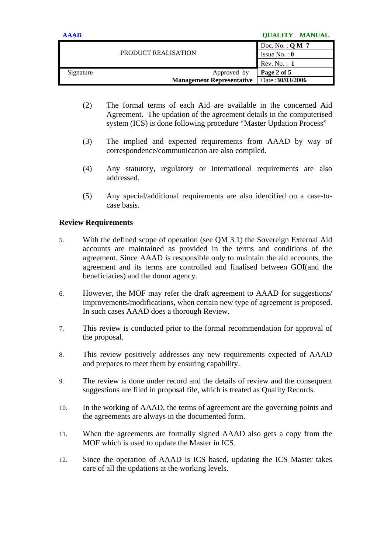| <b>AAAD</b> |                                  | <b>OUALITY MANUAL</b> |
|-------------|----------------------------------|-----------------------|
|             |                                  | Doc. No.: $Q M$ 7     |
|             | PRODUCT REALISATION              | Issue No.: $0$        |
|             |                                  | Rev. No. : 1          |
| Signature   | Approved by                      | Page 2 of 5           |
|             | <b>Management Representative</b> | Date: 30/03/2006      |

- (2) The formal terms of each Aid are available in the concerned Aid Agreement. The updation of the agreement details in the computerised system (ICS) is done following procedure "Master Updation Process"
- (3) The implied and expected requirements from AAAD by way of correspondence/communication are also compiled.
- (4) Any statutory, regulatory or international requirements are also addressed.
- (5) Any special/additional requirements are also identified on a case-tocase basis.

# **Review Requirements**

- 5. With the defined scope of operation (see QM 3.1) the Sovereign External Aid accounts are maintained as provided in the terms and conditions of the agreement. Since AAAD is responsible only to maintain the aid accounts, the agreement and its terms are controlled and finalised between GOI(and the beneficiaries) and the donor agency.
- 6. However, the MOF may refer the draft agreement to AAAD for suggestions/ improvements/modifications, when certain new type of agreement is proposed. In such cases AAAD does a thorough Review.
- 7. This review is conducted prior to the formal recommendation for approval of the proposal.
- 8. This review positively addresses any new requirements expected of AAAD and prepares to meet them by ensuring capability.
- 9. The review is done under record and the details of review and the consequent suggestions are filed in proposal file, which is treated as Quality Records.
- 10. In the working of AAAD, the terms of agreement are the governing points and the agreements are always in the documented form.
- 11. When the agreements are formally signed AAAD also gets a copy from the MOF which is used to update the Master in ICS.
- 12. Since the operation of AAAD is ICS based, updating the ICS Master takes care of all the updations at the working levels.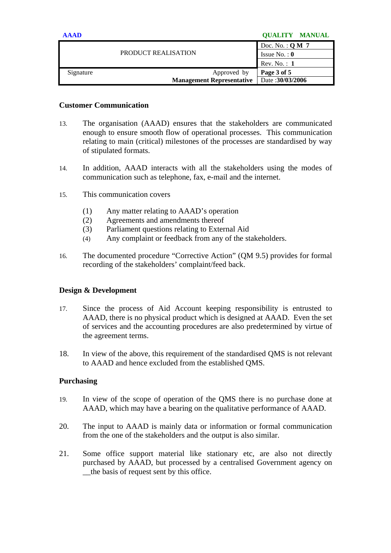| <b>AAAD</b>         |                                  | <b>OUALITY MANUAL</b>   |
|---------------------|----------------------------------|-------------------------|
|                     |                                  | Doc. No.: $Q M$ 7       |
| PRODUCT REALISATION |                                  | Issue No.: $\mathbf{0}$ |
|                     |                                  | Rev. No. : 1            |
| Signature           | Approved by                      | Page 3 of 5             |
|                     | <b>Management Representative</b> | Date: 30/03/2006        |

### **Customer Communication**

- 13. The organisation (AAAD) ensures that the stakeholders are communicated enough to ensure smooth flow of operational processes. This communication relating to main (critical) milestones of the processes are standardised by way of stipulated formats.
- 14. In addition, AAAD interacts with all the stakeholders using the modes of communication such as telephone, fax, e-mail and the internet.
- 15. This communication covers
	- (1) Any matter relating to AAAD's operation
	- (2) Agreements and amendments thereof
	- (3) Parliament questions relating to External Aid
	- (4) Any complaint or feedback from any of the stakeholders.
- 16. The documented procedure "Corrective Action" (QM 9.5) provides for formal recording of the stakeholders' complaint/feed back.

### **Design & Development**

- 17. Since the process of Aid Account keeping responsibility is entrusted to AAAD, there is no physical product which is designed at AAAD. Even the set of services and the accounting procedures are also predetermined by virtue of the agreement terms.
- 18. In view of the above, this requirement of the standardised QMS is not relevant to AAAD and hence excluded from the established QMS.

### **Purchasing**

- 19. In view of the scope of operation of the QMS there is no purchase done at AAAD, which may have a bearing on the qualitative performance of AAAD.
- 20. The input to AAAD is mainly data or information or formal communication from the one of the stakeholders and the output is also similar.
- 21. Some office support material like stationary etc, are also not directly purchased by AAAD, but processed by a centralised Government agency on \_\_the basis of request sent by this office.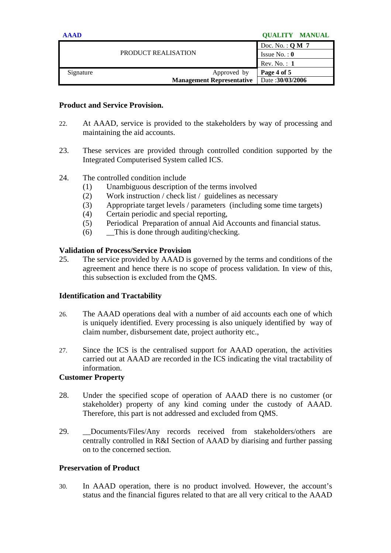| <b>AAAD</b> |                                  | <b>OUALITY MANUAL</b> |
|-------------|----------------------------------|-----------------------|
|             |                                  | Doc. No.: $Q M$ 7     |
|             | PRODUCT REALISATION              | Issue No.: $0$        |
|             |                                  | Rev. No. : 1          |
| Signature   | Approved by                      | Page 4 of 5           |
|             | <b>Management Representative</b> | Date: 30/03/2006      |

## **Product and Service Provision.**

- 22. At AAAD, service is provided to the stakeholders by way of processing and maintaining the aid accounts.
- 23. These services are provided through controlled condition supported by the Integrated Computerised System called ICS.
- 24. The controlled condition include
	- (1) Unambiguous description of the terms involved
	- (2) Work instruction / check list / guidelines as necessary
	- (3) Appropriate target levels / parameters (including some time targets)
	- (4) Certain periodic and special reporting,
	- (5) Periodical Preparation of annual Aid Accounts and financial status.
	- (6) \_\_This is done through auditing/checking.

### **Validation of Process/Service Provision**

25. The service provided by AAAD is governed by the terms and conditions of the agreement and hence there is no scope of process validation. In view of this, this subsection is excluded from the QMS.

### **Identification and Tractability**

- 26. The AAAD operations deal with a number of aid accounts each one of which is uniquely identified. Every processing is also uniquely identified by way of claim number, disbursement date, project authority etc.,
- 27. Since the ICS is the centralised support for AAAD operation, the activities carried out at AAAD are recorded in the ICS indicating the vital tractability of information.

### **Customer Property**

- 28. Under the specified scope of operation of AAAD there is no customer (or stakeholder) property of any kind coming under the custody of AAAD. Therefore, this part is not addressed and excluded from QMS.
- 29. \_\_Documents/Files/Any records received from stakeholders/others are centrally controlled in R&I Section of AAAD by diarising and further passing on to the concerned section.

### **Preservation of Product**

30. In AAAD operation, there is no product involved. However, the account's status and the financial figures related to that are all very critical to the AAAD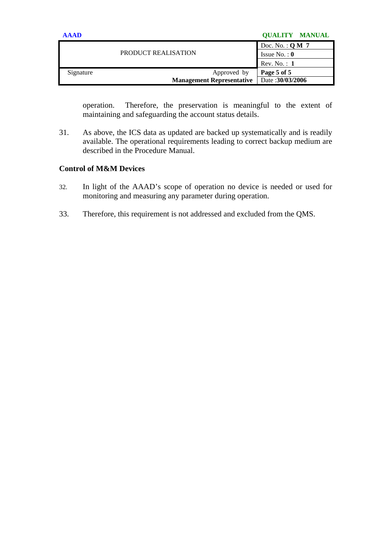| <b>AAAD</b>         |                                  | <b>OUALITY MANUAL</b>   |
|---------------------|----------------------------------|-------------------------|
|                     |                                  | Doc. No.: $Q M$ 7       |
| PRODUCT REALISATION |                                  | Issue No.: $\mathbf{0}$ |
|                     |                                  | Rev. No. : 1            |
| Signature           | Approved by                      | Page 5 of 5             |
|                     | <b>Management Representative</b> | Date: 30/03/2006        |

operation. Therefore, the preservation is meaningful to the extent of maintaining and safeguarding the account status details.

31. As above, the ICS data as updated are backed up systematically and is readily available. The operational requirements leading to correct backup medium are described in the Procedure Manual.

# **Control of M&M Devices**

- 32. In light of the AAAD's scope of operation no device is needed or used for monitoring and measuring any parameter during operation.
- 33. Therefore, this requirement is not addressed and excluded from the QMS.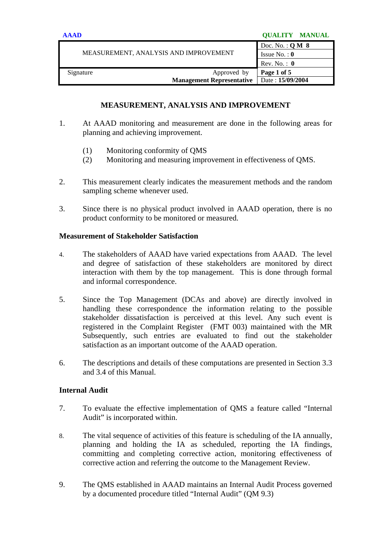| <b>AAAD</b>                           |                                  | <b>OUALITY MANUAL</b>   |  |
|---------------------------------------|----------------------------------|-------------------------|--|
|                                       |                                  | Doc. No.: $Q M 8$       |  |
| MEASUREMENT, ANALYSIS AND IMPROVEMENT |                                  | Issue No.: $\mathbf{0}$ |  |
|                                       |                                  | Rev. No.: $\mathbf{0}$  |  |
| Signature                             | Approved by                      | Page 1 of 5             |  |
|                                       | <b>Management Representative</b> | Date: 15/09/2004        |  |

# **MEASUREMENT, ANALYSIS AND IMPROVEMENT**

- 1. At AAAD monitoring and measurement are done in the following areas for planning and achieving improvement.
	- (1) Monitoring conformity of QMS
	- (2) Monitoring and measuring improvement in effectiveness of QMS.
- 2. This measurement clearly indicates the measurement methods and the random sampling scheme whenever used.
- 3. Since there is no physical product involved in AAAD operation, there is no product conformity to be monitored or measured.

### **Measurement of Stakeholder Satisfaction**

- 4. The stakeholders of AAAD have varied expectations from AAAD. The level and degree of satisfaction of these stakeholders are monitored by direct interaction with them by the top management. This is done through formal and informal correspondence.
- 5. Since the Top Management (DCAs and above) are directly involved in handling these correspondence the information relating to the possible stakeholder dissatisfaction is perceived at this level. Any such event is registered in the Complaint Register (FMT 003) maintained with the MR Subsequently, such entries are evaluated to find out the stakeholder satisfaction as an important outcome of the AAAD operation.
- 6. The descriptions and details of these computations are presented in Section 3.3 and 3.4 of this Manual.

### **Internal Audit**

- 7. To evaluate the effective implementation of QMS a feature called "Internal Audit" is incorporated within.
- 8. The vital sequence of activities of this feature is scheduling of the IA annually, planning and holding the IA as scheduled, reporting the IA findings, committing and completing corrective action, monitoring effectiveness of corrective action and referring the outcome to the Management Review.
- 9. The QMS established in AAAD maintains an Internal Audit Process governed by a documented procedure titled "Internal Audit" (QM 9.3)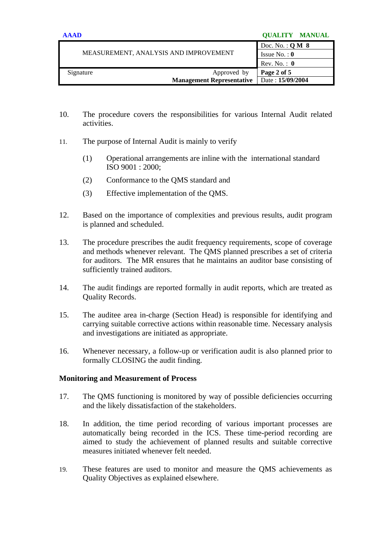| <b>AAAD</b>                           | <b>OUALITY MANUAL</b>  |
|---------------------------------------|------------------------|
|                                       | Doc. No.: $Q M 8$      |
| MEASUREMENT, ANALYSIS AND IMPROVEMENT | Issue No.: $0$         |
|                                       | Rev. No.: $\mathbf{0}$ |
| Signature<br>Approved by              | Page 2 of 5            |
| <b>Management Representative</b>      | Date: 15/09/2004       |

- 10. The procedure covers the responsibilities for various Internal Audit related activities.
- 11. The purpose of Internal Audit is mainly to verify
	- (1) Operational arrangements are inline with the international standard ISO 9001 : 2000;
	- (2) Conformance to the QMS standard and
	- (3) Effective implementation of the QMS.
- 12. Based on the importance of complexities and previous results, audit program is planned and scheduled.
- 13. The procedure prescribes the audit frequency requirements, scope of coverage and methods whenever relevant. The QMS planned prescribes a set of criteria for auditors. The MR ensures that he maintains an auditor base consisting of sufficiently trained auditors.
- 14. The audit findings are reported formally in audit reports, which are treated as Quality Records.
- 15. The auditee area in-charge (Section Head) is responsible for identifying and carrying suitable corrective actions within reasonable time. Necessary analysis and investigations are initiated as appropriate.
- 16. Whenever necessary, a follow-up or verification audit is also planned prior to formally CLOSING the audit finding.

### **Monitoring and Measurement of Process**

- 17. The QMS functioning is monitored by way of possible deficiencies occurring and the likely dissatisfaction of the stakeholders.
- 18. In addition, the time period recording of various important processes are automatically being recorded in the ICS. These time-period recording are aimed to study the achievement of planned results and suitable corrective measures initiated whenever felt needed.
- 19. These features are used to monitor and measure the QMS achievements as Quality Objectives as explained elsewhere.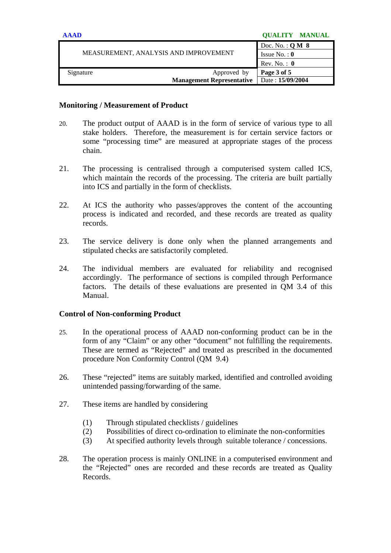| <b>AAAD</b>                           |                                  | <b>QUALITY MANUAL</b>  |
|---------------------------------------|----------------------------------|------------------------|
|                                       |                                  | Doc. No.: $Q M 8$      |
| MEASUREMENT, ANALYSIS AND IMPROVEMENT |                                  | Issue No.: $0$         |
|                                       |                                  | Rev. No.: $\mathbf{0}$ |
| Signature                             | Approved by                      | Page 3 of 5            |
|                                       | <b>Management Representative</b> | Date: 15/09/2004       |

## **Monitoring / Measurement of Product**

- 20. The product output of AAAD is in the form of service of various type to all stake holders. Therefore, the measurement is for certain service factors or some "processing time" are measured at appropriate stages of the process chain.
- 21. The processing is centralised through a computerised system called ICS, which maintain the records of the processing. The criteria are built partially into ICS and partially in the form of checklists.
- 22. At ICS the authority who passes/approves the content of the accounting process is indicated and recorded, and these records are treated as quality records.
- 23. The service delivery is done only when the planned arrangements and stipulated checks are satisfactorily completed.
- 24. The individual members are evaluated for reliability and recognised accordingly. The performance of sections is compiled through Performance factors. The details of these evaluations are presented in QM 3.4 of this Manual.

# **Control of Non-conforming Product**

- 25. In the operational process of AAAD non-conforming product can be in the form of any "Claim" or any other "document" not fulfilling the requirements. These are termed as "Rejected" and treated as prescribed in the documented procedure Non Conformity Control (QM 9.4)
- 26. These "rejected" items are suitably marked, identified and controlled avoiding unintended passing/forwarding of the same.
- 27. These items are handled by considering
	- (1) Through stipulated checklists / guidelines
	- (2) Possibilities of direct co-ordination to eliminate the non-conformities
	- (3) At specified authority levels through suitable tolerance / concessions.
- 28. The operation process is mainly ONLINE in a computerised environment and the "Rejected" ones are recorded and these records are treated as Quality Records.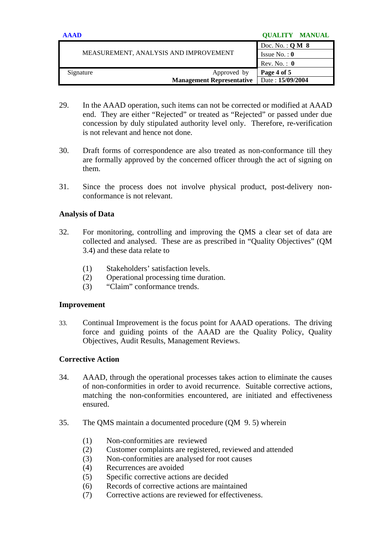| <b>AAAD</b>                           |                                  | <b>OUALITY MANUAL</b>  |
|---------------------------------------|----------------------------------|------------------------|
|                                       |                                  | Doc. No.: $Q M 8$      |
| MEASUREMENT, ANALYSIS AND IMPROVEMENT |                                  | Issue No.: $0$         |
|                                       |                                  | Rev. No.: $\mathbf{0}$ |
| Signature                             | Approved by                      | Page 4 of 5            |
|                                       | <b>Management Representative</b> | Date: 15/09/2004       |

- 29. In the AAAD operation, such items can not be corrected or modified at AAAD end. They are either "Rejected" or treated as "Rejected" or passed under due concession by duly stipulated authority level only. Therefore, re-verification is not relevant and hence not done.
- 30. Draft forms of correspondence are also treated as non-conformance till they are formally approved by the concerned officer through the act of signing on them.
- 31. Since the process does not involve physical product, post-delivery nonconformance is not relevant.

## **Analysis of Data**

- 32. For monitoring, controlling and improving the QMS a clear set of data are collected and analysed. These are as prescribed in "Quality Objectives" (QM 3.4) and these data relate to
	- (1) Stakeholders' satisfaction levels.
	- (2) Operational processing time duration.
	- (3) "Claim" conformance trends.

#### **Improvement**

33. Continual Improvement is the focus point for AAAD operations. The driving force and guiding points of the AAAD are the Quality Policy, Quality Objectives, Audit Results, Management Reviews.

### **Corrective Action**

- 34. AAAD, through the operational processes takes action to eliminate the causes of non-conformities in order to avoid recurrence. Suitable corrective actions, matching the non-conformities encountered, are initiated and effectiveness ensured.
- 35. The QMS maintain a documented procedure (QM 9. 5) wherein
	- (1) Non-conformities are reviewed
	- (2) Customer complaints are registered, reviewed and attended
	- (3) Non-conformities are analysed for root causes
	- (4) Recurrences are avoided
	- (5) Specific corrective actions are decided
	- (6) Records of corrective actions are maintained
	- (7) Corrective actions are reviewed for effectiveness.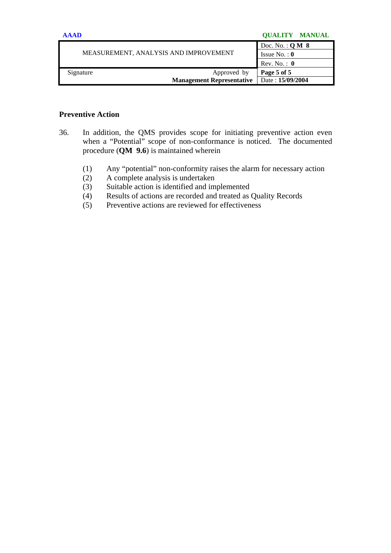| <b>AAAD</b>                           | <b>OUALITY MANUAL</b>                                |
|---------------------------------------|------------------------------------------------------|
|                                       | Doc. No.: $Q M 8$                                    |
| MEASUREMENT, ANALYSIS AND IMPROVEMENT | Issue No.: $0$                                       |
|                                       | Rev. No.: $\mathbf{0}$                               |
| Signature                             | Approved by<br>Page 5 of 5                           |
|                                       | <b>Management Representative</b><br>Date: 15/09/2004 |

# **Preventive Action**

- 36. In addition, the QMS provides scope for initiating preventive action even when a "Potential" scope of non-conformance is noticed. The documented procedure (**QM 9.6**) is maintained wherein
	- (1) Any "potential" non-conformity raises the alarm for necessary action
	- $(2)$  A complete analysis is undertaken
	- (3) Suitable action is identified and implemented
	- (4) Results of actions are recorded and treated as Quality Records
	- (5) Preventive actions are reviewed for effectiveness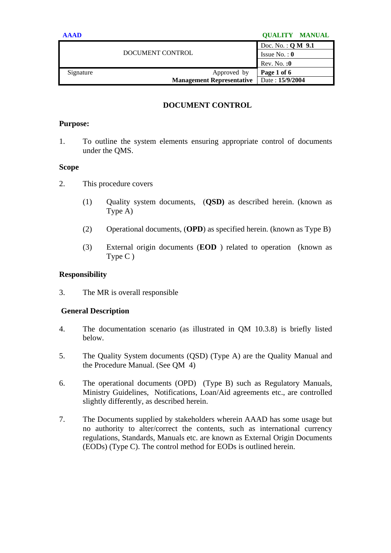| <b>AAAD</b>      |                                  | <b>OUALITY MANUAL</b>   |
|------------------|----------------------------------|-------------------------|
|                  |                                  | Doc. No.: $Q M$ 9.1     |
| DOCUMENT CONTROL |                                  | Issue No.: $\mathbf{0}$ |
|                  | Rev. No.: $0$                    |                         |
| Signature        | Approved by                      | Page 1 of 6             |
|                  | <b>Management Representative</b> | Date: 15/9/2004         |

# **DOCUMENT CONTROL**

### **Purpose:**

1. To outline the system elements ensuring appropriate control of documents under the QMS.

#### **Scope**

- 2. This procedure covers
	- (1) Quality system documents, (**QSD)** as described herein. (known as Type A)
	- (2) Operational documents, (**OPD**) as specified herein. (known as Type B)
	- (3) External origin documents (**EOD** ) related to operation (known as Type C )

#### **Responsibility**

3. The MR is overall responsible

### **General Description**

- 4. The documentation scenario (as illustrated in QM 10.3.8) is briefly listed below.
- 5. The Quality System documents (QSD) (Type A) are the Quality Manual and the Procedure Manual. (See QM 4)
- 6. The operational documents (OPD) (Type B) such as Regulatory Manuals, Ministry Guidelines, Notifications, Loan/Aid agreements etc., are controlled slightly differently, as described herein.
- 7. The Documents supplied by stakeholders wherein AAAD has some usage but no authority to alter/correct the contents, such as international currency regulations, Standards, Manuals etc. are known as External Origin Documents (EODs) (Type C). The control method for EODs is outlined herein.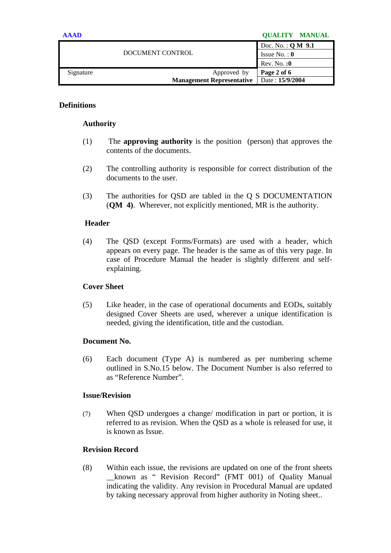| <b>AAAD</b>      |                                  | <b>OUALITY MANUAL</b> |
|------------------|----------------------------------|-----------------------|
| DOCUMENT CONTROL |                                  | Doc. No.: $Q M$ 9.1   |
|                  |                                  | Issue No.: $0$        |
|                  | Rev. No. : 0                     |                       |
| Signature        | Approved by                      | Page 2 of 6           |
|                  | <b>Management Representative</b> | Date: 15/9/2004       |

## **Definitions**

### **Authority**

- (1) The **approving authority** is the position (person) that approves the contents of the documents.
- (2) The controlling authority is responsible for correct distribution of the documents to the user.
- (3) The authorities for QSD are tabled in the Q S DOCUMENTATION (**QM 4)**. Wherever, not explicitly mentioned, MR is the authority.

## **Header**

(4) The QSD (except Forms/Formats) are used with a header, which appears on every page. The header is the same as of this very page. In case of Procedure Manual the header is slightly different and selfexplaining.

### **Cover Sheet**

(5) Like header, in the case of operational documents and EODs, suitably designed Cover Sheets are used, wherever a unique identification is needed, giving the identification, title and the custodian.

### **Document No.**

(6) Each document (Type A) is numbered as per numbering scheme outlined in S.No.15 below. The Document Number is also referred to as "Reference Number".

### **Issue/Revision**

(7) When QSD undergoes a change/ modification in part or portion, it is referred to as revision. When the QSD as a whole is released for use, it is known as Issue.

# **Revision Record**

(8) Within each issue, the revisions are updated on one of the front sheets known as " Revision Record" (FMT 001) of Quality Manual indicating the validity. Any revision in Procedural Manual are updated by taking necessary approval from higher authority in Noting sheet..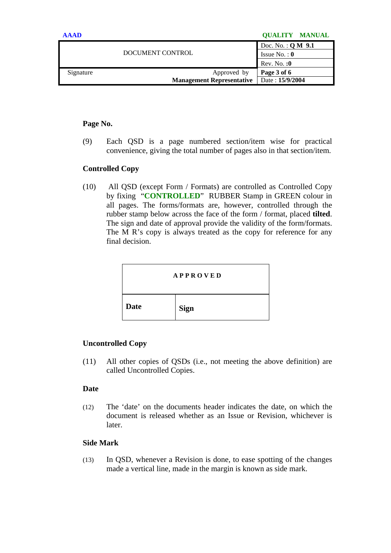| <b>AAAD</b> |                                  | <b>OUALITY MANUAL</b> |
|-------------|----------------------------------|-----------------------|
|             |                                  | Doc. No.: $Q M$ 9.1   |
|             | DOCUMENT CONTROL                 |                       |
|             | Rev. No.: $0$                    |                       |
| Signature   | Approved by                      | Page 3 of 6           |
|             | <b>Management Representative</b> | Date: 15/9/2004       |

### **Page No.**

(9) Each QSD is a page numbered section/item wise for practical convenience, giving the total number of pages also in that section/item.

# **Controlled Copy**

(10) All QSD (except Form / Formats) are controlled as Controlled Copy by fixing "**CONTROLLED**" RUBBER Stamp in GREEN colour in all pages. The forms/formats are, however, controlled through the rubber stamp below across the face of the form / format, placed **tilted**. The sign and date of approval provide the validity of the form/formats. The M R's copy is always treated as the copy for reference for any final decision.



# **Uncontrolled Copy**

(11) All other copies of QSDs (i.e., not meeting the above definition) are called Uncontrolled Copies.

### **Date**

(12) The 'date' on the documents header indicates the date, on which the document is released whether as an Issue or Revision, whichever is later.

## **Side Mark**

(13) In QSD, whenever a Revision is done, to ease spotting of the changes made a vertical line, made in the margin is known as side mark.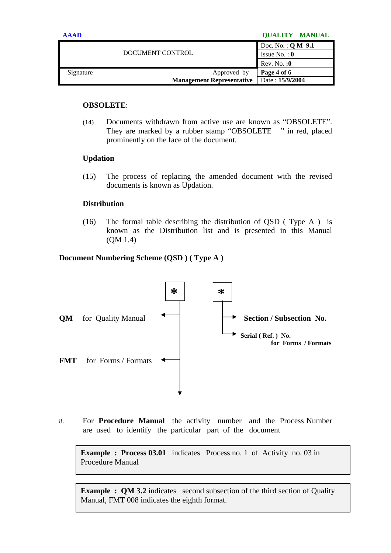| <b>AAAD</b> |                                  | <b>OUALITY MANUAL</b> |
|-------------|----------------------------------|-----------------------|
|             |                                  | Doc. No.: $Q M$ 9.1   |
|             | DOCUMENT CONTROL                 |                       |
|             | Rev. No.: $0$                    |                       |
| Signature   | Approved by                      | Page 4 of 6           |
|             | <b>Management Representative</b> | Date: 15/9/2004       |

### **OBSOLETE**:

(14) Documents withdrawn from active use are known as "OBSOLETE". They are marked by a rubber stamp "OBSOLETE " in red, placed prominently on the face of the document.

## **Updation**

(15) The process of replacing the amended document with the revised documents is known as Updation.

## **Distribution**

(16) The formal table describing the distribution of QSD ( Type A ) is known as the Distribution list and is presented in this Manual (QM 1.4)

# **Document Numbering Scheme (QSD ) ( Type A )**



8. For **Procedure Manual** the activity number and the Process Number are used to identify the particular part of the document

**Example : Process 03.01** indicates Process no. 1 of Activity no. 03 in Procedure Manual

**Example : QM 3.2** indicates second subsection of the third section of Quality Manual, FMT 008 indicates the eighth format.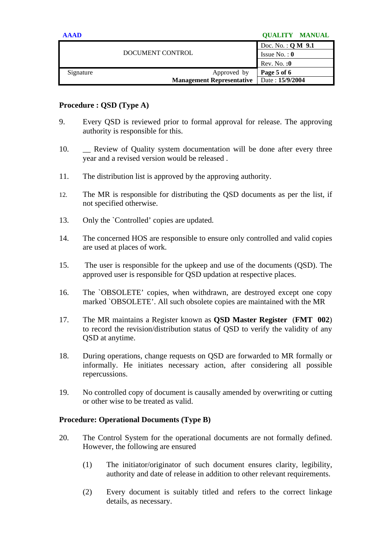| <b>AAAD</b> |                                  | <b>OUALITY MANUAL</b> |
|-------------|----------------------------------|-----------------------|
|             |                                  | Doc. No.: $Q M$ 9.1   |
|             | DOCUMENT CONTROL                 |                       |
|             | Rev. No.: $0$                    |                       |
| Signature   | Approved by                      | Page 5 of 6           |
|             | <b>Management Representative</b> | Date: 15/9/2004       |

# **Procedure : QSD (Type A)**

- 9. Every QSD is reviewed prior to formal approval for release. The approving authority is responsible for this.
- 10. Review of Quality system documentation will be done after every three year and a revised version would be released .
- 11. The distribution list is approved by the approving authority.
- 12. The MR is responsible for distributing the QSD documents as per the list, if not specified otherwise.
- 13. Only the `Controlled' copies are updated.
- 14. The concerned HOS are responsible to ensure only controlled and valid copies are used at places of work.
- 15. The user is responsible for the upkeep and use of the documents (QSD). The approved user is responsible for QSD updation at respective places.
- 16. The `OBSOLETE' copies, when withdrawn, are destroyed except one copy marked `OBSOLETE'. All such obsolete copies are maintained with the MR
- 17. The MR maintains a Register known as **QSD Master Register** (**FMT 002**) to record the revision/distribution status of QSD to verify the validity of any QSD at anytime.
- 18. During operations, change requests on QSD are forwarded to MR formally or informally. He initiates necessary action, after considering all possible repercussions.
- 19. No controlled copy of document is causally amended by overwriting or cutting or other wise to be treated as valid.

### **Procedure: Operational Documents (Type B)**

- 20. The Control System for the operational documents are not formally defined. However, the following are ensured
	- (1) The initiator/originator of such document ensures clarity, legibility, authority and date of release in addition to other relevant requirements.
	- (2) Every document is suitably titled and refers to the correct linkage details, as necessary.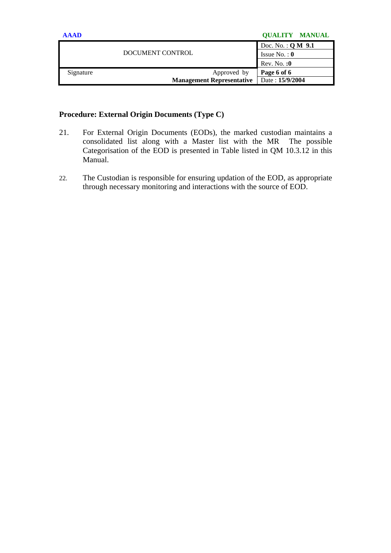| <b>AAAD</b>      |                                  | <b>OUALITY MANUAL</b> |
|------------------|----------------------------------|-----------------------|
| DOCUMENT CONTROL |                                  | Doc. No.: $Q M$ 9.1   |
|                  |                                  | Issue No.: $0$        |
|                  | Rev. No.: $0$                    |                       |
| Signature        | Approved by                      | Page 6 of 6           |
|                  | <b>Management Representative</b> | Date: 15/9/2004       |

# **Procedure: External Origin Documents (Type C)**

- 21. For External Origin Documents (EODs), the marked custodian maintains a consolidated list along with a Master list with the MR The possible Categorisation of the EOD is presented in Table listed in QM 10.3.12 in this Manual.
- 22. The Custodian is responsible for ensuring updation of the EOD, as appropriate through necessary monitoring and interactions with the source of EOD.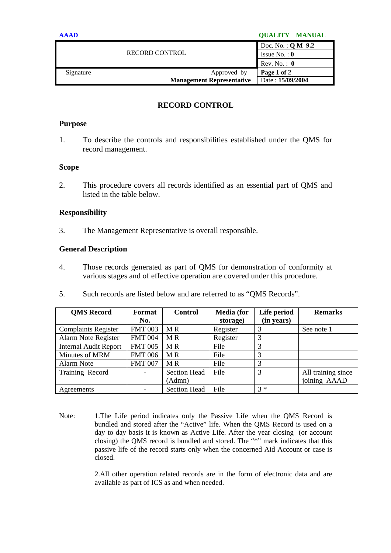| <b>AAAD</b> |                                  | <b>OUALITY MANUAL</b> |
|-------------|----------------------------------|-----------------------|
|             |                                  | Doc. No.: $Q M$ 9.2   |
|             | Issue No.: $0$                   |                       |
|             | Rev. No.: $0$                    |                       |
| Signature   | Approved by                      | Page 1 of 2           |
|             | <b>Management Representative</b> | Date: 15/09/2004      |

# **RECORD CONTROL**

#### **Purpose**

1. To describe the controls and responsibilities established under the QMS for record management.

#### **Scope**

2. This procedure covers all records identified as an essential part of QMS and listed in the table below.

### **Responsibility**

3. The Management Representative is overall responsible.

#### **General Description**

- 4. Those records generated as part of QMS for demonstration of conformity at various stages and of effective operation are covered under this procedure.
- 5. Such records are listed below and are referred to as "QMS Records".

| <b>OMS</b> Record            | Format         | Control             | <b>Media</b> (for | Life period | <b>Remarks</b>     |
|------------------------------|----------------|---------------------|-------------------|-------------|--------------------|
|                              | No.            |                     | storage)          | (in years)  |                    |
| <b>Complaints Register</b>   | <b>FMT 003</b> | MR.                 | Register          | 3           | See note 1         |
| Alarm Note Register          | <b>FMT 004</b> | MR                  | Register          | 3           |                    |
| <b>Internal Audit Report</b> | <b>FMT 005</b> | MR                  | File              | 3           |                    |
| Minutes of MRM               | <b>FMT 006</b> | MR                  | File              | 3           |                    |
| Alarm Note                   | <b>FMT 007</b> | MR                  | File              | 3           |                    |
| Training Record              |                | <b>Section Head</b> | File              | 3           | All training since |
|                              |                | (Admn)              |                   |             | joining AAAD       |
| Agreements                   |                | <b>Section Head</b> | File              | $3 *$       |                    |

Note: 1.The Life period indicates only the Passive Life when the QMS Record is bundled and stored after the "Active" life. When the QMS Record is used on a day to day basis it is known as Active Life. After the year closing (or account closing) the QMS record is bundled and stored. The "\*" mark indicates that this passive life of the record starts only when the concerned Aid Account or case is closed.

> 2.All other operation related records are in the form of electronic data and are available as part of ICS as and when needed.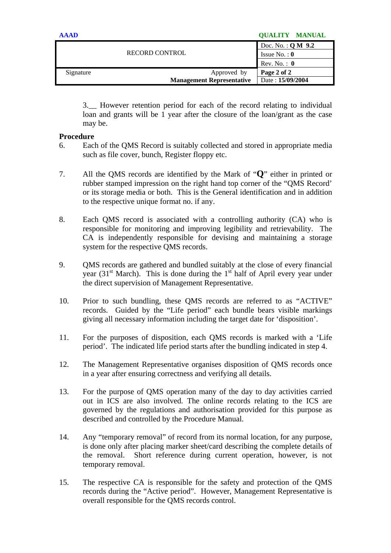| <b>AAAD</b>           |                                  | <b>OUALITY MANUAL</b>   |
|-----------------------|----------------------------------|-------------------------|
|                       |                                  | Doc. No.: $Q M$ 9.2     |
| <b>RECORD CONTROL</b> |                                  | Issue No.: $\mathbf{0}$ |
|                       | Rev. No.: $\mathbf{0}$           |                         |
| Signature             | Approved by                      | Page 2 of 2             |
|                       | <b>Management Representative</b> | Date: 15/09/2004        |

3. However retention period for each of the record relating to individual loan and grants will be 1 year after the closure of the loan/grant as the case may be.

## **Procedure**

- 6. Each of the QMS Record is suitably collected and stored in appropriate media such as file cover, bunch, Register floppy etc.
- 7. All the QMS records are identified by the Mark of "**Q**" either in printed or rubber stamped impression on the right hand top corner of the "QMS Record' or its storage media or both. This is the General identification and in addition to the respective unique format no. if any.
- 8. Each QMS record is associated with a controlling authority (CA) who is responsible for monitoring and improving legibility and retrievability. The CA is independently responsible for devising and maintaining a storage system for the respective QMS records.
- 9. QMS records are gathered and bundled suitably at the close of every financial year (31<sup>st</sup> March). This is done during the  $1<sup>st</sup>$  half of April every year under the direct supervision of Management Representative.
- 10. Prior to such bundling, these QMS records are referred to as "ACTIVE" records. Guided by the "Life period" each bundle bears visible markings giving all necessary information including the target date for 'disposition'.
- 11. For the purposes of disposition, each QMS records is marked with a 'Life period'. The indicated life period starts after the bundling indicated in step 4.
- 12. The Management Representative organises disposition of QMS records once in a year after ensuring correctness and verifying all details.
- 13. For the purpose of QMS operation many of the day to day activities carried out in ICS are also involved. The online records relating to the ICS are governed by the regulations and authorisation provided for this purpose as described and controlled by the Procedure Manual.
- 14. Any "temporary removal" of record from its normal location, for any purpose, is done only after placing marker sheet/card describing the complete details of the removal. Short reference during current operation, however, is not temporary removal.
- 15. The respective CA is responsible for the safety and protection of the QMS records during the "Active period". However, Management Representative is overall responsible for the QMS records control.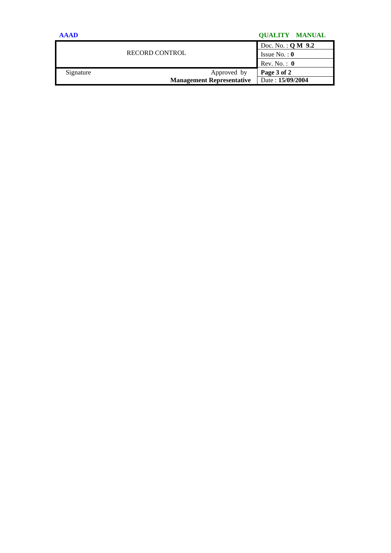| <b>AAAD</b> |                                  | <b>OUALITY MANUAL</b> |  |
|-------------|----------------------------------|-----------------------|--|
|             |                                  | Doc. No.: Q M 9.2     |  |
|             | Issue No.: $\mathbf{0}$          |                       |  |
|             |                                  |                       |  |
| Signature   | Approved by                      | Page 3 of 2           |  |
|             | <b>Management Representative</b> | Date: 15/09/2004      |  |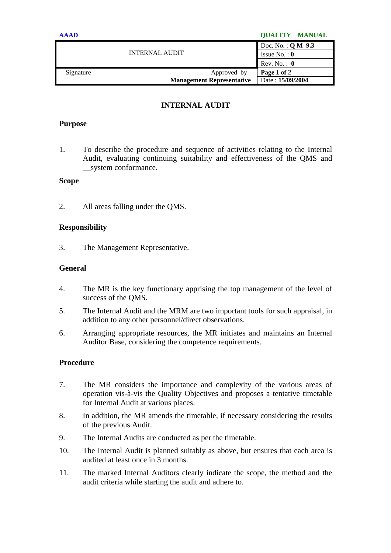| <b>AAAD</b> |                                  | <b>OUALITY MANUAL</b> |
|-------------|----------------------------------|-----------------------|
|             |                                  | Doc. No.: $Q M$ 9.3   |
|             | <b>Issue No.:</b> $\mathbf{0}$   |                       |
|             | Rev. No.: $\mathbf{0}$           |                       |
| Signature   | Approved by                      | Page 1 of 2           |
|             | <b>Management Representative</b> | Date: 15/09/2004      |

# **INTERNAL AUDIT**

## **Purpose**

1. To describe the procedure and sequence of activities relating to the Internal Audit, evaluating continuing suitability and effectiveness of the QMS and \_\_system conformance.

### **Scope**

2. All areas falling under the QMS.

## **Responsibility**

3. The Management Representative.

## **General**

- 4. The MR is the key functionary apprising the top management of the level of success of the QMS.
- 5. The Internal Audit and the MRM are two important tools for such appraisal, in addition to any other personnel/direct observations.
- 6. Arranging appropriate resources, the MR initiates and maintains an Internal Auditor Base, considering the competence requirements.

# **Procedure**

- 7. The MR considers the importance and complexity of the various areas of operation vis-à-vis the Quality Objectives and proposes a tentative timetable for Internal Audit at various places.
- 8. In addition, the MR amends the timetable, if necessary considering the results of the previous Audit.
- 9. The Internal Audits are conducted as per the timetable.
- 10. The Internal Audit is planned suitably as above, but ensures that each area is audited at least once in 3 months.
- 11. The marked Internal Auditors clearly indicate the scope, the method and the audit criteria while starting the audit and adhere to.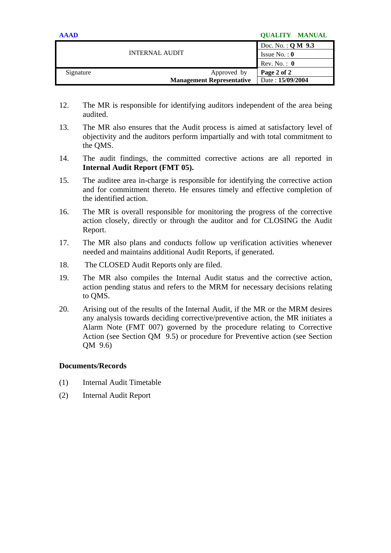| <b>AAAD</b>           |                                  | <b>OUALITY MANUAL</b> |
|-----------------------|----------------------------------|-----------------------|
| <b>INTERNAL AUDIT</b> |                                  | Doc. No.: $Q M$ 9.3   |
|                       |                                  | Issue No.: $0$        |
|                       | Rev. No.: $\mathbf{0}$           |                       |
| Signature             | Approved by                      | Page 2 of 2           |
|                       | <b>Management Representative</b> | Date: 15/09/2004      |

- 12. The MR is responsible for identifying auditors independent of the area being audited.
- 13. The MR also ensures that the Audit process is aimed at satisfactory level of objectivity and the auditors perform impartially and with total commitment to the QMS.
- 14. The audit findings, the committed corrective actions are all reported in **Internal Audit Report (FMT 05).**
- 15. The auditee area in-charge is responsible for identifying the corrective action and for commitment thereto. He ensures timely and effective completion of the identified action.
- 16. The MR is overall responsible for monitoring the progress of the corrective action closely, directly or through the auditor and for CLOSING the Audit Report.
- 17. The MR also plans and conducts follow up verification activities whenever needed and maintains additional Audit Reports, if generated.
- 18. The CLOSED Audit Reports only are filed.
- 19. The MR also compiles the Internal Audit status and the corrective action, action pending status and refers to the MRM for necessary decisions relating to QMS.
- 20. Arising out of the results of the Internal Audit, if the MR or the MRM desires any analysis towards deciding corrective/preventive action, the MR initiates a Alarm Note (FMT 007) governed by the procedure relating to Corrective Action (see Section QM 9.5) or procedure for Preventive action (see Section QM 9.6)

# **Documents/Records**

- (1) Internal Audit Timetable
- (2) Internal Audit Report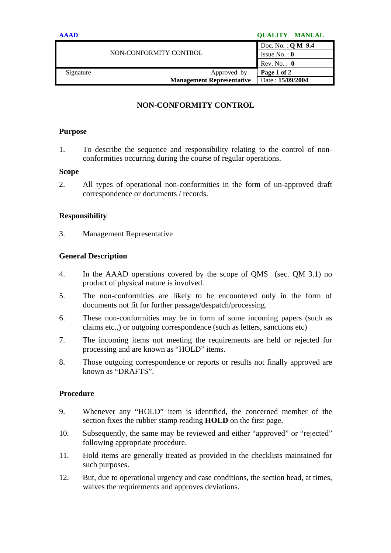|           |                                  | Doc. No.: $Q M$ 9.4    |
|-----------|----------------------------------|------------------------|
|           | NON-CONFORMITY CONTROL           | <b>Issue No.:</b> 0    |
|           |                                  | Rev. No.: $\mathbf{0}$ |
| Signature | Approved by                      | Page 1 of 2            |
|           | <b>Management Representative</b> | Date: 15/09/2004       |

# **NON-CONFORMITY CONTROL**

#### **Purpose**

1. To describe the sequence and responsibility relating to the control of nonconformities occurring during the course of regular operations.

#### **Scope**

2. All types of operational non-conformities in the form of un-approved draft correspondence or documents / records.

### **Responsibility**

3. Management Representative

#### **General Description**

- 4. In the AAAD operations covered by the scope of QMS (sec. QM 3.1) no product of physical nature is involved.
- 5. The non-conformities are likely to be encountered only in the form of documents not fit for further passage/despatch/processing.
- 6. These non-conformities may be in form of some incoming papers (such as claims etc.,) or outgoing correspondence (such as letters, sanctions etc)
- 7. The incoming items not meeting the requirements are held or rejected for processing and are known as "HOLD" items.
- 8. Those outgoing correspondence or reports or results not finally approved are known as "DRAFTS".

### **Procedure**

- 9. Whenever any "HOLD" item is identified, the concerned member of the section fixes the rubber stamp reading **HOLD** on the first page.
- 10. Subsequently, the same may be reviewed and either "approved" or "rejected" following appropriate procedure.
- 11. Hold items are generally treated as provided in the checklists maintained for such purposes.
- 12. But, due to operational urgency and case conditions, the section head, at times, waives the requirements and approves deviations.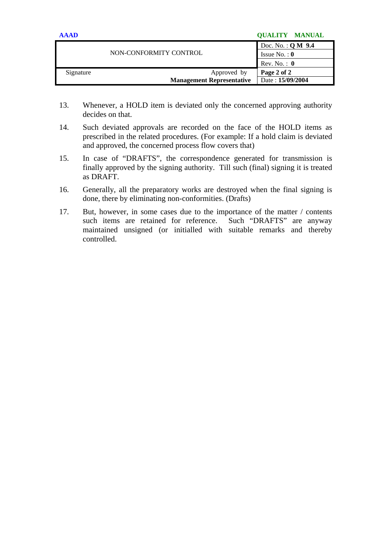| <b>AAAD</b> |                                  | <b>OUALITY MANUAL</b>   |
|-------------|----------------------------------|-------------------------|
|             | NON-CONFORMITY CONTROL           | Doc. No.: $Q M$ 9.4     |
|             |                                  | Issue No.: $\mathbf{0}$ |
|             |                                  | Rev. No.: $\mathbf{0}$  |
| Signature   | Approved by                      | Page 2 of 2             |
|             | <b>Management Representative</b> | Date: 15/09/2004        |

- 13. Whenever, a HOLD item is deviated only the concerned approving authority decides on that.
- 14. Such deviated approvals are recorded on the face of the HOLD items as prescribed in the related procedures. (For example: If a hold claim is deviated and approved, the concerned process flow covers that)
- 15. In case of "DRAFTS", the correspondence generated for transmission is finally approved by the signing authority. Till such (final) signing it is treated as DRAFT.
- 16. Generally, all the preparatory works are destroyed when the final signing is done, there by eliminating non-conformities. (Drafts)
- 17. But, however, in some cases due to the importance of the matter / contents such items are retained for reference. Such "DRAFTS" are anyway such items are retained for reference. maintained unsigned (or initialled with suitable remarks and thereby controlled.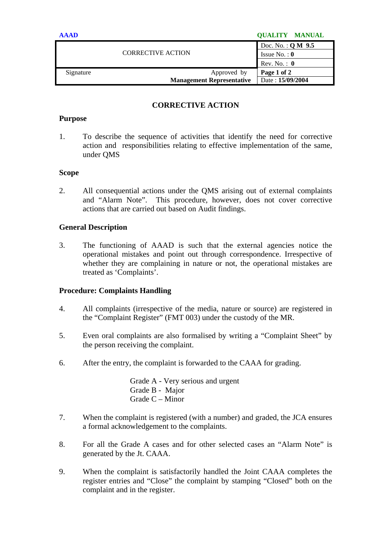| <b>AAAD</b>              |                                  | <b>OUALITY MANUAL</b>  |
|--------------------------|----------------------------------|------------------------|
|                          |                                  | Doc. No.: $Q M$ 9.5    |
| <b>CORRECTIVE ACTION</b> |                                  | Issue No.: $0$         |
|                          |                                  | Rev. No.: $\mathbf{0}$ |
| Signature                | Approved by                      | Page 1 of 2            |
|                          | <b>Management Representative</b> | Date: 15/09/2004       |

## **CORRECTIVE ACTION**

### **Purpose**

1. To describe the sequence of activities that identify the need for corrective action and responsibilities relating to effective implementation of the same, under QMS

#### **Scope**

2. All consequential actions under the QMS arising out of external complaints and "Alarm Note". This procedure, however, does not cover corrective actions that are carried out based on Audit findings.

#### **General Description**

3. The functioning of AAAD is such that the external agencies notice the operational mistakes and point out through correspondence. Irrespective of whether they are complaining in nature or not, the operational mistakes are treated as 'Complaints'.

### **Procedure: Complaints Handling**

- 4. All complaints (irrespective of the media, nature or source) are registered in the "Complaint Register" (FMT 003) under the custody of the MR.
- 5. Even oral complaints are also formalised by writing a "Complaint Sheet" by the person receiving the complaint.
- 6. After the entry, the complaint is forwarded to the CAAA for grading.

Grade A - Very serious and urgent Grade B - Major Grade C – Minor

- 7. When the complaint is registered (with a number) and graded, the JCA ensures a formal acknowledgement to the complaints.
- 8. For all the Grade A cases and for other selected cases an "Alarm Note" is generated by the Jt. CAAA.
- 9. When the complaint is satisfactorily handled the Joint CAAA completes the register entries and "Close" the complaint by stamping "Closed" both on the complaint and in the register.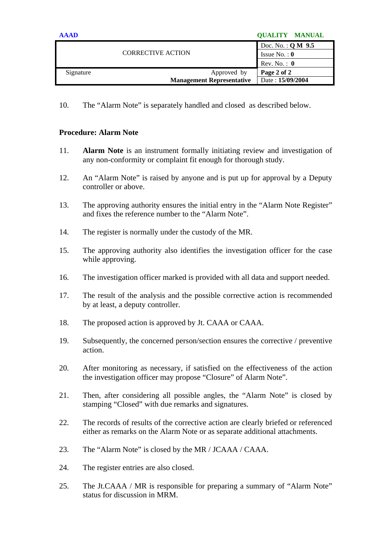| <b>AAAD</b> |                                  | <b>OUALITY MANUAL</b>  |
|-------------|----------------------------------|------------------------|
|             |                                  | Doc. No.: $Q M$ 9.5    |
|             | Issue No.: $\mathbf{0}$          |                        |
|             |                                  | Rev. No.: $\mathbf{0}$ |
| Signature   | Approved by                      | Page 2 of 2            |
|             | <b>Management Representative</b> | Date: 15/09/2004       |

10. The "Alarm Note" is separately handled and closed as described below.

#### **Procedure: Alarm Note**

- 11. **Alarm Note** is an instrument formally initiating review and investigation of any non-conformity or complaint fit enough for thorough study.
- 12. An "Alarm Note" is raised by anyone and is put up for approval by a Deputy controller or above.
- 13. The approving authority ensures the initial entry in the "Alarm Note Register" and fixes the reference number to the "Alarm Note".
- 14. The register is normally under the custody of the MR.
- 15. The approving authority also identifies the investigation officer for the case while approving.
- 16. The investigation officer marked is provided with all data and support needed.
- 17. The result of the analysis and the possible corrective action is recommended by at least, a deputy controller.
- 18. The proposed action is approved by Jt. CAAA or CAAA.
- 19. Subsequently, the concerned person/section ensures the corrective / preventive action.
- 20. After monitoring as necessary, if satisfied on the effectiveness of the action the investigation officer may propose "Closure" of Alarm Note".
- 21. Then, after considering all possible angles, the "Alarm Note" is closed by stamping "Closed" with due remarks and signatures.
- 22. The records of results of the corrective action are clearly briefed or referenced either as remarks on the Alarm Note or as separate additional attachments.
- 23. The "Alarm Note" is closed by the MR / JCAAA / CAAA.
- 24. The register entries are also closed.
- 25. The Jt.CAAA / MR is responsible for preparing a summary of "Alarm Note" status for discussion in MRM.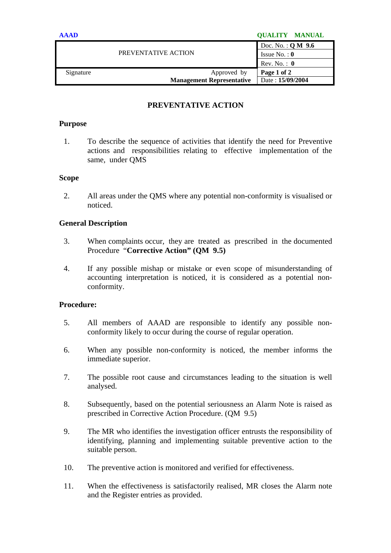| <b>AAAD</b> |                                  | <b>OUALITY MANUAL</b>  |  |
|-------------|----------------------------------|------------------------|--|
|             |                                  | Doc. No.: $Q M$ 9.6    |  |
|             | PREVENTATIVE ACTION              |                        |  |
|             |                                  | Rev. No.: $\mathbf{0}$ |  |
| Signature   | Approved by                      | Page 1 of 2            |  |
|             | <b>Management Representative</b> | Date: 15/09/2004       |  |

# **PREVENTATIVE ACTION**

#### **Purpose**

1. To describe the sequence of activities that identify the need for Preventive actions and responsibilities relating to effective implementation of the same, under QMS

#### **Scope**

2. All areas under the QMS where any potential non-conformity is visualised or noticed.

#### **General Description**

- 3. When complaints occur, they are treated as prescribed in the documented Procedure "**Corrective Action" (QM 9.5)**
- 4. If any possible mishap or mistake or even scope of misunderstanding of accounting interpretation is noticed, it is considered as a potential nonconformity.

#### **Procedure:**

- 5. All members of AAAD are responsible to identify any possible nonconformity likely to occur during the course of regular operation.
- 6. When any possible non-conformity is noticed, the member informs the immediate superior.
- 7. The possible root cause and circumstances leading to the situation is well analysed.
- 8. Subsequently, based on the potential seriousness an Alarm Note is raised as prescribed in Corrective Action Procedure. (QM 9.5)
- 9. The MR who identifies the investigation officer entrusts the responsibility of identifying, planning and implementing suitable preventive action to the suitable person.
- 10. The preventive action is monitored and verified for effectiveness.
- 11. When the effectiveness is satisfactorily realised, MR closes the Alarm note and the Register entries as provided.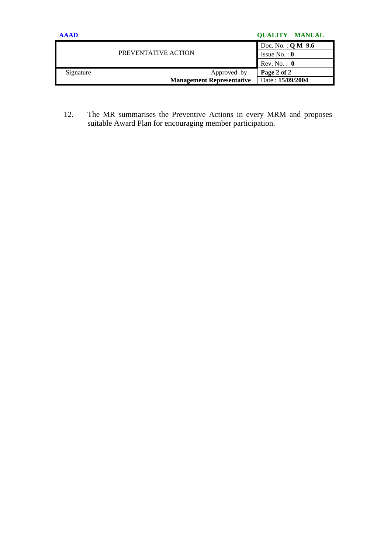| <b>AAAD</b> |                                  | <b>OUALITY MANUAL</b>  |
|-------------|----------------------------------|------------------------|
|             |                                  | Doc. No.: $Q M$ 9.6    |
|             | Issue No.: $\mathbf{0}$          |                        |
|             |                                  | Rev. No.: $\mathbf{0}$ |
| Signature   | Approved by                      | Page 2 of 2            |
|             | <b>Management Representative</b> | Date: 15/09/2004       |

12. The MR summarises the Preventive Actions in every MRM and proposes suitable Award Plan for encouraging member participation.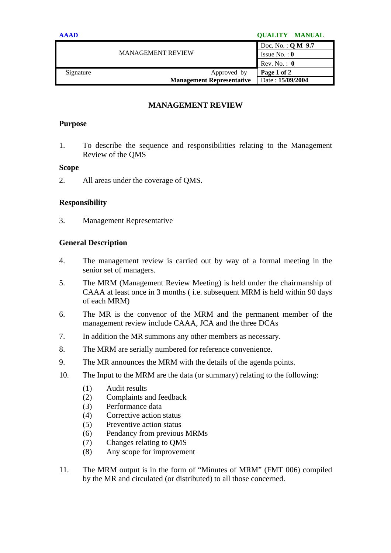|           | Doc. No.: $Q M$ 9.7              |                  |
|-----------|----------------------------------|------------------|
|           | <b>Issue No.:</b> 0              |                  |
|           | Rev. No.: $\mathbf{0}$           |                  |
| Signature | Approved by                      | Page 1 of 2      |
|           | <b>Management Representative</b> | Date: 15/09/2004 |

#### **MANAGEMENT REVIEW**

#### **Purpose**

1. To describe the sequence and responsibilities relating to the Management Review of the QMS

#### **Scope**

2. All areas under the coverage of QMS.

#### **Responsibility**

3. Management Representative

#### **General Description**

- 4. The management review is carried out by way of a formal meeting in the senior set of managers.
- 5. The MRM (Management Review Meeting) is held under the chairmanship of CAAA at least once in 3 months ( i.e. subsequent MRM is held within 90 days of each MRM)
- 6. The MR is the convenor of the MRM and the permanent member of the management review include CAAA, JCA and the three DCAs
- 7. In addition the MR summons any other members as necessary.
- 8. The MRM are serially numbered for reference convenience.
- 9. The MR announces the MRM with the details of the agenda points.
- 10. The Input to the MRM are the data (or summary) relating to the following:
	- (1) Audit results
	- (2) Complaints and feedback
	- (3) Performance data
	- (4) Corrective action status
	- (5) Preventive action status
	- (6) Pendancy from previous MRMs
	- (7) Changes relating to QMS
	- (8) Any scope for improvement
- 11. The MRM output is in the form of "Minutes of MRM" (FMT 006) compiled by the MR and circulated (or distributed) to all those concerned.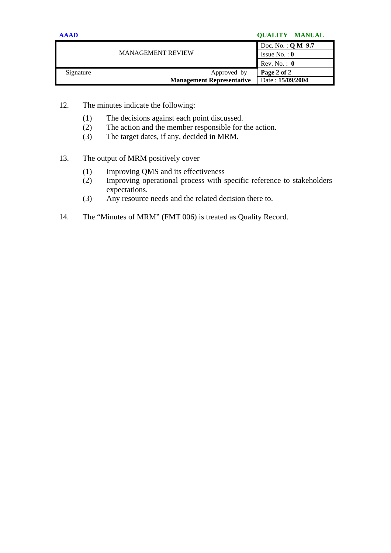|  | ł |
|--|---|

#### **QUALITY MANUAL**

|           | Doc. No.: $Q M$ 9.7              |                  |
|-----------|----------------------------------|------------------|
|           | <b>Issue No.:</b> 0              |                  |
|           |                                  | Rev. No. : 0     |
| Signature | Approved by                      | Page 2 of 2      |
|           | <b>Management Representative</b> | Date: 15/09/2004 |

- 12. The minutes indicate the following:
	- (1) The decisions against each point discussed.
	- (2) The action and the member responsible for the action.
	- (3) The target dates, if any, decided in MRM.
- 13. The output of MRM positively cover
	- (1) Improving QMS and its effectiveness
	- (2) Improving operational process with specific reference to stakeholders expectations.
	- (3) Any resource needs and the related decision there to.
- 14. The "Minutes of MRM" (FMT 006) is treated as Quality Record.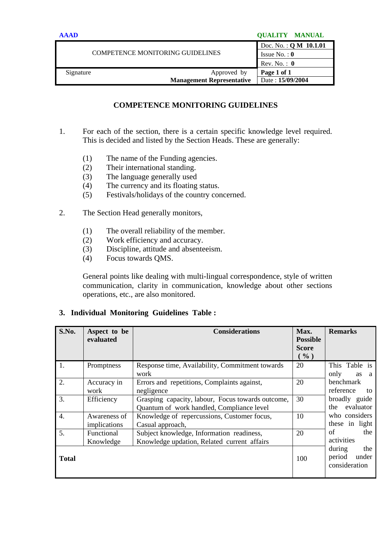| <b>AAAD</b> |                                  | <b>OUALITY MANUAL</b>   |
|-------------|----------------------------------|-------------------------|
|             |                                  | Doc. No.: Q M 10.1.01   |
|             | COMPETENCE MONITORING GUIDELINES | Issue No.: $\mathbf{0}$ |
|             |                                  | Rev. No.: $\mathbf{0}$  |
| Signature   | Approved by                      | Page 1 of 1             |
|             | <b>Management Representative</b> | Date: 15/09/2004        |

# **COMPETENCE MONITORING GUIDELINES**

1. For each of the section, there is a certain specific knowledge level required. This is decided and listed by the Section Heads. These are generally:

- (1) The name of the Funding agencies.
- (2) Their international standing.
- (3) The language generally used
- (4) The currency and its floating status.
- (5) Festivals/holidays of the country concerned.
- 2. The Section Head generally monitors,
	- (1) The overall reliability of the member.
	- (2) Work efficiency and accuracy.
	- (3) Discipline, attitude and absenteeism.
	- (4) Focus towards QMS.

General points like dealing with multi-lingual correspondence, style of written communication, clarity in communication, knowledge about other sections operations, etc., are also monitored.

## **3. Individual Monitoring Guidelines Table :**

| S.No.        | Aspect to be<br>evaluated    | <b>Considerations</b><br>Max.<br><b>Possible</b>                                               |                               | <b>Remarks</b>                                    |
|--------------|------------------------------|------------------------------------------------------------------------------------------------|-------------------------------|---------------------------------------------------|
|              |                              |                                                                                                | <b>Score</b><br>$\frac{0}{0}$ |                                                   |
|              | Promptness                   | Response time, Availability, Commitment towards<br>work                                        | 20                            | This Table is<br>only<br>as a                     |
| 2.           | Accuracy in<br>work          | Errors and repetitions, Complaints against,<br>negligence                                      | 20                            | <b>benchmark</b><br>reference<br>to               |
| 3.           | Efficiency                   | Grasping capacity, labour, Focus towards outcome,<br>Quantum of work handled, Compliance level | 30                            | broadly guide<br>the evaluator                    |
| 4.           | Awareness of<br>implications | Knowledge of repercussions, Customer focus,<br>Casual approach,                                | 10                            | who considers<br>these in light                   |
| 5.           | Functional<br>Knowledge      | Subject knowledge, Information readiness,<br>Knowledge updation, Related current affairs       | 20                            | the<br>of<br>activities                           |
| <b>Total</b> |                              |                                                                                                | 100                           | during<br>the<br>period<br>under<br>consideration |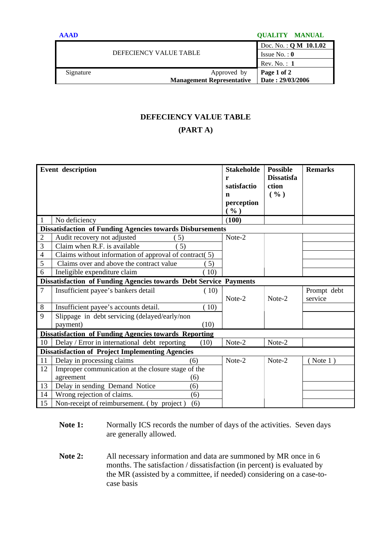#### **AAAD QUALITY MANUAL**

|           | Doc. No.: $Q M 10.1.02$          |                  |
|-----------|----------------------------------|------------------|
|           | Issue No.: $\mathbf{0}$          |                  |
|           |                                  | Rev. No.: $1$    |
| Signature | Approved by                      | Page 1 of 2      |
|           | <b>Management Representative</b> | Date: 29/03/2006 |

#### **DEFECIENCY VALUE TABLE**

### **(PART A)**

|                | <b>Event</b> description                                                 |                  |             | <b>Possible</b><br><b>Dissatisfa</b> | <b>Remarks</b> |
|----------------|--------------------------------------------------------------------------|------------------|-------------|--------------------------------------|----------------|
|                |                                                                          |                  | satisfactio | ction                                |                |
|                |                                                                          |                  | n           | ( %)                                 |                |
|                |                                                                          |                  | perception  |                                      |                |
|                |                                                                          |                  | ( %)        |                                      |                |
|                | No deficiency                                                            |                  | (100)       |                                      |                |
|                | <b>Dissatisfaction of Funding Agencies towards Disbursements</b>         |                  |             |                                      |                |
| $\overline{2}$ | Audit recovery not adjusted<br>5)                                        |                  | Note-2      |                                      |                |
| $\overline{3}$ | Claim when R.F. is available<br>5)                                       |                  |             |                                      |                |
| $\overline{4}$ | Claims without information of approval of contract(5)                    |                  |             |                                      |                |
| 5              | Claims over and above the contract value                                 | $\left(5\right)$ |             |                                      |                |
| 6              | Ineligible expenditure claim                                             | 10)              |             |                                      |                |
|                | <b>Dissatisfaction of Funding Agencies towards Debt Service Payments</b> |                  |             |                                      |                |
| $\overline{7}$ | Insufficient payee's bankers detail                                      | (10)             |             |                                      | Prompt debt    |
|                |                                                                          |                  | Note-2      | Note-2                               | service        |
| 8              | Insufficient payee's accounts detail.                                    | (10)             |             |                                      |                |
| 9              | Slippage in debt servicing (delayed/early/non                            |                  |             |                                      |                |
|                | payment)                                                                 | (10)             |             |                                      |                |
|                | <b>Dissatisfaction of Funding Agencies towards Reporting</b>             |                  |             |                                      |                |
| 10             | Delay / Error in international debt reporting                            | (10)             | Note-2      | Note-2                               |                |
|                | <b>Dissatisfaction of Project Implementing Agencies</b>                  |                  |             |                                      |                |
| 11             | Delay in processing claims<br>(6)                                        |                  | Note-2      | Note-2                               | (Note 1)       |
| 12             | Improper communication at the closure stage of the                       |                  |             |                                      |                |
|                | agreement<br>(6)                                                         |                  |             |                                      |                |
| 13             | Delay in sending Demand Notice<br>(6)                                    |                  |             |                                      |                |
| 14             | Wrong rejection of claims.                                               | (6)              |             |                                      |                |
| 15             | Non-receipt of reimbursement. (by project)                               | (6)              |             |                                      |                |

## Note 1: Normally ICS records the number of days of the activities. Seven days are generally allowed.

Note 2: All necessary information and data are summoned by MR once in 6 months. The satisfaction / dissatisfaction (in percent) is evaluated by the MR (assisted by a committee, if needed) considering on a case-tocase basis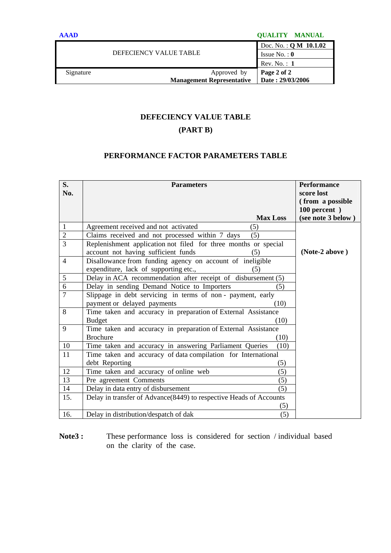**AAAD QUALITY MANUAL**

|           | Doc. No.: $Q M 10.1.02$          |                  |
|-----------|----------------------------------|------------------|
|           | Issue No.: $\mathbf{0}$          |                  |
|           |                                  | Rev. No. : 1     |
| Signature | Approved by                      | Page 2 of 2      |
|           | <b>Management Representative</b> | Date: 29/03/2006 |

# **DEFECIENCY VALUE TABLE**

# **(PART B)**

#### **PERFORMANCE FACTOR PARAMETERS TABLE**

| S.<br>No.      | <b>Parameters</b>                                                  | <b>Performance</b><br>score lost |
|----------------|--------------------------------------------------------------------|----------------------------------|
|                |                                                                    | (from a possible                 |
|                |                                                                    | $100$ percent $)$                |
|                | <b>Max Loss</b>                                                    | (see note 3 below)               |
| $\mathbf{1}$   | Agreement received and not activated<br>(5)                        |                                  |
| $\overline{2}$ | Claims received and not processed within 7 days<br>(5)             |                                  |
| $\overline{3}$ | Replenishment application not filed for three months or special    |                                  |
|                | account not having sufficient funds<br>(5)                         | (Note-2 above)                   |
| $\overline{4}$ | Disallowance from funding agency on account of ineligible          |                                  |
|                | expenditure, lack of supporting etc.,<br>(5)                       |                                  |
| 5              | Delay in ACA recommendation after receipt of disbursement (5)      |                                  |
| 6              | Delay in sending Demand Notice to Importers<br>(5)                 |                                  |
| $\overline{7}$ | Slippage in debt servicing in terms of non-payment, early          |                                  |
|                | payment or delayed payments<br>(10)                                |                                  |
| 8              | Time taken and accuracy in preparation of External Assistance      |                                  |
|                | <b>Budget</b><br>(10)                                              |                                  |
| 9              | Time taken and accuracy in preparation of External Assistance      |                                  |
|                | <b>Brochure</b><br>(10)                                            |                                  |
| 10             | Time taken and accuracy in answering Parliament Queries<br>(10)    |                                  |
| 11             | Time taken and accuracy of data compilation for International      |                                  |
|                | debt Reporting<br>(5)                                              |                                  |
| 12             | Time taken and accuracy of online web<br>(5)                       |                                  |
| 13             | Pre agreement Comments<br>(5)                                      |                                  |
| 14             | Delay in data entry of disbursement<br>(5)                         |                                  |
| 15.            | Delay in transfer of Advance(8449) to respective Heads of Accounts |                                  |
|                | (5)                                                                |                                  |
| 16.            | (5)<br>Delay in distribution/despatch of dak                       |                                  |

Note3 : These performance loss is considered for section / individual based on the clarity of the case.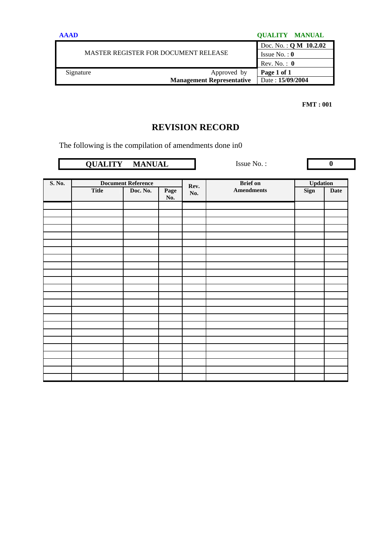| <b>AAAD</b> |                                             | <b>OUALITY MANUAL</b>   |
|-------------|---------------------------------------------|-------------------------|
|             |                                             | Doc. No.: $Q M 10.2.02$ |
|             | <b>MASTER REGISTER FOR DOCUMENT RELEASE</b> | Issue No.: $\mathbf{0}$ |
|             |                                             | Rev. No.: $\mathbf{0}$  |
| Signature   | Approved by                                 | Page 1 of 1             |
|             | <b>Management Representative</b>            | Date: 15/09/2004        |

**FMT : 001** 

# **REVISION RECORD**

The following is the compilation of amendments done in0

|        | <b>QUALITY MANUAL</b> |                           |             |             | Issue No.:        |                 | $\boldsymbol{0}$ |
|--------|-----------------------|---------------------------|-------------|-------------|-------------------|-----------------|------------------|
| S. No. |                       | <b>Document Reference</b> |             |             | <b>Brief</b> on   | <b>Updation</b> |                  |
|        | <b>Title</b>          | Doc. No.                  | Page<br>No. | Rev.<br>No. | <b>Amendments</b> | Sign            | <b>Date</b>      |
|        |                       |                           |             |             |                   |                 |                  |
|        |                       |                           |             |             |                   |                 |                  |
|        |                       |                           |             |             |                   |                 |                  |
|        |                       |                           |             |             |                   |                 |                  |
|        |                       |                           |             |             |                   |                 |                  |
|        |                       |                           |             |             |                   |                 |                  |
|        |                       |                           |             |             |                   |                 |                  |
|        |                       |                           |             |             |                   |                 |                  |
|        |                       |                           |             |             |                   |                 |                  |
|        |                       |                           |             |             |                   |                 |                  |
|        |                       |                           |             |             |                   |                 |                  |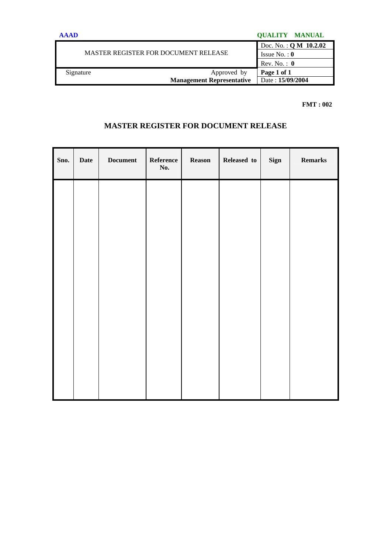| <b>AAAD</b> |                                      | <b>OUALITY MANUAL</b>   |
|-------------|--------------------------------------|-------------------------|
|             |                                      | Doc. No.: $Q M$ 10.2.02 |
|             | MASTER REGISTER FOR DOCUMENT RELEASE | Issue No.: $\mathbf{0}$ |
|             |                                      | Rev. No.: $\mathbf{0}$  |
| Signature   | Approved by                          | Page 1 of 1             |
|             | <b>Management Representative</b>     | Date: 15/09/2004        |

**FMT : 002** 

# **MASTER REGISTER FOR DOCUMENT RELEASE**

| Sno. | Date | <b>Document</b> | Reference<br>No. | <b>Reason</b> | Released to | Sign | Remarks |
|------|------|-----------------|------------------|---------------|-------------|------|---------|
|      |      |                 |                  |               |             |      |         |
|      |      |                 |                  |               |             |      |         |
|      |      |                 |                  |               |             |      |         |
|      |      |                 |                  |               |             |      |         |
|      |      |                 |                  |               |             |      |         |
|      |      |                 |                  |               |             |      |         |
|      |      |                 |                  |               |             |      |         |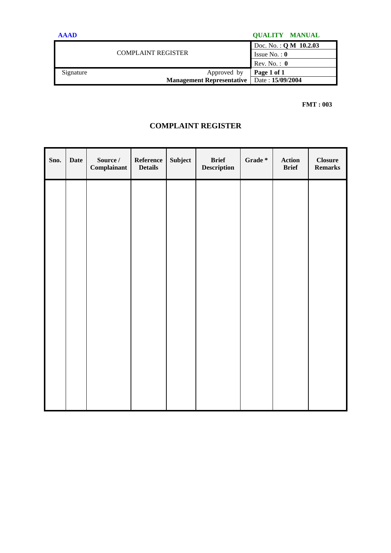# **QUALITY MANUAL**

|           |                                                     | Doc. No.: $Q M 10.2.03$ |
|-----------|-----------------------------------------------------|-------------------------|
|           | Issue No.: $\mathbf{0}$                             |                         |
|           |                                                     | Rev. No.: $\mathbf{0}$  |
| Signature | Approved by                                         | Page 1 of 1             |
|           | <b>Management Representative</b>   Date: 15/09/2004 |                         |

**FMT : 003** 

# **COMPLAINT REGISTER**

| Date | Source $\prime$<br>Complainant | Reference<br><b>Details</b> | Subject | <b>Brief</b><br>Description | Grade $^\ast$ | $\bold{Action}$<br><b>Brief</b> | <b>Closure</b><br>Remarks |
|------|--------------------------------|-----------------------------|---------|-----------------------------|---------------|---------------------------------|---------------------------|
|      |                                |                             |         |                             |               |                                 |                           |
|      |                                |                             |         |                             |               |                                 |                           |
|      |                                |                             |         |                             |               |                                 |                           |
|      |                                |                             |         |                             |               |                                 |                           |
|      |                                |                             |         |                             |               |                                 |                           |
|      |                                |                             |         |                             |               |                                 |                           |
|      |                                |                             |         |                             |               |                                 |                           |
|      |                                |                             |         |                             |               |                                 |                           |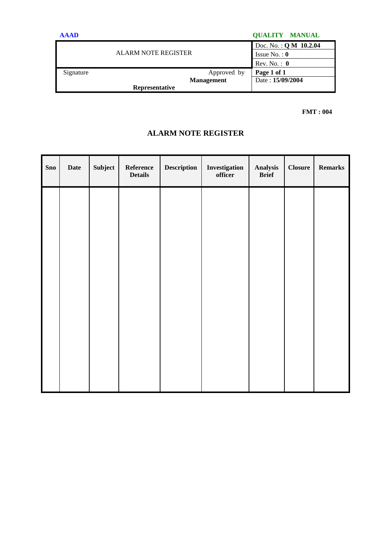| <b>AAAD</b> |                            | <b>OUALITY MANUAL</b>   |
|-------------|----------------------------|-------------------------|
|             |                            | Doc. No.: Q M 10.2.04   |
|             | <b>ALARM NOTE REGISTER</b> | Issue No.: $\mathbf{0}$ |
|             |                            | Rev. No.: $\mathbf{0}$  |
| Signature   | Approved by                | Page 1 of 1             |
|             | <b>Management</b>          | Date: 15/09/2004        |
|             | <b>Representative</b>      |                         |

**FMT : 004** 

# **ALARM NOTE REGISTER**

| Sno | Date | Subject | Reference<br><b>Details</b> | <b>Description</b> | Investigation<br>$\rm of \!f \!i \!c \!er$ | Analysis<br><b>Brief</b> | $\begin{array}{ll} \textbf{Closure} \end{array}$ | <b>Remarks</b> |
|-----|------|---------|-----------------------------|--------------------|--------------------------------------------|--------------------------|--------------------------------------------------|----------------|
|     |      |         |                             |                    |                                            |                          |                                                  |                |
|     |      |         |                             |                    |                                            |                          |                                                  |                |
|     |      |         |                             |                    |                                            |                          |                                                  |                |
|     |      |         |                             |                    |                                            |                          |                                                  |                |
|     |      |         |                             |                    |                                            |                          |                                                  |                |
|     |      |         |                             |                    |                                            |                          |                                                  |                |
|     |      |         |                             |                    |                                            |                          |                                                  |                |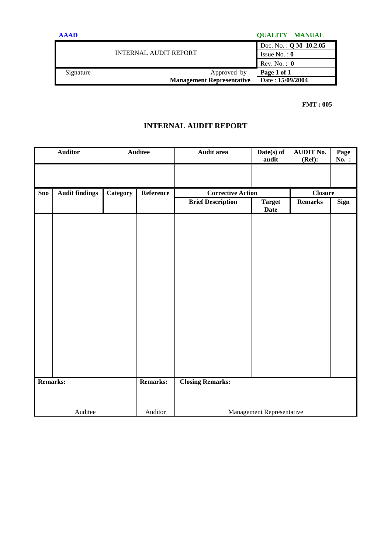# **QUALITY MANUAL**

|           | Doc. No.: $Q M$ 10.2.05          |                  |
|-----------|----------------------------------|------------------|
|           | <b>Issue No.:</b> 0              |                  |
|           | Rev. No.: $\mathbf{0}$           |                  |
| Signature | Approved by                      | Page 1 of 1      |
|           | <b>Management Representative</b> | Date: 15/09/2004 |

**FMT : 005** 

# **INTERNAL AUDIT REPORT**

|            | <b>Auditor</b>        |                 | <b>Auditee</b>          | Audit area<br>Date(s) of<br>audit |                              | <b>AUDIT No.</b><br>(Ref): | Page<br>No. : |
|------------|-----------------------|-----------------|-------------------------|-----------------------------------|------------------------------|----------------------------|---------------|
|            |                       |                 |                         |                                   |                              |                            |               |
| <b>Sno</b> | <b>Audit findings</b> | <b>Category</b> | Reference               | <b>Corrective Action</b>          |                              | <b>Closure</b>             |               |
|            |                       |                 |                         | <b>Brief Description</b>          | <b>Target</b><br><b>Date</b> | <b>Remarks</b>             | Sign          |
|            |                       |                 |                         |                                   |                              |                            |               |
|            |                       |                 |                         |                                   |                              |                            |               |
|            |                       |                 |                         |                                   |                              |                            |               |
|            |                       |                 |                         |                                   |                              |                            |               |
|            |                       |                 |                         |                                   |                              |                            |               |
|            |                       |                 |                         |                                   |                              |                            |               |
|            |                       |                 |                         |                                   |                              |                            |               |
|            |                       |                 |                         |                                   |                              |                            |               |
|            |                       |                 |                         |                                   |                              |                            |               |
|            |                       |                 |                         |                                   |                              |                            |               |
|            |                       |                 |                         |                                   |                              |                            |               |
|            |                       |                 |                         |                                   |                              |                            |               |
|            |                       |                 |                         |                                   |                              |                            |               |
|            |                       |                 |                         |                                   |                              |                            |               |
| Remarks:   |                       | Remarks:        | <b>Closing Remarks:</b> |                                   |                              |                            |               |
|            |                       |                 |                         |                                   |                              |                            |               |
|            | Auditee               |                 | Auditor                 |                                   | Management Representative    |                            |               |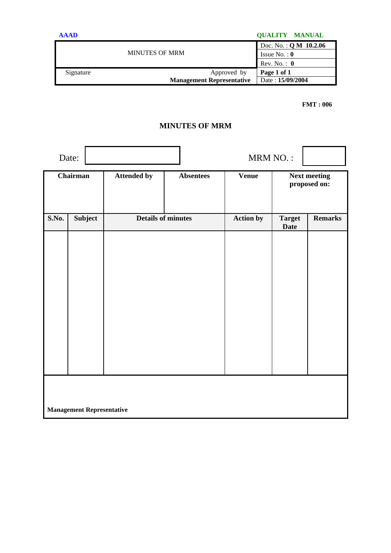| <b>AAAD</b> |                                  | <b>OUALITY MANUAL</b>   |
|-------------|----------------------------------|-------------------------|
|             |                                  | Doc. No.: $Q M 10.2.06$ |
|             | <b>MINUTES OF MRM</b>            | Issue No.: $\mathbf{0}$ |
|             |                                  | Rev. No.: $\mathbf{0}$  |
| Signature   | Approved by                      | Page 1 of 1             |
|             | <b>Management Representative</b> | Date: 15/09/2004        |

**FMT : 006** 

### **MINUTES OF MRM**

|       | Date:                            |                           |                  | MRM NO.:         |                              |                                     |
|-------|----------------------------------|---------------------------|------------------|------------------|------------------------------|-------------------------------------|
|       | Chairman                         | <b>Attended by</b>        | <b>Absentees</b> | <b>Venue</b>     |                              | <b>Next meeting</b><br>proposed on: |
| S.No. | Subject                          | <b>Details of minutes</b> |                  | <b>Action by</b> | <b>Target</b><br><b>Date</b> | <b>Remarks</b>                      |
|       | <b>Management Representative</b> |                           |                  |                  |                              |                                     |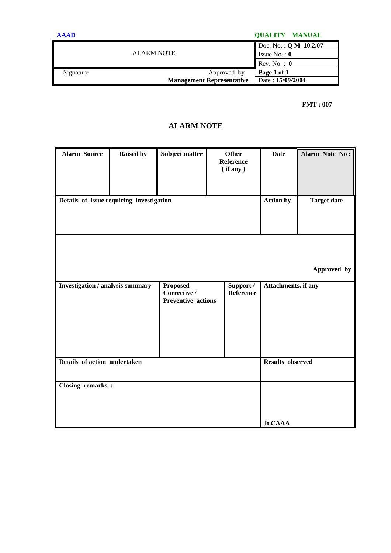| <b>AAAD</b> |                                  | <b>OUALITY MANUAL</b>   |
|-------------|----------------------------------|-------------------------|
|             |                                  | Doc. No.: $Q M$ 10.2.07 |
|             | <b>ALARM NOTE</b>                | Issue No.: $\mathbf{0}$ |
|             |                                  | Rev. No.: $\mathbf{0}$  |
| Signature   | Approved by                      | Page 1 of 1             |
|             | <b>Management Representative</b> | Date: 15/09/2004        |

**FMT : 007** 

# **ALARM NOTE**

| <b>Alarm Source</b>                      | <b>Raised by</b> | <b>Subject matter</b>                                        | <b>Other</b><br>Reference<br>$(i$ f any $)$ | <b>Date</b>         | Alarm Note No:     |
|------------------------------------------|------------------|--------------------------------------------------------------|---------------------------------------------|---------------------|--------------------|
| Details of issue requiring investigation |                  |                                                              |                                             | <b>Action by</b>    | <b>Target date</b> |
|                                          |                  |                                                              |                                             |                     |                    |
|                                          |                  |                                                              |                                             |                     |                    |
|                                          |                  |                                                              |                                             |                     | Approved by        |
| <b>Investigation / analysis summary</b>  |                  | <b>Proposed</b><br>Corrective /<br><b>Preventive actions</b> | Support /<br><b>Reference</b>               | Attachments, if any |                    |
| Details of action undertaken             |                  | <b>Results observed</b>                                      |                                             |                     |                    |
| Closing remarks :                        |                  |                                                              |                                             |                     |                    |
|                                          |                  |                                                              |                                             | <b>Jt.CAAA</b>      |                    |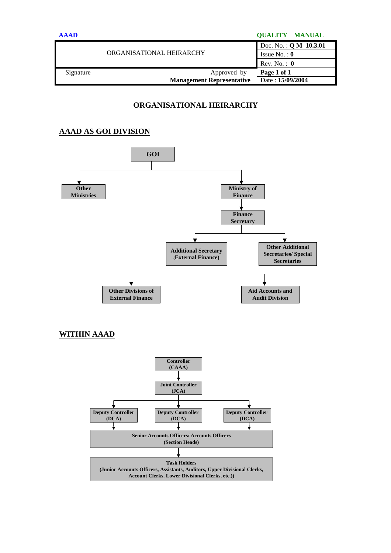| <b>AAAD</b> |                                  | <b>OUALITY MANUAL</b>   |
|-------------|----------------------------------|-------------------------|
|             |                                  | Doc. No.: Q M 10.3.01   |
|             | ORGANISATIONAL HEIRARCHY         | Issue No.: $\mathbf{0}$ |
|             |                                  | Rev. No.: $\mathbf{0}$  |
| Signature   | Approved by                      | Page 1 of 1             |
|             | <b>Management Representative</b> | Date: 15/09/2004        |

# **ORGANISATIONAL HEIRARCHY**

# **AAAD AS GOI DIVISION**

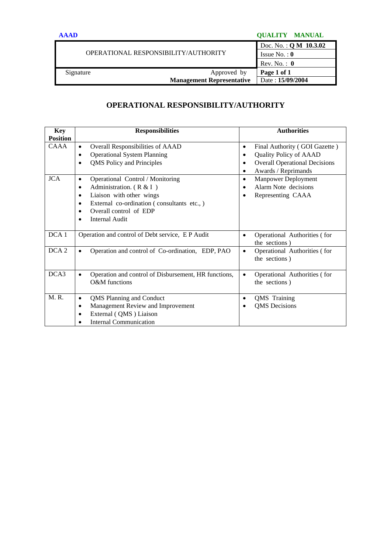| <b>AAAD</b> |                                      | <b>OUALITY MANUAL</b>   |
|-------------|--------------------------------------|-------------------------|
|             |                                      | Doc. No.: Q M 10.3.02   |
|             | OPERATIONAL RESPONSIBILITY/AUTHORITY | Issue No.: $\mathbf{0}$ |
|             |                                      | Rev. No.: $\mathbf{0}$  |
| Signature   | Approved by                          | Page 1 of 1             |
|             | <b>Management Representative</b>     | Date: 15/09/2004        |

# **OPERATIONAL RESPONSIBILITY/AUTHORITY**

| <b>Key</b>       | <b>Responsibilities</b>                                                                                                                                                                                                                                   | <b>Authorities</b>                                                                                                                                         |
|------------------|-----------------------------------------------------------------------------------------------------------------------------------------------------------------------------------------------------------------------------------------------------------|------------------------------------------------------------------------------------------------------------------------------------------------------------|
| <b>Position</b>  |                                                                                                                                                                                                                                                           |                                                                                                                                                            |
| CAAA             | Overall Responsibilities of AAAD<br>$\bullet$<br><b>Operational System Planning</b><br>$\bullet$<br><b>QMS</b> Policy and Principles<br>$\bullet$                                                                                                         | Final Authority (GOI Gazette)<br>$\bullet$<br>Quality Policy of AAAD<br>٠<br><b>Overall Operational Decisions</b><br>$\bullet$<br>Awards / Reprimands<br>٠ |
| <b>JCA</b>       | Operational Control / Monitoring<br>$\bullet$<br>Administration. (R & I)<br>$\bullet$<br>Liaison with other wings<br>$\bullet$<br>External co-ordination (consultants etc.,)<br>$\bullet$<br>Overall control of EDP<br><b>Internal Audit</b><br>$\bullet$ | <b>Manpower Deployment</b><br>$\bullet$<br>Alarm Note decisions<br>$\bullet$<br>Representing CAAA                                                          |
| DCA <sub>1</sub> | Operation and control of Debt service, E P Audit                                                                                                                                                                                                          | Operational Authorities (for<br>$\bullet$<br>the sections)                                                                                                 |
| DCA <sub>2</sub> | Operation and control of Co-ordination, EDP, PAO<br>$\bullet$                                                                                                                                                                                             | Operational Authorities (for<br>$\bullet$<br>the sections)                                                                                                 |
| DCA3             | Operation and control of Disbursement, HR functions,<br>$\bullet$<br>O&M functions                                                                                                                                                                        | Operational Authorities (for<br>$\bullet$<br>the sections)                                                                                                 |
| M.R.             | <b>QMS</b> Planning and Conduct<br>$\bullet$<br>Management Review and Improvement<br>$\bullet$<br>External (QMS) Liaison<br>Internal Communication                                                                                                        | <b>QMS</b> Training<br><b>QMS</b> Decisions                                                                                                                |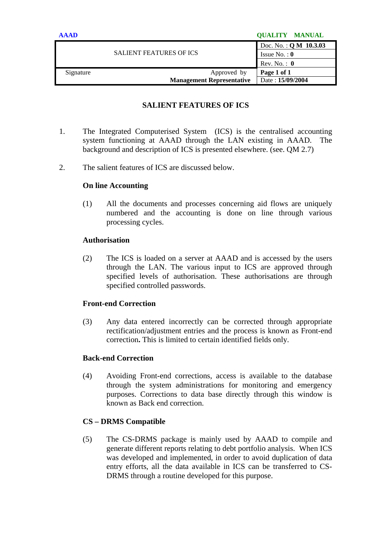| <b>AAAD</b> |                                  | <b>OUALITY MANUAL</b>  |
|-------------|----------------------------------|------------------------|
|             |                                  | Doc. No.: Q M 10.3.03  |
|             | <b>SALIENT FEATURES OF ICS</b>   | Issue No.: $0$         |
|             |                                  | Rev. No.: $\mathbf{0}$ |
| Signature   | Approved by                      | Page 1 of 1            |
|             | <b>Management Representative</b> | Date: 15/09/2004       |

# **SALIENT FEATURES OF ICS**

- 1. The Integrated Computerised System (ICS) is the centralised accounting system functioning at AAAD through the LAN existing in AAAD. The background and description of ICS is presented elsewhere. (see. QM 2.7)
- 2. The salient features of ICS are discussed below.

#### **On line Accounting**

(1) All the documents and processes concerning aid flows are uniquely numbered and the accounting is done on line through various processing cycles.

#### **Authorisation**

(2) The ICS is loaded on a server at AAAD and is accessed by the users through the LAN. The various input to ICS are approved through specified levels of authorisation. These authorisations are through specified controlled passwords.

#### **Front-end Correction**

(3) Any data entered incorrectly can be corrected through appropriate rectification/adjustment entries and the process is known as Front-end correction**.** This is limited to certain identified fields only.

## **Back-end Correction**

(4) Avoiding Front-end corrections, access is available to the database through the system administrations for monitoring and emergency purposes. Corrections to data base directly through this window is known as Back end correction.

## **CS – DRMS Compatible**

(5) The CS-DRMS package is mainly used by AAAD to compile and generate different reports relating to debt portfolio analysis. When ICS was developed and implemented, in order to avoid duplication of data entry efforts, all the data available in ICS can be transferred to CS-DRMS through a routine developed for this purpose.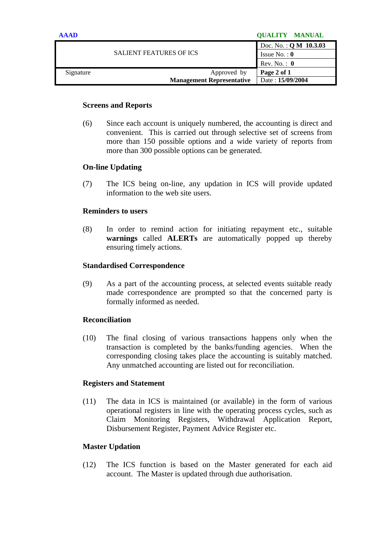| <b>AAAD</b> |                                  | <b>OUALITY MANUAL</b>   |
|-------------|----------------------------------|-------------------------|
|             |                                  | Doc. No.: $Q M$ 10.3.03 |
|             | <b>SALIENT FEATURES OF ICS</b>   | Issue No.: $\mathbf{0}$ |
|             |                                  | Rev. No.: $\mathbf{0}$  |
| Signature   | Approved by                      | Page 2 of 1             |
|             | <b>Management Representative</b> | Date: 15/09/2004        |

#### **Screens and Reports**

(6) Since each account is uniquely numbered, the accounting is direct and convenient. This is carried out through selective set of screens from more than 150 possible options and a wide variety of reports from more than 300 possible options can be generated.

#### **On-line Updating**

(7) The ICS being on-line, any updation in ICS will provide updated information to the web site users.

#### **Reminders to users**

(8) In order to remind action for initiating repayment etc., suitable **warnings** called **ALERTs** are automatically popped up thereby ensuring timely actions.

#### **Standardised Correspondence**

(9) As a part of the accounting process, at selected events suitable ready made correspondence are prompted so that the concerned party is formally informed as needed.

#### **Reconciliation**

(10) The final closing of various transactions happens only when the transaction is completed by the banks/funding agencies. When the corresponding closing takes place the accounting is suitably matched. Any unmatched accounting are listed out for reconciliation.

#### **Registers and Statement**

(11) The data in ICS is maintained (or available) in the form of various operational registers in line with the operating process cycles, such as Claim Monitoring Registers, Withdrawal Application Report, Disbursement Register, Payment Advice Register etc.

#### **Master Updation**

(12) The ICS function is based on the Master generated for each aid account. The Master is updated through due authorisation.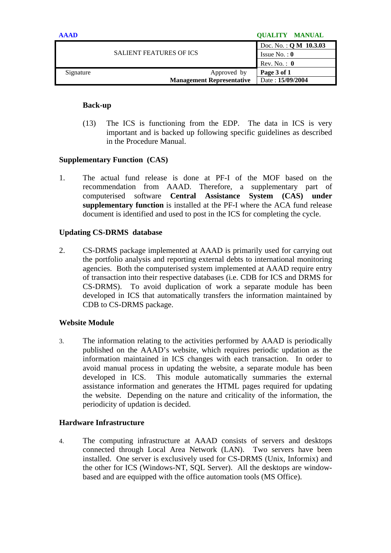| <b>AAAD</b> |                                  | <b>OUALITY MANUAL</b>   |
|-------------|----------------------------------|-------------------------|
|             |                                  | Doc. No.: Q M 10.3.03   |
|             | <b>SALIENT FEATURES OF ICS</b>   | Issue No.: $\mathbf{0}$ |
|             |                                  | Rev. No.: $\mathbf{0}$  |
| Signature   | Approved by                      | Page 3 of 1             |
|             | <b>Management Representative</b> | Date: 15/09/2004        |

#### **Back-up**

(13) The ICS is functioning from the EDP. The data in ICS is very important and is backed up following specific guidelines as described in the Procedure Manual.

## **Supplementary Function (CAS)**

1. The actual fund release is done at PF-I of the MOF based on the recommendation from AAAD. Therefore, a supplementary part of computerised software **Central Assistance System (CAS) under supplementary function** is installed at the PF-I where the ACA fund release document is identified and used to post in the ICS for completing the cycle.

#### **Updating CS-DRMS database**

2. CS-DRMS package implemented at AAAD is primarily used for carrying out the portfolio analysis and reporting external debts to international monitoring agencies. Both the computerised system implemented at AAAD require entry of transaction into their respective databases (i.e. CDB for ICS and DRMS for CS-DRMS). To avoid duplication of work a separate module has been developed in ICS that automatically transfers the information maintained by CDB to CS-DRMS package.

## **Website Module**

3. The information relating to the activities performed by AAAD is periodically published on the AAAD's website, which requires periodic updation as the information maintained in ICS changes with each transaction. In order to avoid manual process in updating the website, a separate module has been developed in ICS. This module automatically summaries the external assistance information and generates the HTML pages required for updating the website. Depending on the nature and criticality of the information, the periodicity of updation is decided.

#### **Hardware Infrastructure**

4. The computing infrastructure at AAAD consists of servers and desktops connected through Local Area Network (LAN). Two servers have been installed. One server is exclusively used for CS-DRMS (Unix, Informix) and the other for ICS (Windows-NT, SQL Server). All the desktops are windowbased and are equipped with the office automation tools (MS Office).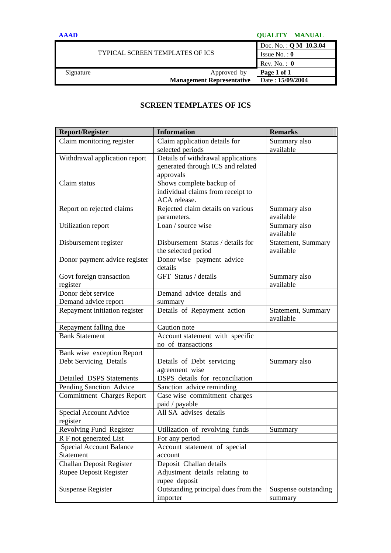#### **AAAD QUALITY MANUAL**

|           |                                        | Doc. No.: $Q M$ 10.3.04 |
|-----------|----------------------------------------|-------------------------|
|           | <b>TYPICAL SCREEN TEMPLATES OF ICS</b> | Issue No.: $\mathbf{0}$ |
|           |                                        | Rev. No.: $\mathbf{0}$  |
| Signature | Approved by                            | Page 1 of 1             |
|           | <b>Management Representative</b>       | Date: 15/09/2004        |

# **SCREEN TEMPLATES OF ICS**

| <b>Report/Register</b>                               | <b>Information</b>                                    | <b>Remarks</b>       |
|------------------------------------------------------|-------------------------------------------------------|----------------------|
| Claim monitoring register                            | Claim application details for                         | Summary also         |
|                                                      | selected periods                                      | available            |
| Withdrawal application report                        | Details of withdrawal applications                    |                      |
|                                                      | generated through ICS and related                     |                      |
|                                                      | approvals                                             |                      |
| Claim status                                         | Shows complete backup of                              |                      |
|                                                      | individual claims from receipt to                     |                      |
|                                                      | ACA release.                                          |                      |
| Report on rejected claims                            | Rejected claim details on various                     | Summary also         |
|                                                      | parameters.                                           | available            |
| Utilization report                                   | Loan / source wise                                    | Summary also         |
|                                                      |                                                       | available            |
| Disbursement register                                | Disbursement Status / details for                     | Statement, Summary   |
|                                                      | the selected period                                   | available            |
| Donor payment advice register                        | Donor wise payment advice                             |                      |
|                                                      | details                                               |                      |
| Govt foreign transaction                             | GFT Status / details                                  | Summary also         |
| register                                             |                                                       | available            |
| Donor debt service                                   | Demand advice details and                             |                      |
| Demand advice report                                 | summary                                               |                      |
| Repayment initiation register                        | Details of Repayment action                           | Statement, Summary   |
|                                                      |                                                       | available            |
| Repayment falling due<br><b>Bank Statement</b>       | Caution note                                          |                      |
|                                                      | Account statement with specific<br>no of transactions |                      |
|                                                      |                                                       |                      |
| Bank wise exception Report<br>Debt Servicing Details | Details of Debt servicing                             | Summary also         |
|                                                      | agreement wise                                        |                      |
| <b>Detailed DSPS Statements</b>                      | DSPS details for reconciliation                       |                      |
| Pending Sanction Advice                              | Sanction advice reminding                             |                      |
| <b>Commitment Charges Report</b>                     | Case wise commitment charges                          |                      |
|                                                      | paid / payable                                        |                      |
| Special Account Advice                               | All SA advises details                                |                      |
| register                                             |                                                       |                      |
| Revolving Fund Register                              | Utilization of revolving funds                        | Summary              |
| R F not generated List                               | For any period                                        |                      |
| <b>Special Account Balance</b>                       | Account statement of special                          |                      |
| Statement                                            | account                                               |                      |
| Challan Deposit Register                             | Deposit Challan details                               |                      |
| <b>Rupee Deposit Register</b>                        | Adjustment details relating to                        |                      |
|                                                      | rupee deposit                                         |                      |
| <b>Suspense Register</b>                             | Outstanding principal dues from the                   | Suspense outstanding |
|                                                      | importer                                              | summary              |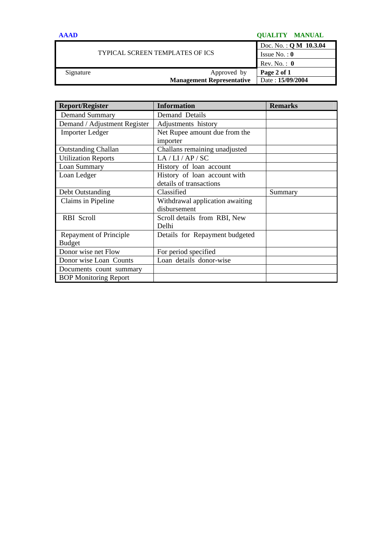| <b>AAAD</b>                     |                                  | <b>OUALITY MANUAL</b>   |
|---------------------------------|----------------------------------|-------------------------|
|                                 |                                  | Doc. No.: Q M 10.3.04   |
| TYPICAL SCREEN TEMPLATES OF ICS |                                  | Issue No.: $\mathbf{0}$ |
|                                 |                                  | Rev. No.: $0$           |
| Signature                       | Approved by                      | Page 2 of 1             |
|                                 | <b>Management Representative</b> | Date: 15/09/2004        |
|                                 |                                  |                         |

| <b>Report/Register</b>       | <b>Information</b>              | <b>Remarks</b> |
|------------------------------|---------------------------------|----------------|
| <b>Demand Summary</b>        | Demand Details                  |                |
| Demand / Adjustment Register | Adjustments history             |                |
| <b>Importer Ledger</b>       | Net Rupee amount due from the   |                |
|                              | importer                        |                |
| <b>Outstanding Challan</b>   | Challans remaining unadjusted   |                |
| <b>Utilization Reports</b>   | LA / LI / AP / SC               |                |
| Loan Summary                 | History of loan account         |                |
| Loan Ledger                  | History of loan account with    |                |
|                              | details of transactions         |                |
| Debt Outstanding             | Classified                      | Summary        |
| Claims in Pipeline           | Withdrawal application awaiting |                |
|                              | disbursement                    |                |
| <b>RBI</b> Scroll            | Scroll details from RBI, New    |                |
|                              | Delhi                           |                |
| Repayment of Principle       | Details for Repayment budgeted  |                |
| <b>Budget</b>                |                                 |                |
| Donor wise net Flow          | For period specified            |                |
| Donor wise Loan Counts       | Loan details donor-wise         |                |
| Documents count summary      |                                 |                |
| <b>BOP Monitoring Report</b> |                                 |                |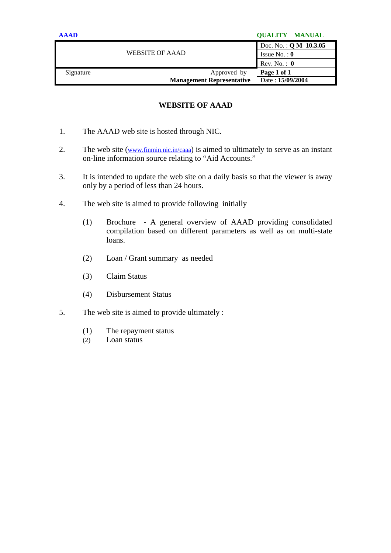| <b>AAAD</b>     |                                  | <b>OUALITY MANUAL</b>   |
|-----------------|----------------------------------|-------------------------|
| WEBSITE OF AAAD |                                  | Doc. No.: Q M 10.3.05   |
|                 |                                  | Issue No.: $\mathbf{0}$ |
|                 |                                  | Rev. No.: $\mathbf{0}$  |
| Signature       | Approved by                      | Page 1 of 1             |
|                 | <b>Management Representative</b> | Date: 15/09/2004        |

# **WEBSITE OF AAAD**

- 1. The AAAD web site is hosted through NIC.
- 2. The web site [\(www.finmin.nic.in/caaa\)](http://www.finmin.nic.in/caaa) is aimed to ultimately to serve as an instant on-line information source relating to "Aid Accounts."
- 3. It is intended to update the web site on a daily basis so that the viewer is away only by a period of less than 24 hours.
- 4. The web site is aimed to provide following initially
	- (1) Brochure A general overview of AAAD providing consolidated compilation based on different parameters as well as on multi-state loans.
	- (2) Loan / Grant summary as needed
	- (3) Claim Status
	- (4) Disbursement Status
- 5. The web site is aimed to provide ultimately :
	- (1) The repayment status
	- (2) Loan status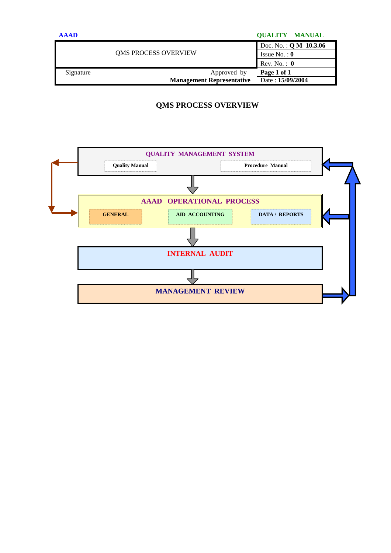| <b>AAAD</b>                 |                                  | <b>OUALITY MANUAL</b>   |
|-----------------------------|----------------------------------|-------------------------|
|                             |                                  | Doc. No.: Q M 10.3.06   |
| <b>OMS PROCESS OVERVIEW</b> |                                  | Issue No.: $\mathbf{0}$ |
|                             |                                  | Rev. No.: $\mathbf{0}$  |
| Signature                   | Approved by                      | Page 1 of 1             |
|                             | <b>Management Representative</b> | Date: 15/09/2004        |

# **QMS PROCESS OVERVIEW**

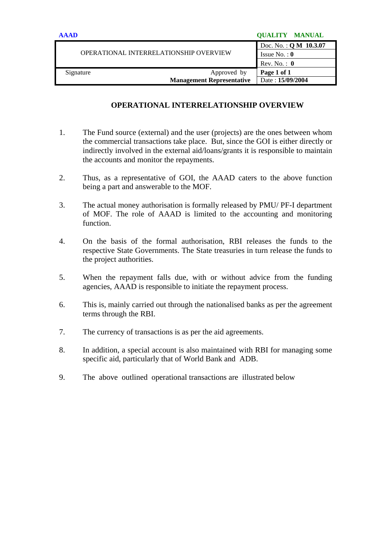| <b>AAAD</b>                            |                                  | <b>OUALITY MANUAL</b>   |  |
|----------------------------------------|----------------------------------|-------------------------|--|
|                                        |                                  | Doc. No.: Q M 10.3.07   |  |
| OPERATIONAL INTERRELATIONSHIP OVERVIEW |                                  | Issue No.: $\mathbf{0}$ |  |
|                                        |                                  | Rev. No.: $\mathbf{0}$  |  |
| Signature                              | Approved by                      | Page 1 of 1             |  |
|                                        | <b>Management Representative</b> | Date: 15/09/2004        |  |

# **OPERATIONAL INTERRELATIONSHIP OVERVIEW**

- 1. The Fund source (external) and the user (projects) are the ones between whom the commercial transactions take place. But, since the GOI is either directly or indirectly involved in the external aid/loans/grants it is responsible to maintain the accounts and monitor the repayments.
- 2. Thus, as a representative of GOI, the AAAD caters to the above function being a part and answerable to the MOF.
- 3. The actual money authorisation is formally released by PMU/ PF-I department of MOF. The role of AAAD is limited to the accounting and monitoring function.
- 4. On the basis of the formal authorisation, RBI releases the funds to the respective State Governments. The State treasuries in turn release the funds to the project authorities.
- 5. When the repayment falls due, with or without advice from the funding agencies, AAAD is responsible to initiate the repayment process.
- 6. This is, mainly carried out through the nationalised banks as per the agreement terms through the RBI.
- 7. The currency of transactions is as per the aid agreements.
- 8. In addition, a special account is also maintained with RBI for managing some specific aid, particularly that of World Bank and ADB.
- 9. The above outlined operational transactions are illustrated below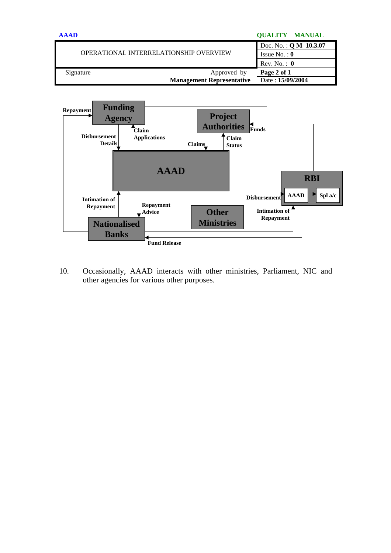



10. Occasionally, AAAD interacts with other ministries, Parliament, NIC and other agencies for various other purposes.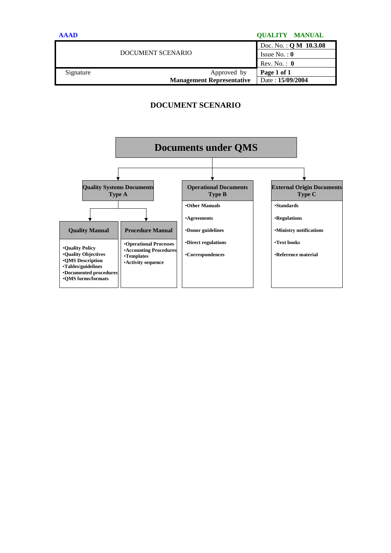| <b>AAAD</b>       |                                  | <b>QUALITY MANUAL</b>   |
|-------------------|----------------------------------|-------------------------|
| DOCUMENT SCENARIO |                                  | Doc. No.: Q M 10.3.08   |
|                   |                                  | Issue No.: $\mathbf{0}$ |
|                   |                                  | Rev. No.: $\mathbf{0}$  |
| Signature         | Approved by                      | Page 1 of 1             |
|                   | <b>Management Representative</b> | Date: 15/09/2004        |

# **DOCUMENT SCENARIO**

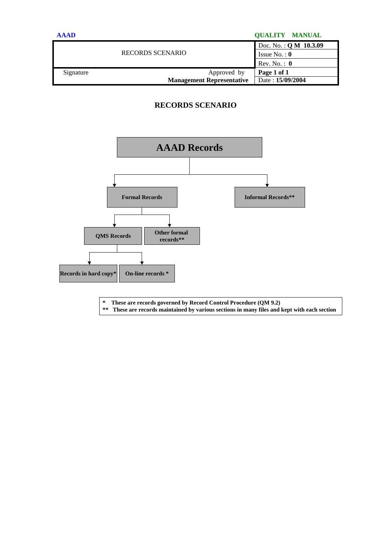| <b>AAAD</b>      |                                  | <b>OUALITY MANUAL</b>   |
|------------------|----------------------------------|-------------------------|
| RECORDS SCENARIO |                                  | Doc. No.: Q M 10.3.09   |
|                  |                                  | Issue No.: $\mathbf{0}$ |
|                  |                                  | Rev. No.: $\mathbf{0}$  |
| Signature        | Approved by                      | Page 1 of 1             |
|                  | <b>Management Representative</b> | Date: 15/09/2004        |

# **RECORDS SCENARIO**



**\* These are records governed by Record Control Procedure (QM 9.2) \*\* These are records maintained by various sections in many files and kept with each section**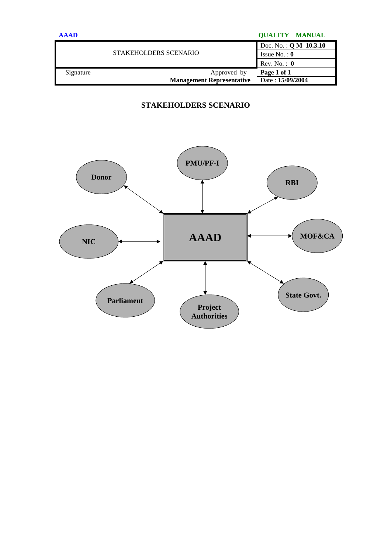| <b>AAAD</b>           |                                  | <b>OUALITY MANUAL</b>   |
|-----------------------|----------------------------------|-------------------------|
|                       |                                  | Doc. No.: Q M 10.3.10   |
| STAKEHOLDERS SCENARIO |                                  | Issue No.: $\mathbf{0}$ |
|                       | Rev. No.: $\mathbf{0}$           |                         |
| Signature             | Approved by                      | Page 1 of 1             |
|                       | <b>Management Representative</b> | Date: 15/09/2004        |

# **STAKEHOLDERS SCENARIO**

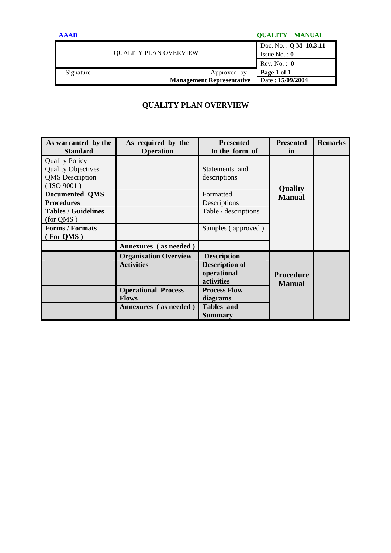**QUALITY MANUAL** 

| <b>OUALITY PLAN OVERVIEW</b> |                                  | Doc. No.: $Q M$ 10.3.11 |
|------------------------------|----------------------------------|-------------------------|
|                              |                                  | Issue No.: $\mathbf{0}$ |
|                              | Rev. No.: $\mathbf{0}$           |                         |
| Signature                    | Approved by                      | Page 1 of 1             |
|                              | <b>Management Representative</b> | Date: 15/09/2004        |

# **QUALITY PLAN OVERVIEW**

| As warranted by the        | As required by the           | <b>Presented</b>      | <b>Presented</b> | <b>Remarks</b> |
|----------------------------|------------------------------|-----------------------|------------------|----------------|
| <b>Standard</b>            | <b>Operation</b>             | In the form of        | in               |                |
| <b>Quality Policy</b>      |                              |                       |                  |                |
| <b>Quality Objectives</b>  |                              | Statements and        |                  |                |
| <b>QMS</b> Description     |                              | descriptions          |                  |                |
| (ISO 9001)                 |                              |                       | Quality          |                |
| <b>Documented QMS</b>      |                              | Formatted             | <b>Manual</b>    |                |
| <b>Procedures</b>          |                              | Descriptions          |                  |                |
| <b>Tables / Guidelines</b> |                              | Table / descriptions  |                  |                |
| (for QMS)                  |                              |                       |                  |                |
| <b>Forms / Formats</b>     |                              | Samples (approved)    |                  |                |
| (For QMS)                  |                              |                       |                  |                |
|                            | Annexures (as needed)        |                       |                  |                |
|                            | <b>Organisation Overview</b> | <b>Description</b>    |                  |                |
|                            | <b>Activities</b>            | <b>Description of</b> |                  |                |
|                            |                              | operational           | <b>Procedure</b> |                |
|                            |                              | activities            | <b>Manual</b>    |                |
|                            | <b>Operational Process</b>   | <b>Process Flow</b>   |                  |                |
|                            | <b>Flows</b>                 | diagrams              |                  |                |
|                            | Annexures (as needed)        | <b>Tables</b> and     |                  |                |
|                            |                              | <b>Summary</b>        |                  |                |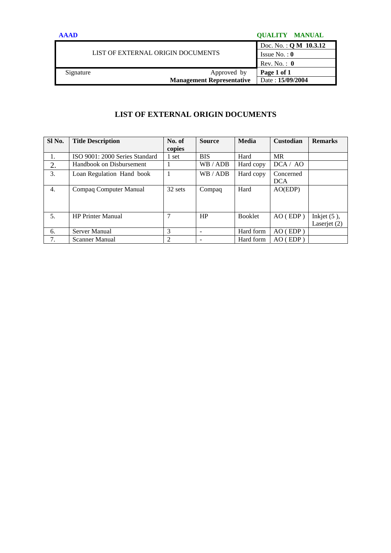| <b>AAAD</b> |                                   | <b>OUALITY MANUAL</b>   |
|-------------|-----------------------------------|-------------------------|
|             |                                   | Doc. No.: Q M 10.3.12   |
|             | LIST OF EXTERNAL ORIGIN DOCUMENTS | Issue No.: $\mathbf{0}$ |
|             |                                   | Rev. No.: $\mathbf{0}$  |
| Signature   | Approved by                       | Page 1 of 1             |
|             | <b>Management Representative</b>  | Date: 15/09/2004        |

# **LIST OF EXTERNAL ORIGIN DOCUMENTS**

| SI <sub>No.</sub> | <b>Title Description</b>       | No. of  | <b>Source</b> | Media          | Custodian               | <b>Remarks</b>                 |
|-------------------|--------------------------------|---------|---------------|----------------|-------------------------|--------------------------------|
|                   |                                | copies  |               |                |                         |                                |
| 1.                | ISO 9001: 2000 Series Standard | 1 set   | <b>BIS</b>    | Hard           | <b>MR</b>               |                                |
| 2.                | Handbook on Disbursement       |         | WB / ADB      | Hard copy      | DCA / AO                |                                |
| 3.                | Loan Regulation Hand book      |         | WB / ADB      | Hard copy      | Concerned<br><b>DCA</b> |                                |
| 4.                | Compaq Computer Manual         | 32 sets | Compaq        | Hard           | AO(EDP)                 |                                |
| 5.                | <b>HP Printer Manual</b>       |         | HP            | <b>Booklet</b> | $AO$ (EDP)              | Inkjet $(5)$ ,<br>Laserjet (2) |
| 6.                | <b>Server Manual</b>           | 3       |               | Hard form      | $AO$ (EDP)              |                                |
| 7.                | <b>Scanner Manual</b>          | 2       |               | Hard form      | $AO$ (EDP)              |                                |